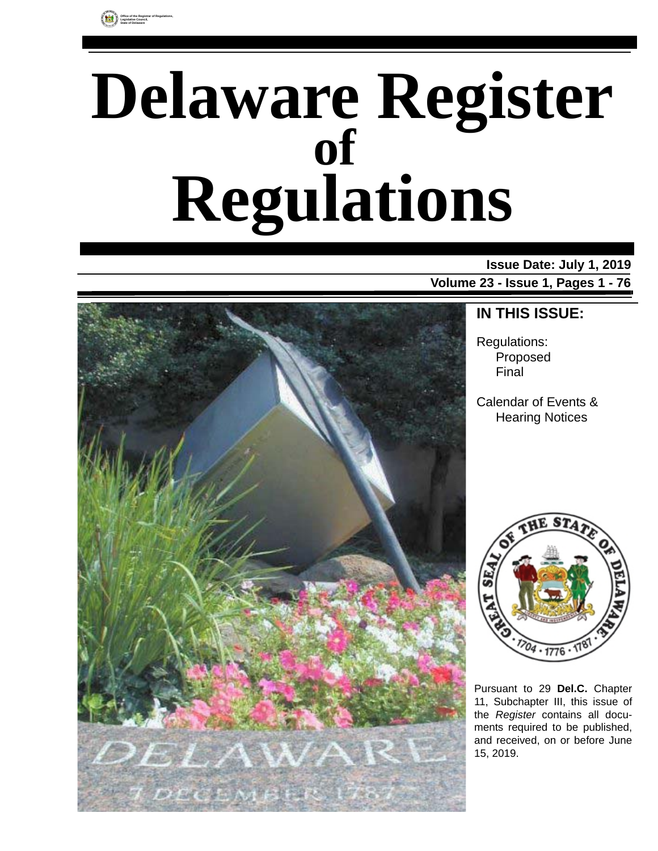

# **Delaware Register Regulations of**

### **Issue Date: July 1, 2019**

**Volume 23 - Issue 1, Pages 1 - 76**



### **IN THIS ISSUE:**

Regulations: Proposed Final

Calendar of Events & Hearing Notices



Pursuant to 29 **Del.C.** Chapter 11, Subchapter III, this issue of the *Register* contains all documents required to be published, and received, on or before June 15, 2019.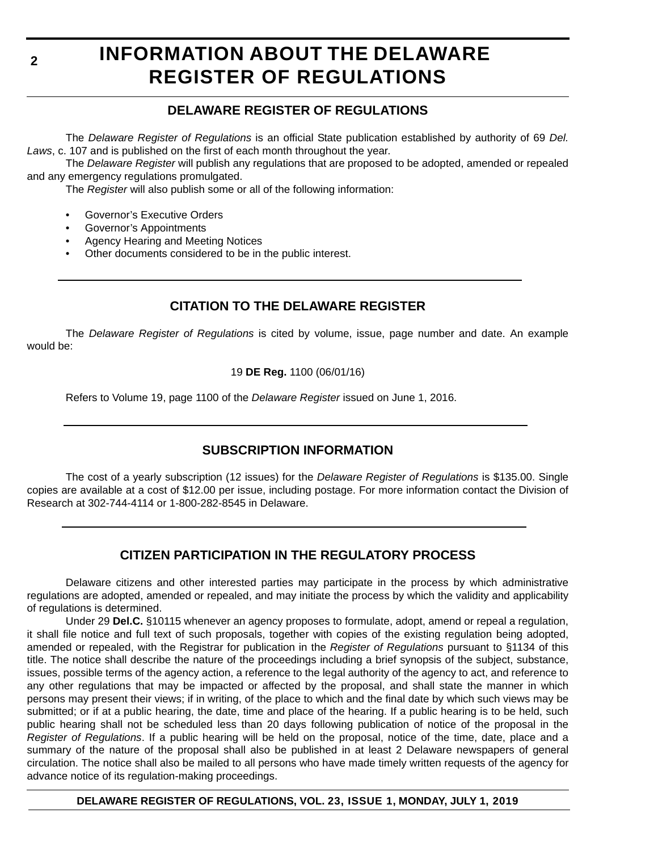### **INFORMATION ABOUT THE DELAWARE REGISTER OF REGULATIONS**

### **DELAWARE REGISTER OF REGULATIONS**

The *Delaware Register of Regulations* is an official State publication established by authority of 69 *Del. Laws*, c. 107 and is published on the first of each month throughout the year.

The *Delaware Register* will publish any regulations that are proposed to be adopted, amended or repealed and any emergency regulations promulgated.

The *Register* will also publish some or all of the following information:

- Governor's Executive Orders
- Governor's Appointments
- Agency Hearing and Meeting Notices
- Other documents considered to be in the public interest.

### **CITATION TO THE DELAWARE REGISTER**

The *Delaware Register of Regulations* is cited by volume, issue, page number and date. An example would be:

19 **DE Reg.** 1100 (06/01/16)

Refers to Volume 19, page 1100 of the *Delaware Register* issued on June 1, 2016.

### **SUBSCRIPTION INFORMATION**

The cost of a yearly subscription (12 issues) for the *Delaware Register of Regulations* is \$135.00. Single copies are available at a cost of \$12.00 per issue, including postage. For more information contact the Division of Research at 302-744-4114 or 1-800-282-8545 in Delaware.

### **CITIZEN PARTICIPATION IN THE REGULATORY PROCESS**

Delaware citizens and other interested parties may participate in the process by which administrative regulations are adopted, amended or repealed, and may initiate the process by which the validity and applicability of regulations is determined.

Under 29 **Del.C.** §10115 whenever an agency proposes to formulate, adopt, amend or repeal a regulation, it shall file notice and full text of such proposals, together with copies of the existing regulation being adopted, amended or repealed, with the Registrar for publication in the *Register of Regulations* pursuant to §1134 of this title. The notice shall describe the nature of the proceedings including a brief synopsis of the subject, substance, issues, possible terms of the agency action, a reference to the legal authority of the agency to act, and reference to any other regulations that may be impacted or affected by the proposal, and shall state the manner in which persons may present their views; if in writing, of the place to which and the final date by which such views may be submitted; or if at a public hearing, the date, time and place of the hearing. If a public hearing is to be held, such public hearing shall not be scheduled less than 20 days following publication of notice of the proposal in the *Register of Regulations*. If a public hearing will be held on the proposal, notice of the time, date, place and a summary of the nature of the proposal shall also be published in at least 2 Delaware newspapers of general circulation. The notice shall also be mailed to all persons who have made timely written requests of the agency for advance notice of its regulation-making proceedings.

**DELAWARE REGISTER OF REGULATIONS, VOL. 23, ISSUE 1, MONDAY, JULY 1, 2019**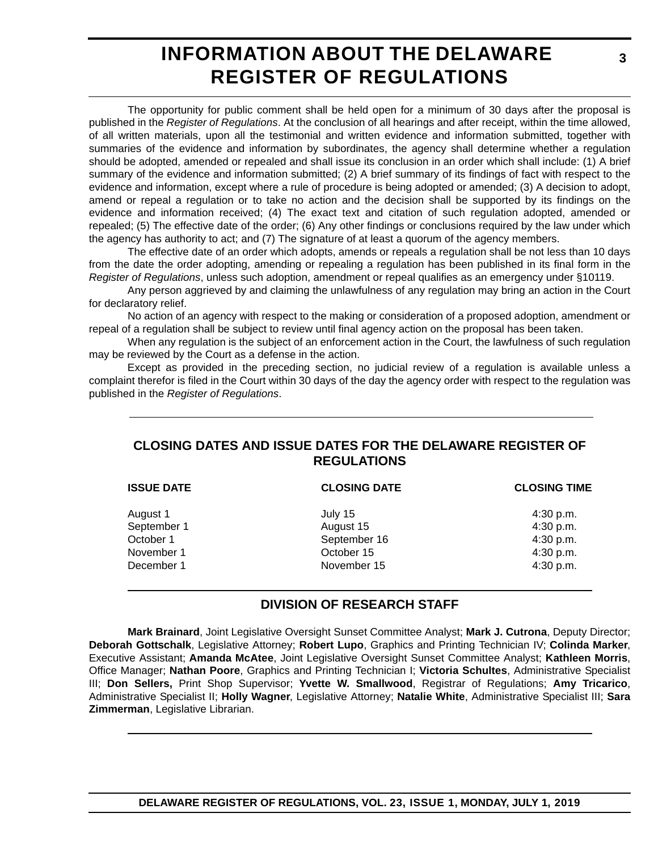### **INFORMATION ABOUT THE DELAWARE REGISTER OF REGULATIONS**

The opportunity for public comment shall be held open for a minimum of 30 days after the proposal is published in the *Register of Regulations*. At the conclusion of all hearings and after receipt, within the time allowed, of all written materials, upon all the testimonial and written evidence and information submitted, together with summaries of the evidence and information by subordinates, the agency shall determine whether a regulation should be adopted, amended or repealed and shall issue its conclusion in an order which shall include: (1) A brief summary of the evidence and information submitted; (2) A brief summary of its findings of fact with respect to the evidence and information, except where a rule of procedure is being adopted or amended; (3) A decision to adopt, amend or repeal a regulation or to take no action and the decision shall be supported by its findings on the evidence and information received; (4) The exact text and citation of such regulation adopted, amended or repealed; (5) The effective date of the order; (6) Any other findings or conclusions required by the law under which the agency has authority to act; and (7) The signature of at least a quorum of the agency members.

The effective date of an order which adopts, amends or repeals a regulation shall be not less than 10 days from the date the order adopting, amending or repealing a regulation has been published in its final form in the *Register of Regulations*, unless such adoption, amendment or repeal qualifies as an emergency under §10119.

Any person aggrieved by and claiming the unlawfulness of any regulation may bring an action in the Court for declaratory relief.

No action of an agency with respect to the making or consideration of a proposed adoption, amendment or repeal of a regulation shall be subject to review until final agency action on the proposal has been taken.

When any regulation is the subject of an enforcement action in the Court, the lawfulness of such regulation may be reviewed by the Court as a defense in the action.

Except as provided in the preceding section, no judicial review of a regulation is available unless a complaint therefor is filed in the Court within 30 days of the day the agency order with respect to the regulation was published in the *Register of Regulations*.

### **CLOSING DATES AND ISSUE DATES FOR THE DELAWARE REGISTER OF REGULATIONS**

| <b>CLOSING DATE</b> | <b>CLOSING TIME</b> |
|---------------------|---------------------|
| July 15             | 4:30 p.m.           |
| August 15           | 4:30 p.m.           |
| September 16        | 4:30 p.m.           |
| October 15          | 4:30 p.m.           |
| November 15         | 4:30 p.m.           |
|                     |                     |

### **DIVISION OF RESEARCH STAFF**

**Mark Brainard**, Joint Legislative Oversight Sunset Committee Analyst; **Mark J. Cutrona**, Deputy Director; **Deborah Gottschalk**, Legislative Attorney; **Robert Lupo**, Graphics and Printing Technician IV; **Colinda Marker**, Executive Assistant; **Amanda McAtee**, Joint Legislative Oversight Sunset Committee Analyst; **Kathleen Morris**, Office Manager; **Nathan Poore**, Graphics and Printing Technician I; **Victoria Schultes**, Administrative Specialist III; **Don Sellers,** Print Shop Supervisor; **Yvette W. Smallwood**, Registrar of Regulations; **Amy Tricarico**, Administrative Specialist II; **Holly Wagner**, Legislative Attorney; **Natalie White**, Administrative Specialist III; **Sara Zimmerman**, Legislative Librarian.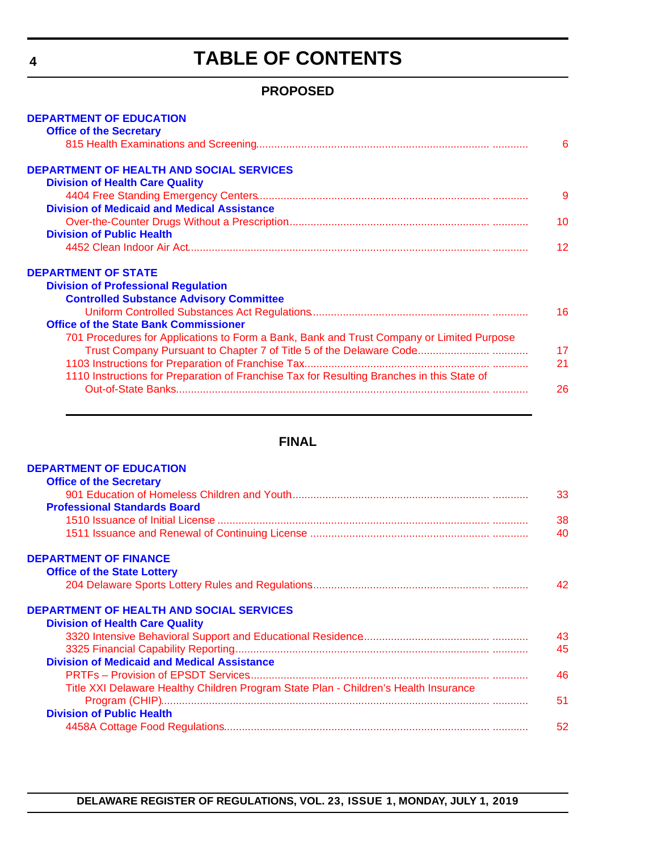# **TABLE OF CONTENTS**

### **PROPOSED**

<span id="page-3-0"></span>

| <b>DEPARTMENT OF EDUCATION</b>                                                             |    |
|--------------------------------------------------------------------------------------------|----|
| <b>Office of the Secretary</b>                                                             |    |
|                                                                                            | 6  |
| <b>DEPARTMENT OF HEALTH AND SOCIAL SERVICES</b>                                            |    |
| <b>Division of Health Care Quality</b>                                                     |    |
|                                                                                            | 9  |
| <b>Division of Medicaid and Medical Assistance</b>                                         |    |
|                                                                                            | 10 |
| <b>Division of Public Health</b>                                                           |    |
|                                                                                            | 12 |
| <b>DEPARTMENT OF STATE</b>                                                                 |    |
| <b>Division of Professional Regulation</b>                                                 |    |
| <b>Controlled Substance Advisory Committee</b>                                             |    |
|                                                                                            | 16 |
| <b>Office of the State Bank Commissioner</b>                                               |    |
| 701 Procedures for Applications to Form a Bank, Bank and Trust Company or Limited Purpose  |    |
|                                                                                            | 17 |
|                                                                                            | 21 |
| 1110 Instructions for Preparation of Franchise Tax for Resulting Branches in this State of |    |
|                                                                                            | 26 |
|                                                                                            |    |

### **FINAL**

| <b>DEPARTMENT OF EDUCATION</b>                                                       |    |
|--------------------------------------------------------------------------------------|----|
| <b>Office of the Secretary</b>                                                       |    |
|                                                                                      | 33 |
| <b>Professional Standards Board</b>                                                  |    |
|                                                                                      | 38 |
|                                                                                      | 40 |
| <b>DEPARTMENT OF FINANCE</b>                                                         |    |
| <b>Office of the State Lottery</b>                                                   |    |
|                                                                                      | 42 |
| <b>DEPARTMENT OF HEALTH AND SOCIAL SERVICES</b>                                      |    |
| <b>Division of Health Care Quality</b>                                               |    |
|                                                                                      | 43 |
|                                                                                      | 45 |
| <b>Division of Medicaid and Medical Assistance</b>                                   |    |
|                                                                                      | 46 |
| Title XXI Delaware Healthy Children Program State Plan - Children's Health Insurance |    |
|                                                                                      | 51 |
| <b>Division of Public Health</b>                                                     |    |
|                                                                                      | 52 |
|                                                                                      |    |

**DELAWARE REGISTER OF REGULATIONS, VOL. 23, ISSUE 1, MONDAY, JULY 1, 2019**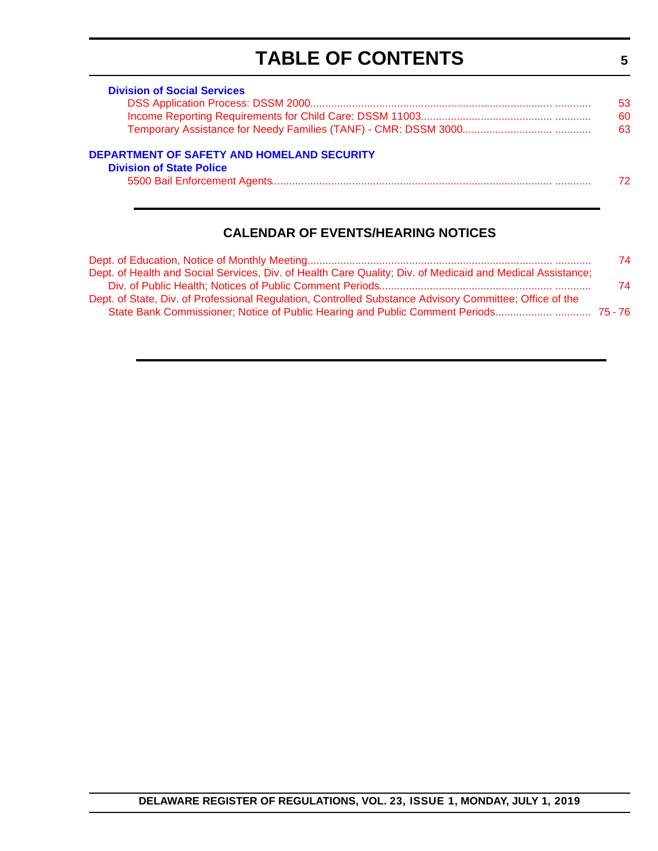# **TABLE OF CONTENTS**

**5**

| <b>Division of Social Services</b>                                            |     |
|-------------------------------------------------------------------------------|-----|
|                                                                               | 53. |
|                                                                               | 60  |
|                                                                               | 63  |
| DEPARTMENT OF SAFETY AND HOMELAND SECURITY<br><b>Division of State Police</b> | 72. |

### **CALENDAR OF EVENTS/HEARING NOTICES**

|                                                                                                            | 74. |
|------------------------------------------------------------------------------------------------------------|-----|
| Dept. of Health and Social Services, Div. of Health Care Quality; Div. of Medicaid and Medical Assistance; |     |
|                                                                                                            | 74  |
| Dept. of State, Div. of Professional Regulation, Controlled Substance Advisory Committee; Office of the    |     |
| State Bank Commissioner; Notice of Public Hearing and Public Comment Periods 75-76                         |     |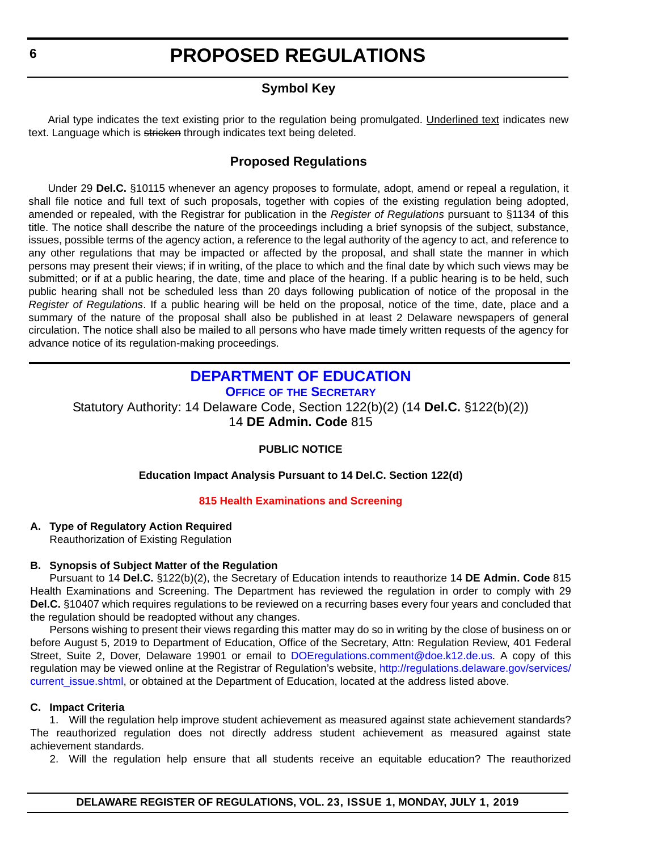### **Symbol Key**

<span id="page-5-0"></span>Arial type indicates the text existing prior to the regulation being promulgated. Underlined text indicates new text. Language which is stricken through indicates text being deleted.

### **Proposed Regulations**

Under 29 **Del.C.** §10115 whenever an agency proposes to formulate, adopt, amend or repeal a regulation, it shall file notice and full text of such proposals, together with copies of the existing regulation being adopted, amended or repealed, with the Registrar for publication in the *Register of Regulations* pursuant to §1134 of this title. The notice shall describe the nature of the proceedings including a brief synopsis of the subject, substance, issues, possible terms of the agency action, a reference to the legal authority of the agency to act, and reference to any other regulations that may be impacted or affected by the proposal, and shall state the manner in which persons may present their views; if in writing, of the place to which and the final date by which such views may be submitted; or if at a public hearing, the date, time and place of the hearing. If a public hearing is to be held, such public hearing shall not be scheduled less than 20 days following publication of notice of the proposal in the *Register of Regulations*. If a public hearing will be held on the proposal, notice of the time, date, place and a summary of the nature of the proposal shall also be published in at least 2 Delaware newspapers of general circulation. The notice shall also be mailed to all persons who have made timely written requests of the agency for advance notice of its regulation-making proceedings.

#### **DEPARTMENT OF EDUCATION OFFICE OF [THE SECRETARY](https://www.doe.k12.de.us/Page/11)**

Statutory Authority: 14 Delaware Code, Section 122(b)(2) (14 **Del.C.** §122(b)(2))

14 **DE Admin. Code** 815

### **PUBLIC NOTICE**

#### **Education Impact Analysis Pursuant to 14 Del.C. Section 122(d)**

#### **[815 Health Examinations and Screening](#page-3-0)**

#### **A. Type of Regulatory Action Required**

Reauthorization of Existing Regulation

#### **B. Synopsis of Subject Matter of the Regulation**

Pursuant to 14 **Del.C.** §122(b)(2), the Secretary of Education intends to reauthorize 14 **DE Admin. Code** 815 Health Examinations and Screening. The Department has reviewed the regulation in order to comply with 29 **Del.C.** §10407 which requires regulations to be reviewed on a recurring bases every four years and concluded that the regulation should be readopted without any changes.

Persons wishing to present their views regarding this matter may do so in writing by the close of business on or before August 5, 2019 to Department of Education, Office of the Secretary, Attn: Regulation Review, 401 Federal Street, Suite 2, Dover, Delaware 19901 or email to [DOEregulations.comment@doe.k12.de.us](mailto:DOEregulations.comment@doe.k12.de.us). A copy of this regulation may be viewed online at the Registrar of Regulation's website, [http://regulations.delaware.gov/services/](http://regulations.delaware.gov/services/current_issue.shtml) current issue.shtml, or obtained at the Department of Education, located at the address listed above.

#### **C. Impact Criteria**

1. Will the regulation help improve student achievement as measured against state achievement standards? The reauthorized regulation does not directly address student achievement as measured against state achievement standards.

2. Will the regulation help ensure that all students receive an equitable education? The reauthorized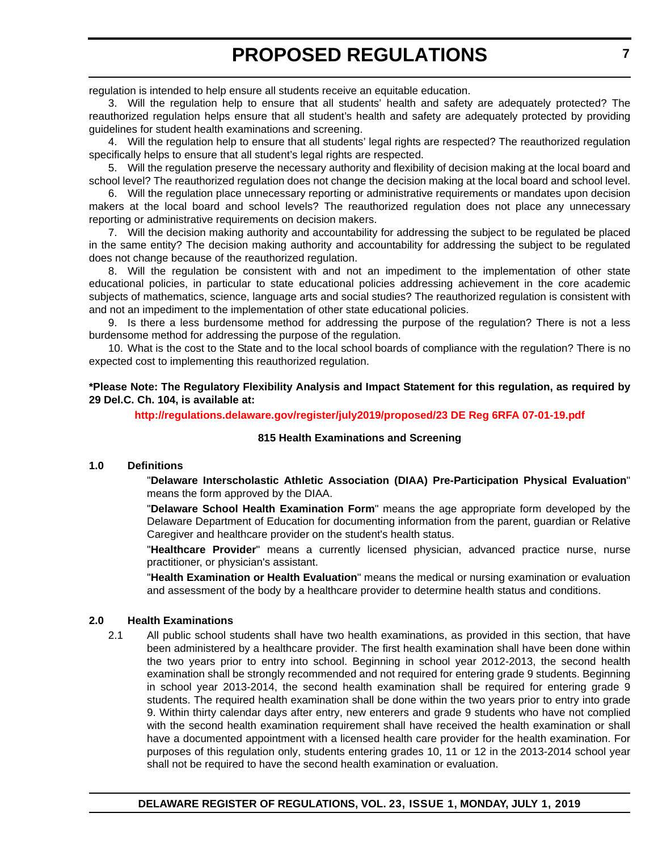regulation is intended to help ensure all students receive an equitable education.

3. Will the regulation help to ensure that all students' health and safety are adequately protected? The reauthorized regulation helps ensure that all student's health and safety are adequately protected by providing guidelines for student health examinations and screening.

4. Will the regulation help to ensure that all students' legal rights are respected? The reauthorized regulation specifically helps to ensure that all student's legal rights are respected.

5. Will the regulation preserve the necessary authority and flexibility of decision making at the local board and school level? The reauthorized regulation does not change the decision making at the local board and school level.

6. Will the regulation place unnecessary reporting or administrative requirements or mandates upon decision makers at the local board and school levels? The reauthorized regulation does not place any unnecessary reporting or administrative requirements on decision makers.

7. Will the decision making authority and accountability for addressing the subject to be regulated be placed in the same entity? The decision making authority and accountability for addressing the subject to be regulated does not change because of the reauthorized regulation.

8. Will the regulation be consistent with and not an impediment to the implementation of other state educational policies, in particular to state educational policies addressing achievement in the core academic subjects of mathematics, science, language arts and social studies? The reauthorized regulation is consistent with and not an impediment to the implementation of other state educational policies.

9. Is there a less burdensome method for addressing the purpose of the regulation? There is not a less burdensome method for addressing the purpose of the regulation.

10. What is the cost to the State and to the local school boards of compliance with the regulation? There is no expected cost to implementing this reauthorized regulation.

**\*Please Note: The Regulatory Flexibility Analysis and Impact Statement for this regulation, as required by 29 Del.C. Ch. 104, is available at:**

**<http://regulations.delaware.gov/register/july2019/proposed/23 DE Reg 6RFA 07-01-19.pdf>**

#### **815 Health Examinations and Screening**

#### **1.0 Definitions**

"**Delaware Interscholastic Athletic Association (DIAA) Pre-Participation Physical Evaluation**" means the form approved by the DIAA.

"**Delaware School Health Examination Form**" means the age appropriate form developed by the Delaware Department of Education for documenting information from the parent, guardian or Relative Caregiver and healthcare provider on the student's health status.

"**Healthcare Provider**" means a currently licensed physician, advanced practice nurse, nurse practitioner, or physician's assistant.

"**Health Examination or Health Evaluation**" means the medical or nursing examination or evaluation and assessment of the body by a healthcare provider to determine health status and conditions.

#### **2.0 Health Examinations**

2.1 All public school students shall have two health examinations, as provided in this section, that have been administered by a healthcare provider. The first health examination shall have been done within the two years prior to entry into school. Beginning in school year 2012-2013, the second health examination shall be strongly recommended and not required for entering grade 9 students. Beginning in school year 2013-2014, the second health examination shall be required for entering grade 9 students. The required health examination shall be done within the two years prior to entry into grade 9. Within thirty calendar days after entry, new enterers and grade 9 students who have not complied with the second health examination requirement shall have received the health examination or shall have a documented appointment with a licensed health care provider for the health examination. For purposes of this regulation only, students entering grades 10, 11 or 12 in the 2013-2014 school year shall not be required to have the second health examination or evaluation.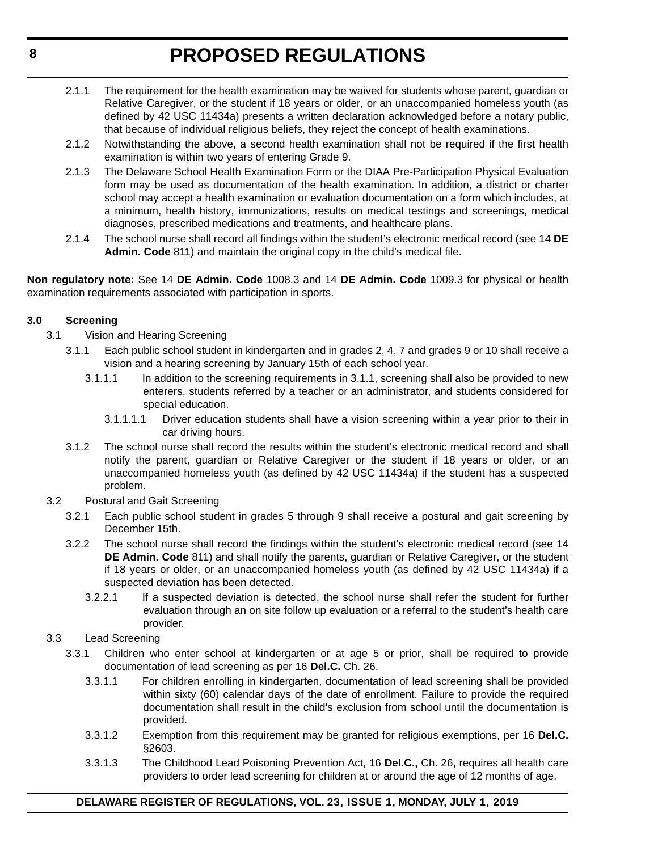- 2.1.1 The requirement for the health examination may be waived for students whose parent, guardian or Relative Caregiver, or the student if 18 years or older, or an unaccompanied homeless youth (as defined by 42 USC 11434a) presents a written declaration acknowledged before a notary public, that because of individual religious beliefs, they reject the concept of health examinations.
- 2.1.2 Notwithstanding the above, a second health examination shall not be required if the first health examination is within two years of entering Grade 9.
- 2.1.3 The Delaware School Health Examination Form or the DIAA Pre-Participation Physical Evaluation form may be used as documentation of the health examination. In addition, a district or charter school may accept a health examination or evaluation documentation on a form which includes, at a minimum, health history, immunizations, results on medical testings and screenings, medical diagnoses, prescribed medications and treatments, and healthcare plans.
- 2.1.4 The school nurse shall record all findings within the student's electronic medical record (see 14 **DE Admin. Code** 811) and maintain the original copy in the child's medical file.

**Non regulatory note:** See 14 **DE Admin. Code** 1008.3 and 14 **DE Admin. Code** 1009.3 for physical or health examination requirements associated with participation in sports.

#### **3.0 Screening**

- 3.1 Vision and Hearing Screening
	- 3.1.1 Each public school student in kindergarten and in grades 2, 4, 7 and grades 9 or 10 shall receive a vision and a hearing screening by January 15th of each school year.
		- 3.1.1.1 In addition to the screening requirements in 3.1.1, screening shall also be provided to new enterers, students referred by a teacher or an administrator, and students considered for special education.
			- 3.1.1.1.1 Driver education students shall have a vision screening within a year prior to their in car driving hours.
	- 3.1.2 The school nurse shall record the results within the student's electronic medical record and shall notify the parent, guardian or Relative Caregiver or the student if 18 years or older, or an unaccompanied homeless youth (as defined by 42 USC 11434a) if the student has a suspected problem.
- 3.2 Postural and Gait Screening
	- 3.2.1 Each public school student in grades 5 through 9 shall receive a postural and gait screening by December 15th.
	- 3.2.2 The school nurse shall record the findings within the student's electronic medical record (see 14 **DE Admin. Code** 811) and shall notify the parents, guardian or Relative Caregiver, or the student if 18 years or older, or an unaccompanied homeless youth (as defined by 42 USC 11434a) if a suspected deviation has been detected.
		- 3.2.2.1 If a suspected deviation is detected, the school nurse shall refer the student for further evaluation through an on site follow up evaluation or a referral to the student's health care provider.
- 3.3 Lead Screening
	- 3.3.1 Children who enter school at kindergarten or at age 5 or prior, shall be required to provide documentation of lead screening as per 16 **Del.C.** Ch. 26.
		- 3.3.1.1 For children enrolling in kindergarten, documentation of lead screening shall be provided within sixty (60) calendar days of the date of enrollment. Failure to provide the required documentation shall result in the child's exclusion from school until the documentation is provided.
		- 3.3.1.2 Exemption from this requirement may be granted for religious exemptions, per 16 **Del.C.** §2603.
		- 3.3.1.3 The Childhood Lead Poisoning Prevention Act, 16 **Del.C.,** Ch. 26, requires all health care providers to order lead screening for children at or around the age of 12 months of age.

#### **DELAWARE REGISTER OF REGULATIONS, VOL. 23, ISSUE 1, MONDAY, JULY 1, 2019**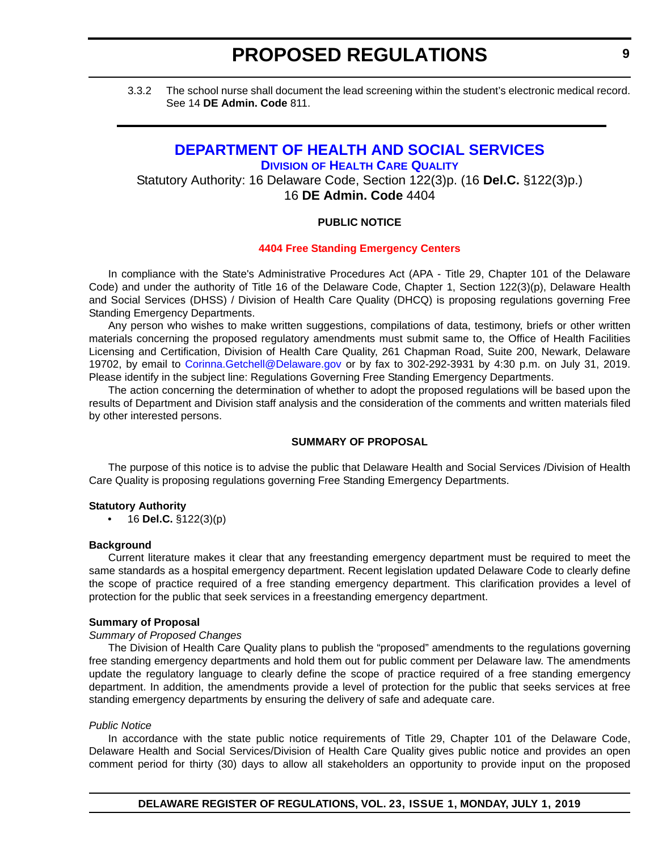<span id="page-8-0"></span>3.3.2 The school nurse shall document the lead screening within the student's electronic medical record. See 14 **DE Admin. Code** 811.

### **[DEPARTMENT OF HEALTH AND SOCIAL SERVICES](https://www.dhss.delaware.gov/dhss/index.html) DIVISION [OF HEALTH CARE QUALITY](https://www.dhss.delaware.gov/dhss/dltcrp/)**

Statutory Authority: 16 Delaware Code, Section 122(3)p. (16 **Del.C.** §122(3)p.) 16 **DE Admin. Code** 4404

#### **PUBLIC NOTICE**

#### **[4404 Free Standing Emergency Centers](#page-3-0)**

In compliance with the State's Administrative Procedures Act (APA - Title 29, Chapter 101 of the Delaware Code) and under the authority of Title 16 of the Delaware Code, Chapter 1, Section 122(3)(p), Delaware Health and Social Services (DHSS) / Division of Health Care Quality (DHCQ) is proposing regulations governing Free Standing Emergency Departments.

Any person who wishes to make written suggestions, compilations of data, testimony, briefs or other written materials concerning the proposed regulatory amendments must submit same to, the Office of Health Facilities Licensing and Certification, Division of Health Care Quality, 261 Chapman Road, Suite 200, Newark, Delaware 19702, by email to [Corinna.Getchell@Delaware.gov](mailto:Corinna.Getchell@Delaware.gov) or by fax to 302-292-3931 by 4:30 p.m. on July 31, 2019. Please identify in the subject line: Regulations Governing Free Standing Emergency Departments.

The action concerning the determination of whether to adopt the proposed regulations will be based upon the results of Department and Division staff analysis and the consideration of the comments and written materials filed by other interested persons.

#### **SUMMARY OF PROPOSAL**

The purpose of this notice is to advise the public that Delaware Health and Social Services /Division of Health Care Quality is proposing regulations governing Free Standing Emergency Departments.

#### **Statutory Authority**

• 16 **Del.C.** §122(3)(p)

#### **Background**

Current literature makes it clear that any freestanding emergency department must be required to meet the same standards as a hospital emergency department. Recent legislation updated Delaware Code to clearly define the scope of practice required of a free standing emergency department. This clarification provides a level of protection for the public that seek services in a freestanding emergency department.

#### **Summary of Proposal**

#### *Summary of Proposed Changes*

The Division of Health Care Quality plans to publish the "proposed" amendments to the regulations governing free standing emergency departments and hold them out for public comment per Delaware law. The amendments update the regulatory language to clearly define the scope of practice required of a free standing emergency department. In addition, the amendments provide a level of protection for the public that seeks services at free standing emergency departments by ensuring the delivery of safe and adequate care.

#### *Public Notice*

In accordance with the state public notice requirements of Title 29, Chapter 101 of the Delaware Code, Delaware Health and Social Services/Division of Health Care Quality gives public notice and provides an open comment period for thirty (30) days to allow all stakeholders an opportunity to provide input on the proposed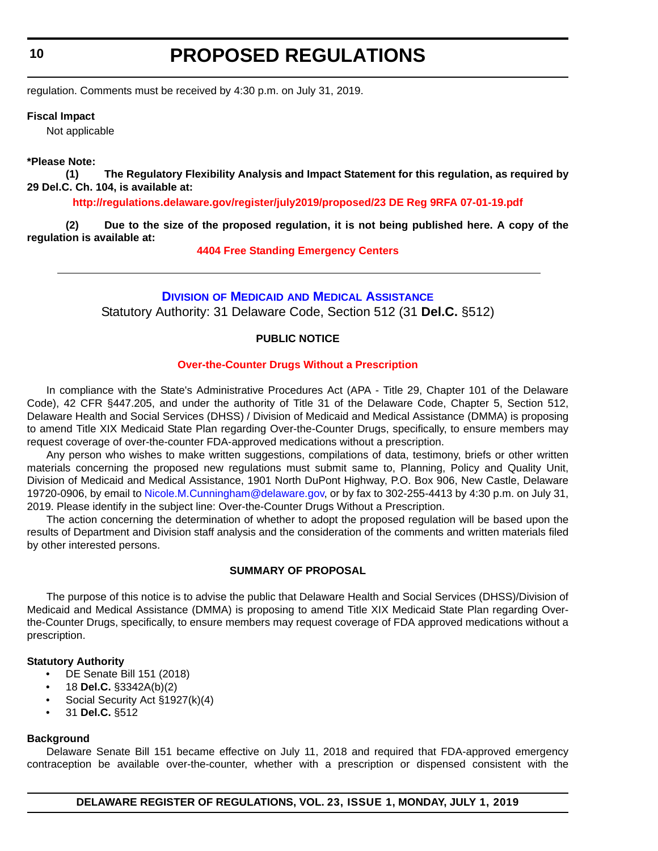<span id="page-9-0"></span>**10**

# **PROPOSED REGULATIONS**

regulation. Comments must be received by 4:30 p.m. on July 31, 2019.

#### **Fiscal Impact**

Not applicable

#### **\*Please Note:**

**(1) The Regulatory Flexibility Analysis and Impact Statement for this regulation, as required by 29 Del.C. Ch. 104, is available at:**

**<http://regulations.delaware.gov/register/july2019/proposed/23 DE Reg 9RFA 07-01-19.pdf>**

**(2) Due to the size of the proposed regulation, it is not being published here. A copy of the regulation is available at:**

**[4404 Free Standing Emergency Centers](http://regulations.delaware.gov/register/july2019/proposed/23 DE Reg 9 07-01-19.htm)**

#### **DIVISION OF MEDICAID [AND MEDICAL ASSISTANCE](https://www.dhss.delaware.gov/dhss/dmma/)**

Statutory Authority: 31 Delaware Code, Section 512 (31 **Del.C.** §512)

#### **PUBLIC NOTICE**

#### **[Over-the-Counter Drugs Without a Prescription](#page-3-0)**

In compliance with the State's Administrative Procedures Act (APA - Title 29, Chapter 101 of the Delaware Code), 42 CFR §447.205, and under the authority of Title 31 of the Delaware Code, Chapter 5, Section 512, Delaware Health and Social Services (DHSS) / Division of Medicaid and Medical Assistance (DMMA) is proposing to amend Title XIX Medicaid State Plan regarding Over-the-Counter Drugs, specifically, to ensure members may request coverage of over-the-counter FDA-approved medications without a prescription.

Any person who wishes to make written suggestions, compilations of data, testimony, briefs or other written materials concerning the proposed new regulations must submit same to, Planning, Policy and Quality Unit, Division of Medicaid and Medical Assistance, 1901 North DuPont Highway, P.O. Box 906, New Castle, Delaware 19720-0906, by email to [Nicole.M.Cunningham@delaware.gov,](mailto:Nicole.M.Cunningham@delaware.gov) or by fax to 302-255-4413 by 4:30 p.m. on July 31, 2019. Please identify in the subject line: Over-the-Counter Drugs Without a Prescription.

The action concerning the determination of whether to adopt the proposed regulation will be based upon the results of Department and Division staff analysis and the consideration of the comments and written materials filed by other interested persons.

#### **SUMMARY OF PROPOSAL**

The purpose of this notice is to advise the public that Delaware Health and Social Services (DHSS)/Division of Medicaid and Medical Assistance (DMMA) is proposing to amend Title XIX Medicaid State Plan regarding Overthe-Counter Drugs, specifically, to ensure members may request coverage of FDA approved medications without a prescription.

#### **Statutory Authority**

- DE Senate Bill 151 (2018)
- 18 **Del.C.** §3342A(b)(2)
- Social Security Act §1927(k)(4)
- 31 **Del.C.** §512

#### **Background**

Delaware Senate Bill 151 became effective on July 11, 2018 and required that FDA-approved emergency contraception be available over-the-counter, whether with a prescription or dispensed consistent with the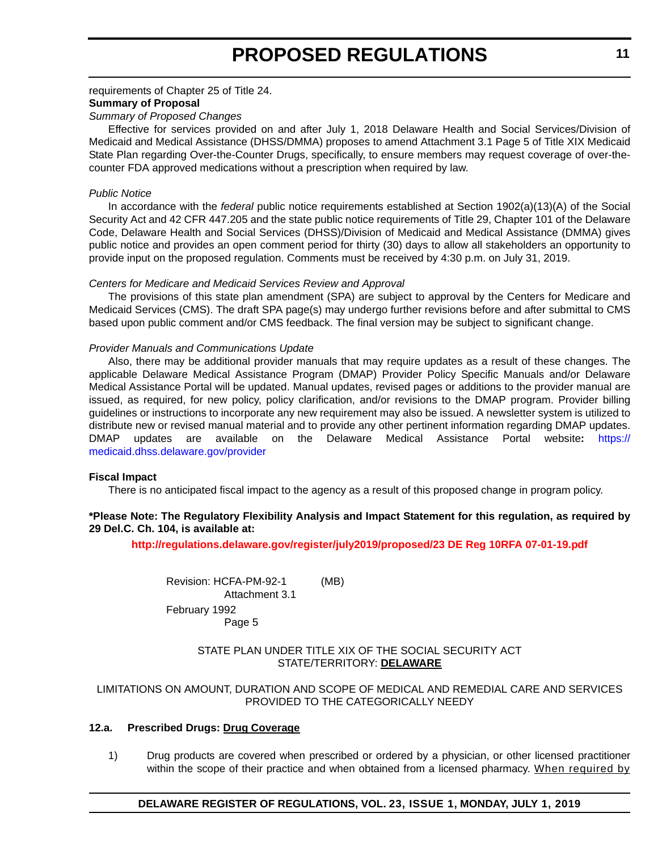#### requirements of Chapter 25 of Title 24. **Summary of Proposal**

#### *Summary of Proposed Changes*

Effective for services provided on and after July 1, 2018 Delaware Health and Social Services/Division of Medicaid and Medical Assistance (DHSS/DMMA) proposes to amend Attachment 3.1 Page 5 of Title XIX Medicaid State Plan regarding Over-the-Counter Drugs, specifically, to ensure members may request coverage of over-thecounter FDA approved medications without a prescription when required by law.

#### *Public Notice*

In accordance with the *federal* public notice requirements established at Section 1902(a)(13)(A) of the Social Security Act and 42 CFR 447.205 and the state public notice requirements of Title 29, Chapter 101 of the Delaware Code, Delaware Health and Social Services (DHSS)/Division of Medicaid and Medical Assistance (DMMA) gives public notice and provides an open comment period for thirty (30) days to allow all stakeholders an opportunity to provide input on the proposed regulation. Comments must be received by 4:30 p.m. on July 31, 2019.

#### *Centers for Medicare and Medicaid Services Review and Approval*

The provisions of this state plan amendment (SPA) are subject to approval by the Centers for Medicare and Medicaid Services (CMS). The draft SPA page(s) may undergo further revisions before and after submittal to CMS based upon public comment and/or CMS feedback. The final version may be subject to significant change.

#### *Provider Manuals and Communications Update*

Also, there may be additional provider manuals that may require updates as a result of these changes. The applicable Delaware Medical Assistance Program (DMAP) Provider Policy Specific Manuals and/or Delaware Medical Assistance Portal will be updated. Manual updates, revised pages or additions to the provider manual are issued, as required, for new policy, policy clarification, and/or revisions to the DMAP program. Provider billing guidelines or instructions to incorporate any new requirement may also be issued. A newsletter system is utilized to distribute new or revised manual material and to provide any other pertinent information regarding DMAP updates. DMAP updates are available on the Delaware Medical Assistance Portal website**:** [https://](https://medicaid.dhss.delaware.gov/provider) [medicaid.dhss.delaware.gov/provider](https://medicaid.dhss.delaware.gov/provider)

#### **Fiscal Impact**

There is no anticipated fiscal impact to the agency as a result of this proposed change in program policy.

#### **\*Please Note: The Regulatory Flexibility Analysis and Impact Statement for this regulation, as required by 29 Del.C. Ch. 104, is available at:**

**<http://regulations.delaware.gov/register/july2019/proposed/23 DE Reg 10RFA 07-01-19.pdf>**

Revision: HCFA-PM-92-1 (MB) Attachment 3.1 February 1992 Page 5

#### STATE PLAN UNDER TITLE XIX OF THE SOCIAL SECURITY ACT STATE/TERRITORY: **DELAWARE**

#### LIMITATIONS ON AMOUNT, DURATION AND SCOPE OF MEDICAL AND REMEDIAL CARE AND SERVICES PROVIDED TO THE CATEGORICALLY NEEDY

#### **12.a. Prescribed Drugs: Drug Coverage**

1) Drug products are covered when prescribed or ordered by a physician, or other licensed practitioner within the scope of their practice and when obtained from a licensed pharmacy. When required by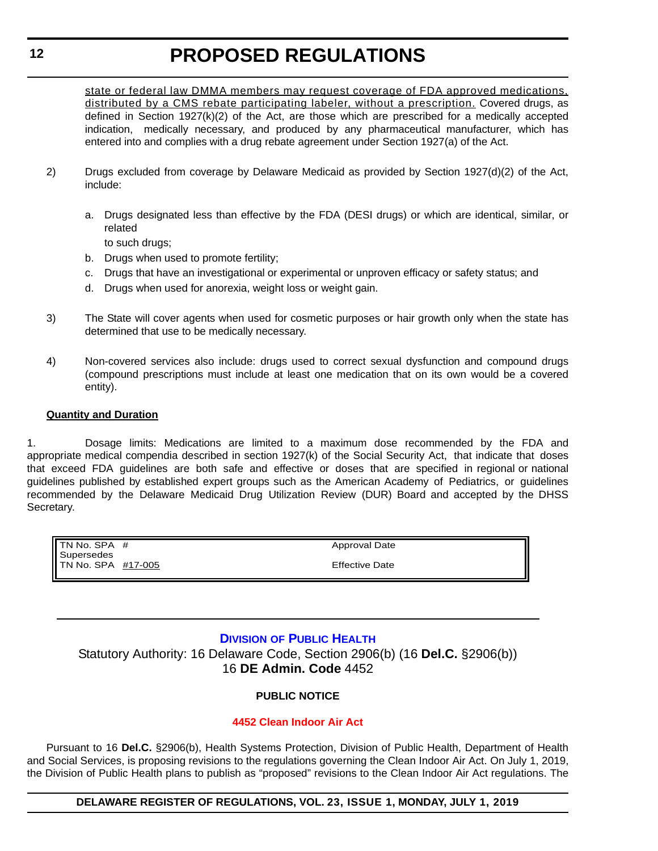<span id="page-11-0"></span>state or federal law DMMA members may request coverage of FDA approved medications, distributed by a CMS rebate participating labeler, without a prescription. Covered drugs, as defined in Section 1927(k)(2) of the Act, are those which are prescribed for a medically accepted indication, medically necessary, and produced by any pharmaceutical manufacturer, which has entered into and complies with a drug rebate agreement under Section 1927(a) of the Act.

- 2) Drugs excluded from coverage by Delaware Medicaid as provided by Section 1927(d)(2) of the Act, include:
	- a. Drugs designated less than effective by the FDA (DESI drugs) or which are identical, similar, or related

to such drugs;

- b. Drugs when used to promote fertility;
- c. Drugs that have an investigational or experimental or unproven efficacy or safety status; and
- d. Drugs when used for anorexia, weight loss or weight gain.
- 3) The State will cover agents when used for cosmetic purposes or hair growth only when the state has determined that use to be medically necessary.
- 4) Non-covered services also include: drugs used to correct sexual dysfunction and compound drugs (compound prescriptions must include at least one medication that on its own would be a covered entity).

#### **Quantity and Duration**

1. Dosage limits: Medications are limited to a maximum dose recommended by the FDA and appropriate medical compendia described in section 1927(k) of the Social Security Act, that indicate that doses that exceed FDA guidelines are both safe and effective or doses that are specified in regional or national guidelines published by established expert groups such as the American Academy of Pediatrics, or guidelines recommended by the Delaware Medicaid Drug Utilization Review (DUR) Board and accepted by the DHSS Secretary.

| II TN No. SPA #                  | Approval Date         |
|----------------------------------|-----------------------|
| Supersedes<br>TN No. SPA #17-005 | <b>Effective Date</b> |

#### **DIVISION [OF PUBLIC HEALTH](https://www.dhss.delaware.gov/dhss/dph/index.html)**

Statutory Authority: 16 Delaware Code, Section 2906(b) (16 **Del.C.** §2906(b)) 16 **DE Admin. Code** 4452

#### **PUBLIC NOTICE**

#### **[4452 Clean Indoor Air Act](#page-3-0)**

Pursuant to 16 **Del.C.** §2906(b), Health Systems Protection, Division of Public Health, Department of Health and Social Services, is proposing revisions to the regulations governing the Clean Indoor Air Act. On July 1, 2019, the Division of Public Health plans to publish as "proposed" revisions to the Clean Indoor Air Act regulations. The

#### **DELAWARE REGISTER OF REGULATIONS, VOL. 23, ISSUE 1, MONDAY, JULY 1, 2019**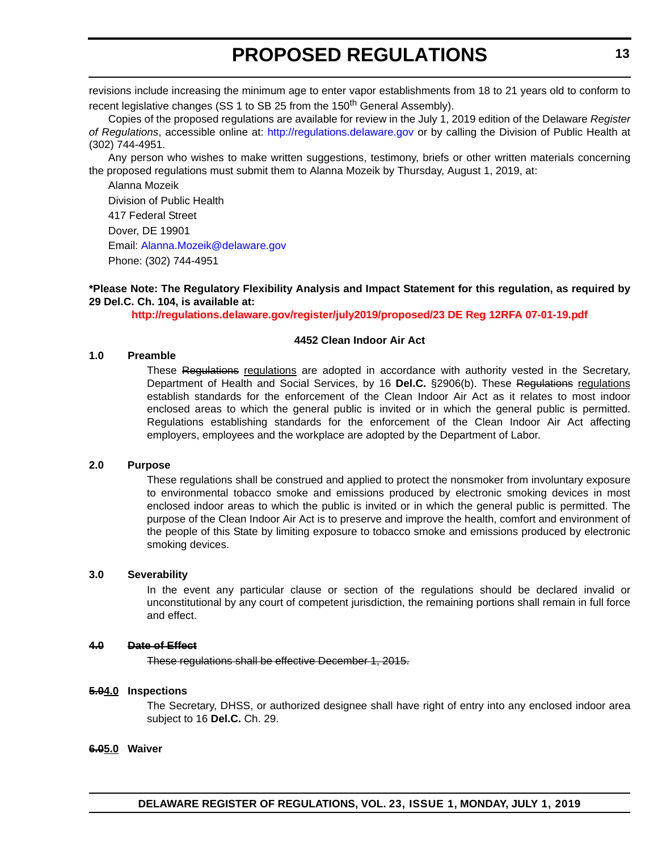revisions include increasing the minimum age to enter vapor establishments from 18 to 21 years old to conform to recent legislative changes (SS 1 to SB 25 from the  $150<sup>th</sup>$  General Assembly).

Copies of the proposed regulations are available for review in the July 1, 2019 edition of the Delaware *Register of Regulations*, accessible online at: <http://regulations.delaware.gov> or by calling the Division of Public Health at (302) 744-4951.

Any person who wishes to make written suggestions, testimony, briefs or other written materials concerning the proposed regulations must submit them to Alanna Mozeik by Thursday, August 1, 2019, at:

Alanna Mozeik Division of Public Health 417 Federal Street Dover, DE 19901 Email: [Alanna.Mozeik@delaware.gov](mailto:Alanna.Mozeik@delaware.gov) Phone: (302) 744-4951

**\*Please Note: The Regulatory Flexibility Analysis and Impact Statement for this regulation, as required by 29 Del.C. Ch. 104, is available at:**

**<http://regulations.delaware.gov/register/july2019/proposed/23 DE Reg 12RFA 07-01-19.pdf>**

#### **4452 Clean Indoor Air Act**

#### **1.0 Preamble**

These Regulations regulations are adopted in accordance with authority vested in the Secretary, Department of Health and Social Services, by 16 **Del.C.** §2906(b). These Regulations regulations establish standards for the enforcement of the Clean Indoor Air Act as it relates to most indoor enclosed areas to which the general public is invited or in which the general public is permitted. Regulations establishing standards for the enforcement of the Clean Indoor Air Act affecting employers, employees and the workplace are adopted by the Department of Labor.

#### **2.0 Purpose**

These regulations shall be construed and applied to protect the nonsmoker from involuntary exposure to environmental tobacco smoke and emissions produced by electronic smoking devices in most enclosed indoor areas to which the public is invited or in which the general public is permitted. The purpose of the Clean Indoor Air Act is to preserve and improve the health, comfort and environment of the people of this State by limiting exposure to tobacco smoke and emissions produced by electronic smoking devices.

#### **3.0 Severability**

In the event any particular clause or section of the regulations should be declared invalid or unconstitutional by any court of competent jurisdiction, the remaining portions shall remain in full force and effect.

#### **4.0 Date of Effect**

These regulations shall be effective December 1, 2015.

#### **5.04.0 Inspections**

The Secretary, DHSS, or authorized designee shall have right of entry into any enclosed indoor area subject to 16 **Del.C.** Ch. 29.

**6.05.0 Waiver**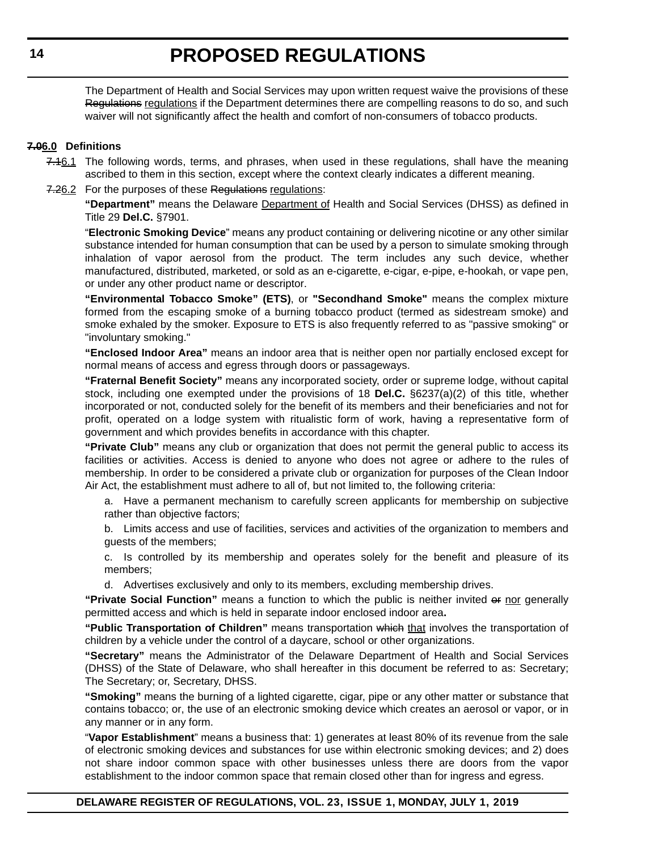The Department of Health and Social Services may upon written request waive the provisions of these Regulations regulations if the Department determines there are compelling reasons to do so, and such waiver will not significantly affect the health and comfort of non-consumers of tobacco products.

#### **7.06.0 Definitions**

- 7.16.1 The following words, terms, and phrases, when used in these regulations, shall have the meaning ascribed to them in this section, except where the context clearly indicates a different meaning.
- 7.26.2 For the purposes of these Regulations regulations:

**"Department"** means the Delaware Department of Health and Social Services (DHSS) as defined in Title 29 **Del.C.** §7901.

"**Electronic Smoking Device**" means any product containing or delivering nicotine or any other similar substance intended for human consumption that can be used by a person to simulate smoking through inhalation of vapor aerosol from the product. The term includes any such device, whether manufactured, distributed, marketed, or sold as an e-cigarette, e-cigar, e-pipe, e-hookah, or vape pen, or under any other product name or descriptor.

**"Environmental Tobacco Smoke" (ETS)**, or **"Secondhand Smoke"** means the complex mixture formed from the escaping smoke of a burning tobacco product (termed as sidestream smoke) and smoke exhaled by the smoker. Exposure to ETS is also frequently referred to as "passive smoking" or "involuntary smoking."

**"Enclosed Indoor Area"** means an indoor area that is neither open nor partially enclosed except for normal means of access and egress through doors or passageways.

**"Fraternal Benefit Society"** means any incorporated society, order or supreme lodge, without capital stock, including one exempted under the provisions of 18 **Del.C.** §6237(a)(2) of this title, whether incorporated or not, conducted solely for the benefit of its members and their beneficiaries and not for profit, operated on a lodge system with ritualistic form of work, having a representative form of government and which provides benefits in accordance with this chapter.

**"Private Club"** means any club or organization that does not permit the general public to access its facilities or activities. Access is denied to anyone who does not agree or adhere to the rules of membership. In order to be considered a private club or organization for purposes of the Clean Indoor Air Act, the establishment must adhere to all of, but not limited to, the following criteria:

a. Have a permanent mechanism to carefully screen applicants for membership on subjective rather than objective factors;

b. Limits access and use of facilities, services and activities of the organization to members and guests of the members;

c. Is controlled by its membership and operates solely for the benefit and pleasure of its members;

d. Advertises exclusively and only to its members, excluding membership drives.

**"Private Social Function"** means a function to which the public is neither invited or nor generally permitted access and which is held in separate indoor enclosed indoor area**.**

**"Public Transportation of Children"** means transportation which that involves the transportation of children by a vehicle under the control of a daycare, school or other organizations.

**"Secretary"** means the Administrator of the Delaware Department of Health and Social Services (DHSS) of the State of Delaware, who shall hereafter in this document be referred to as: Secretary; The Secretary; or, Secretary, DHSS.

**"Smoking"** means the burning of a lighted cigarette, cigar, pipe or any other matter or substance that contains tobacco; or, the use of an electronic smoking device which creates an aerosol or vapor, or in any manner or in any form.

"**Vapor Establishment**" means a business that: 1) generates at least 80% of its revenue from the sale of electronic smoking devices and substances for use within electronic smoking devices; and 2) does not share indoor common space with other businesses unless there are doors from the vapor establishment to the indoor common space that remain closed other than for ingress and egress.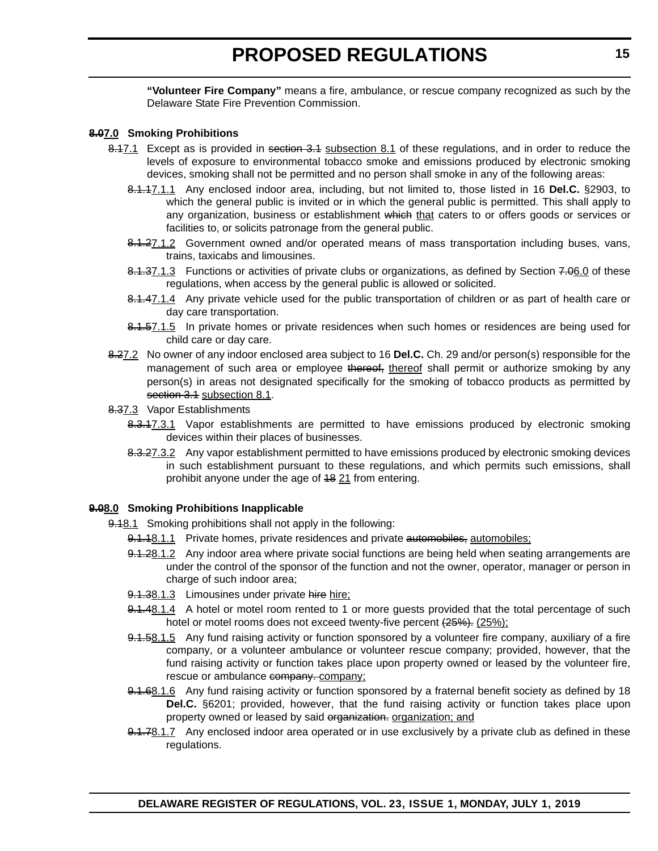**"Volunteer Fire Company"** means a fire, ambulance, or rescue company recognized as such by the Delaware State Fire Prevention Commission.

#### **8.07.0 Smoking Prohibitions**

- 8.47.1 Except as is provided in section 3.4 subsection 8.1 of these regulations, and in order to reduce the levels of exposure to environmental tobacco smoke and emissions produced by electronic smoking devices, smoking shall not be permitted and no person shall smoke in any of the following areas:
	- 8.1.17.1.1 Any enclosed indoor area, including, but not limited to, those listed in 16 **Del.C.** §2903, to which the general public is invited or in which the general public is permitted. This shall apply to any organization, business or establishment which that caters to or offers goods or services or facilities to, or solicits patronage from the general public.
	- 8.1.27.1.2 Government owned and/or operated means of mass transportation including buses, vans, trains, taxicabs and limousines.
	- 8.1.37.1.3 Functions or activities of private clubs or organizations, as defined by Section 7.06.0 of these regulations, when access by the general public is allowed or solicited.
	- 8.1.47.1.4 Any private vehicle used for the public transportation of children or as part of health care or day care transportation.
	- 8.1.57.1.5 In private homes or private residences when such homes or residences are being used for child care or day care.
- 8.27.2 No owner of any indoor enclosed area subject to 16 **Del.C.** Ch. 29 and/or person(s) responsible for the management of such area or employee thereof, thereof shall permit or authorize smoking by any person(s) in areas not designated specifically for the smoking of tobacco products as permitted by section 3.1 subsection 8.1.
- 8.37.3 Vapor Establishments
	- 8.3.17.3.1 Vapor establishments are permitted to have emissions produced by electronic smoking devices within their places of businesses.
	- 8.3.27.3.2 Any vapor establishment permitted to have emissions produced by electronic smoking devices in such establishment pursuant to these regulations, and which permits such emissions, shall prohibit anyone under the age of 48 21 from entering.

#### **9.08.0 Smoking Prohibitions Inapplicable**

- 9.18.1 Smoking prohibitions shall not apply in the following:
	- 9.1.18.1.1 Private homes, private residences and private automobiles, automobiles;
	- 9.1.28.1.2 Any indoor area where private social functions are being held when seating arrangements are under the control of the sponsor of the function and not the owner, operator, manager or person in charge of such indoor area;
	- 9.1.38.1.3 Limousines under private hire hire;
	- 9.1.48.1.4 A hotel or motel room rented to 1 or more guests provided that the total percentage of such hotel or motel rooms does not exceed twenty-five percent (25%). (25%);
	- 9.1.58.1.5 Any fund raising activity or function sponsored by a volunteer fire company, auxiliary of a fire company, or a volunteer ambulance or volunteer rescue company; provided, however, that the fund raising activity or function takes place upon property owned or leased by the volunteer fire, rescue or ambulance company. company;
	- 9.1.68.1.6 Any fund raising activity or function sponsored by a fraternal benefit society as defined by 18 **Del.C.** §6201; provided, however, that the fund raising activity or function takes place upon property owned or leased by said organization. organization; and
	- 9.1.78.1.7 Any enclosed indoor area operated or in use exclusively by a private club as defined in these regulations.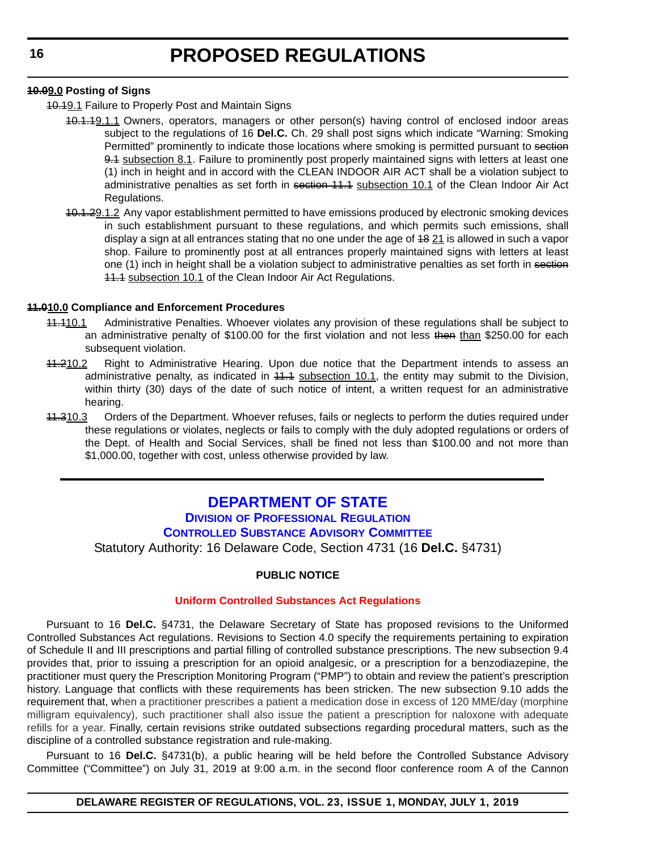#### <span id="page-15-0"></span>**10.09.0 Posting of Signs**

- 10.19.1 Failure to Properly Post and Maintain Signs
	- 10.1.19.1.1 Owners, operators, managers or other person(s) having control of enclosed indoor areas subject to the regulations of 16 **Del.C.** Ch. 29 shall post signs which indicate "Warning: Smoking Permitted" prominently to indicate those locations where smoking is permitted pursuant to section 9.4 subsection 8.1. Failure to prominently post properly maintained signs with letters at least one (1) inch in height and in accord with the CLEAN INDOOR AIR ACT shall be a violation subject to administrative penalties as set forth in section 11.1 subsection 10.1 of the Clean Indoor Air Act Regulations.
	- 10.1.29.1.2 Any vapor establishment permitted to have emissions produced by electronic smoking devices in such establishment pursuant to these regulations, and which permits such emissions, shall display a sign at all entrances stating that no one under the age of 48 21 is allowed in such a vapor shop. Failure to prominently post at all entrances properly maintained signs with letters at least one (1) inch in height shall be a violation subject to administrative penalties as set forth in section 11.1 subsection 10.1 of the Clean Indoor Air Act Regulations.

#### **11.010.0 Compliance and Enforcement Procedures**

- 11.110.1 Administrative Penalties. Whoever violates any provision of these regulations shall be subject to an administrative penalty of \$100.00 for the first violation and not less then than \$250.00 for each subsequent violation.
- 41.210.2 Right to Administrative Hearing. Upon due notice that the Department intends to assess an administrative penalty, as indicated in 44.4 subsection 10.1, the entity may submit to the Division, within thirty (30) days of the date of such notice of intent, a written request for an administrative hearing.
- 44.310.3 Orders of the Department. Whoever refuses, fails or neglects to perform the duties required under these regulations or violates, neglects or fails to comply with the duly adopted regulations or orders of the Dept. of Health and Social Services, shall be fined not less than \$100.00 and not more than \$1,000.00, together with cost, unless otherwise provided by law.

### **[DEPARTMENT OF STATE](https://sos.delaware.gov/)**

### **DIVISION [OF PROFESSIONAL REGULATION](https://dpr.delaware.gov/)**

#### **[CONTROLLED SUBSTANCE ADVISORY COMMITTEE](https://dpr.delaware.gov/boards/controlledsubstances/)**

Statutory Authority: 16 Delaware Code, Section 4731 (16 **Del.C.** §4731)

#### **PUBLIC NOTICE**

#### **[Uniform Controlled Substances Act Regulations](#page-3-0)**

Pursuant to 16 **Del.C.** §4731, the Delaware Secretary of State has proposed revisions to the Uniformed Controlled Substances Act regulations. Revisions to Section 4.0 specify the requirements pertaining to expiration of Schedule II and III prescriptions and partial filling of controlled substance prescriptions. The new subsection 9.4 provides that, prior to issuing a prescription for an opioid analgesic, or a prescription for a benzodiazepine, the practitioner must query the Prescription Monitoring Program ("PMP") to obtain and review the patient's prescription history. Language that conflicts with these requirements has been stricken. The new subsection 9.10 adds the requirement that, when a practitioner prescribes a patient a medication dose in excess of 120 MME/day (morphine milligram equivalency), such practitioner shall also issue the patient a prescription for naloxone with adequate refills for a year. Finally, certain revisions strike outdated subsections regarding procedural matters, such as the discipline of a controlled substance registration and rule-making.

Pursuant to 16 **Del.C.** §4731(b), a public hearing will be held before the Controlled Substance Advisory Committee ("Committee") on July 31, 2019 at 9:00 a.m. in the second floor conference room A of the Cannon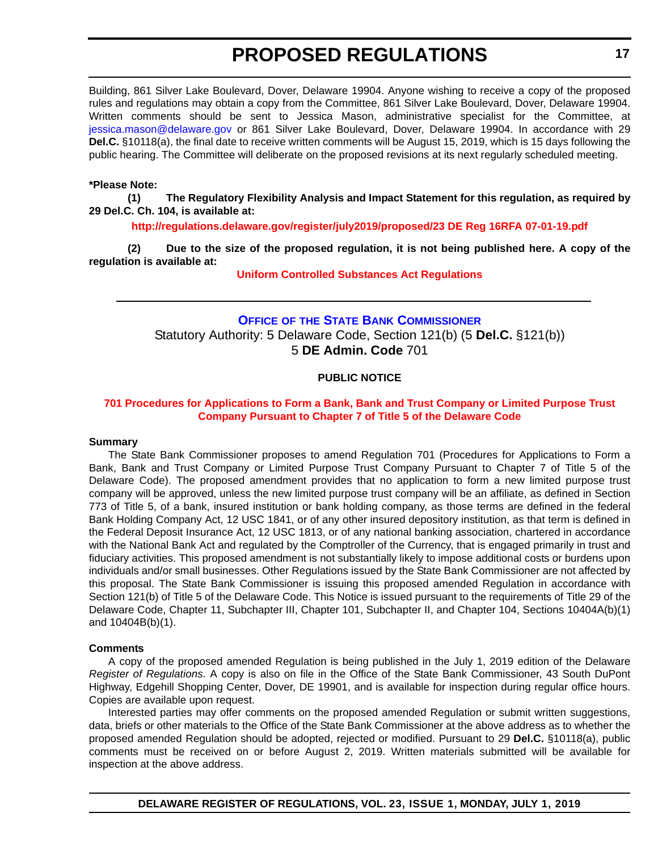<span id="page-16-0"></span>Building, 861 Silver Lake Boulevard, Dover, Delaware 19904. Anyone wishing to receive a copy of the proposed rules and regulations may obtain a copy from the Committee, 861 Silver Lake Boulevard, Dover, Delaware 19904. Written comments should be sent to Jessica Mason, administrative specialist for the Committee, at [jessica.mason@delaware.gov](mailto:jessica.mason@delaware.gov) or 861 Silver Lake Boulevard, Dover, Delaware 19904. In accordance with 29 **Del.C.** §10118(a), the final date to receive written comments will be August 15, 2019, which is 15 days following the public hearing. The Committee will deliberate on the proposed revisions at its next regularly scheduled meeting.

#### **\*Please Note:**

**(1) The Regulatory Flexibility Analysis and Impact Statement for this regulation, as required by 29 Del.C. Ch. 104, is available at:**

**<http://regulations.delaware.gov/register/july2019/proposed/23 DE Reg 16RFA 07-01-19.pdf>**

**(2) Due to the size of the proposed regulation, it is not being published here. A copy of the regulation is available at:**

**[Uniform Controlled Substances Act Regulations](http://regulations.delaware.gov/register/july2019/proposed/23 DE Reg 16 07-01-19.htm)**

#### **OFFICE OF [THE STATE BANK COMMISSIONER](https://banking.delaware.gov/)** Statutory Authority: 5 Delaware Code, Section 121(b) (5 **Del.C.** §121(b))

5 **DE Admin. Code** 701

#### **PUBLIC NOTICE**

#### **[701 Procedures for Applications to Form a Bank, Bank and Trust Company or Limited Purpose Trust](#page-3-0)  Company Pursuant to Chapter 7 of Title 5 of the Delaware Code**

#### **Summary**

The State Bank Commissioner proposes to amend Regulation 701 (Procedures for Applications to Form a Bank, Bank and Trust Company or Limited Purpose Trust Company Pursuant to Chapter 7 of Title 5 of the Delaware Code). The proposed amendment provides that no application to form a new limited purpose trust company will be approved, unless the new limited purpose trust company will be an affiliate, as defined in Section 773 of Title 5, of a bank, insured institution or bank holding company, as those terms are defined in the federal Bank Holding Company Act, 12 USC 1841, or of any other insured depository institution, as that term is defined in the Federal Deposit Insurance Act, 12 USC 1813, or of any national banking association, chartered in accordance with the National Bank Act and regulated by the Comptroller of the Currency, that is engaged primarily in trust and fiduciary activities. This proposed amendment is not substantially likely to impose additional costs or burdens upon individuals and/or small businesses. Other Regulations issued by the State Bank Commissioner are not affected by this proposal. The State Bank Commissioner is issuing this proposed amended Regulation in accordance with Section 121(b) of Title 5 of the Delaware Code. This Notice is issued pursuant to the requirements of Title 29 of the Delaware Code, Chapter 11, Subchapter III, Chapter 101, Subchapter II, and Chapter 104, Sections 10404A(b)(1) and 10404B(b)(1).

#### **Comments**

A copy of the proposed amended Regulation is being published in the July 1, 2019 edition of the Delaware *Register of Regulations*. A copy is also on file in the Office of the State Bank Commissioner, 43 South DuPont Highway, Edgehill Shopping Center, Dover, DE 19901, and is available for inspection during regular office hours. Copies are available upon request.

Interested parties may offer comments on the proposed amended Regulation or submit written suggestions, data, briefs or other materials to the Office of the State Bank Commissioner at the above address as to whether the proposed amended Regulation should be adopted, rejected or modified. Pursuant to 29 **Del.C.** §10118(a), public comments must be received on or before August 2, 2019. Written materials submitted will be available for inspection at the above address.

**DELAWARE REGISTER OF REGULATIONS, VOL. 23, ISSUE 1, MONDAY, JULY 1, 2019**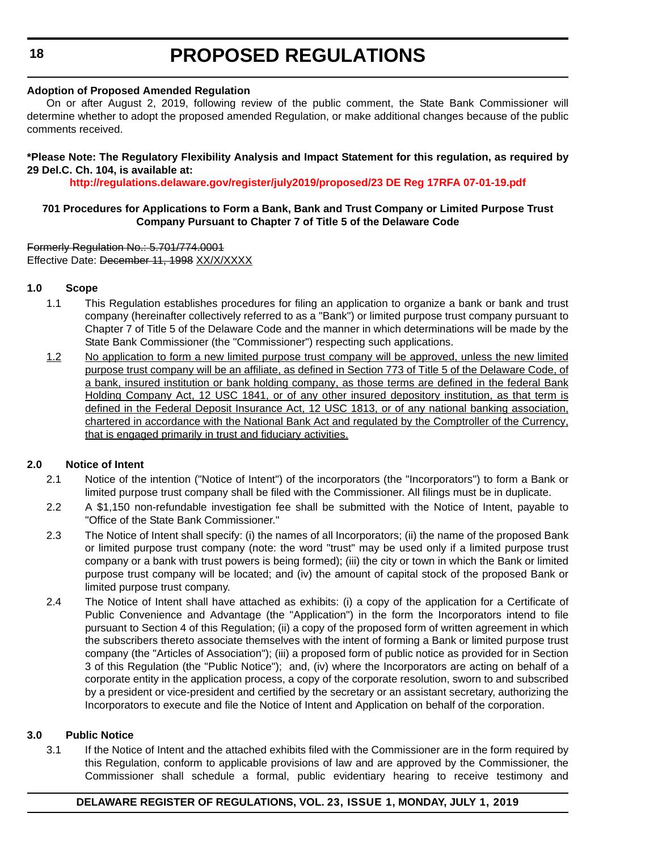#### **Adoption of Proposed Amended Regulation**

On or after August 2, 2019, following review of the public comment, the State Bank Commissioner will determine whether to adopt the proposed amended Regulation, or make additional changes because of the public comments received.

#### **\*Please Note: The Regulatory Flexibility Analysis and Impact Statement for this regulation, as required by 29 Del.C. Ch. 104, is available at:**

**<http://regulations.delaware.gov/register/july2019/proposed/23 DE Reg 17RFA 07-01-19.pdf>**

#### **701 Procedures for Applications to Form a Bank, Bank and Trust Company or Limited Purpose Trust Company Pursuant to Chapter 7 of Title 5 of the Delaware Code**

Formerly Regulation No.: 5.701/774.0001 Effective Date: December 11, 1998 XX/X/XXXX

#### **1.0 Scope**

- 1.1 This Regulation establishes procedures for filing an application to organize a bank or bank and trust company (hereinafter collectively referred to as a "Bank") or limited purpose trust company pursuant to Chapter 7 of Title 5 of the Delaware Code and the manner in which determinations will be made by the State Bank Commissioner (the "Commissioner") respecting such applications.
- 1.2 No application to form a new limited purpose trust company will be approved, unless the new limited purpose trust company will be an affiliate, as defined in Section 773 of Title 5 of the Delaware Code, of a bank, insured institution or bank holding company, as those terms are defined in the federal Bank Holding Company Act, 12 USC 1841, or of any other insured depository institution, as that term is defined in the Federal Deposit Insurance Act, 12 USC 1813, or of any national banking association, chartered in accordance with the National Bank Act and regulated by the Comptroller of the Currency, that is engaged primarily in trust and fiduciary activities.

#### **2.0 Notice of Intent**

- 2.1 Notice of the intention ("Notice of Intent") of the incorporators (the "Incorporators") to form a Bank or limited purpose trust company shall be filed with the Commissioner. All filings must be in duplicate.
- 2.2 A \$1,150 non-refundable investigation fee shall be submitted with the Notice of Intent, payable to "Office of the State Bank Commissioner."
- 2.3 The Notice of Intent shall specify: (i) the names of all Incorporators; (ii) the name of the proposed Bank or limited purpose trust company (note: the word "trust" may be used only if a limited purpose trust company or a bank with trust powers is being formed); (iii) the city or town in which the Bank or limited purpose trust company will be located; and (iv) the amount of capital stock of the proposed Bank or limited purpose trust company.
- 2.4 The Notice of Intent shall have attached as exhibits: (i) a copy of the application for a Certificate of Public Convenience and Advantage (the "Application") in the form the Incorporators intend to file pursuant to Section 4 of this Regulation; (ii) a copy of the proposed form of written agreement in which the subscribers thereto associate themselves with the intent of forming a Bank or limited purpose trust company (the "Articles of Association"); (iii) a proposed form of public notice as provided for in Section 3 of this Regulation (the "Public Notice"); and, (iv) where the Incorporators are acting on behalf of a corporate entity in the application process, a copy of the corporate resolution, sworn to and subscribed by a president or vice-president and certified by the secretary or an assistant secretary, authorizing the Incorporators to execute and file the Notice of Intent and Application on behalf of the corporation.

#### **3.0 Public Notice**

3.1 If the Notice of Intent and the attached exhibits filed with the Commissioner are in the form required by this Regulation, conform to applicable provisions of law and are approved by the Commissioner, the Commissioner shall schedule a formal, public evidentiary hearing to receive testimony and

#### **DELAWARE REGISTER OF REGULATIONS, VOL. 23, ISSUE 1, MONDAY, JULY 1, 2019**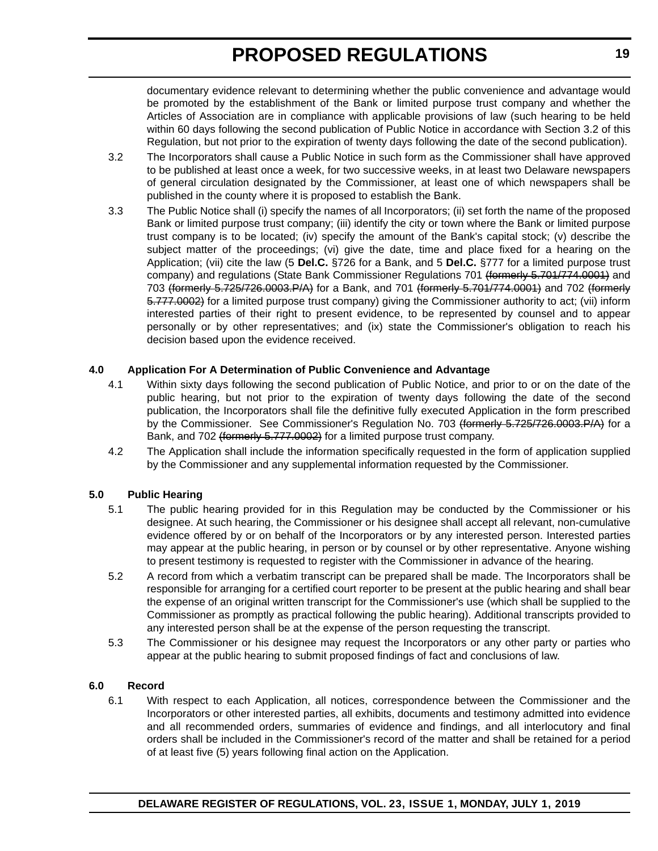documentary evidence relevant to determining whether the public convenience and advantage would be promoted by the establishment of the Bank or limited purpose trust company and whether the Articles of Association are in compliance with applicable provisions of law (such hearing to be held within 60 days following the second publication of Public Notice in accordance with Section 3.2 of this Regulation, but not prior to the expiration of twenty days following the date of the second publication).

- 3.2 The Incorporators shall cause a Public Notice in such form as the Commissioner shall have approved to be published at least once a week, for two successive weeks, in at least two Delaware newspapers of general circulation designated by the Commissioner, at least one of which newspapers shall be published in the county where it is proposed to establish the Bank.
- 3.3 The Public Notice shall (i) specify the names of all Incorporators; (ii) set forth the name of the proposed Bank or limited purpose trust company; (iii) identify the city or town where the Bank or limited purpose trust company is to be located; (iv) specify the amount of the Bank's capital stock; (v) describe the subject matter of the proceedings; (vi) give the date, time and place fixed for a hearing on the Application; (vii) cite the law (5 **Del.C.** §726 for a Bank, and 5 **Del.C.** §777 for a limited purpose trust company) and regulations (State Bank Commissioner Regulations 701 (formerly 5.701/774.0001) and 703 (formerly 5.725/726.0003.P/A) for a Bank, and 701 (formerly 5.701/774.0001) and 702 (formerly 5.777.0002) for a limited purpose trust company) giving the Commissioner authority to act; (vii) inform interested parties of their right to present evidence, to be represented by counsel and to appear personally or by other representatives; and (ix) state the Commissioner's obligation to reach his decision based upon the evidence received.

#### **4.0 Application For A Determination of Public Convenience and Advantage**

- 4.1 Within sixty days following the second publication of Public Notice, and prior to or on the date of the public hearing, but not prior to the expiration of twenty days following the date of the second publication, the Incorporators shall file the definitive fully executed Application in the form prescribed by the Commissioner. See Commissioner's Regulation No. 703 (formerly 5.725/726.0003.P/A) for a Bank, and 702 (formerly 5.777.0002) for a limited purpose trust company.
- 4.2 The Application shall include the information specifically requested in the form of application supplied by the Commissioner and any supplemental information requested by the Commissioner.

#### **5.0 Public Hearing**

- 5.1 The public hearing provided for in this Regulation may be conducted by the Commissioner or his designee. At such hearing, the Commissioner or his designee shall accept all relevant, non-cumulative evidence offered by or on behalf of the Incorporators or by any interested person. Interested parties may appear at the public hearing, in person or by counsel or by other representative. Anyone wishing to present testimony is requested to register with the Commissioner in advance of the hearing.
- 5.2 A record from which a verbatim transcript can be prepared shall be made. The Incorporators shall be responsible for arranging for a certified court reporter to be present at the public hearing and shall bear the expense of an original written transcript for the Commissioner's use (which shall be supplied to the Commissioner as promptly as practical following the public hearing). Additional transcripts provided to any interested person shall be at the expense of the person requesting the transcript.
- 5.3 The Commissioner or his designee may request the Incorporators or any other party or parties who appear at the public hearing to submit proposed findings of fact and conclusions of law.

#### **6.0 Record**

6.1 With respect to each Application, all notices, correspondence between the Commissioner and the Incorporators or other interested parties, all exhibits, documents and testimony admitted into evidence and all recommended orders, summaries of evidence and findings, and all interlocutory and final orders shall be included in the Commissioner's record of the matter and shall be retained for a period of at least five (5) years following final action on the Application.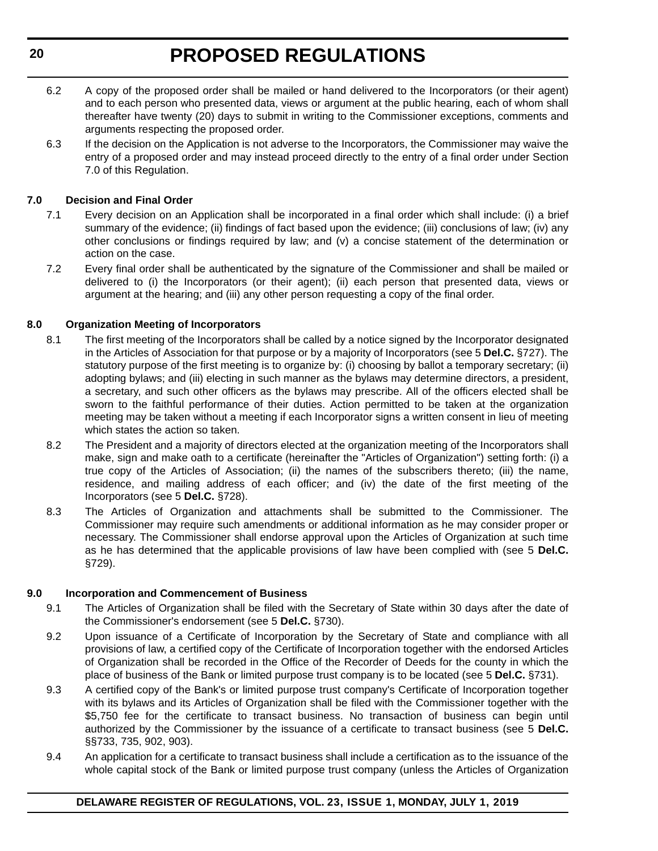- 6.2 A copy of the proposed order shall be mailed or hand delivered to the Incorporators (or their agent) and to each person who presented data, views or argument at the public hearing, each of whom shall thereafter have twenty (20) days to submit in writing to the Commissioner exceptions, comments and arguments respecting the proposed order.
- 6.3 If the decision on the Application is not adverse to the Incorporators, the Commissioner may waive the entry of a proposed order and may instead proceed directly to the entry of a final order under Section 7.0 of this Regulation.

#### **7.0 Decision and Final Order**

- 7.1 Every decision on an Application shall be incorporated in a final order which shall include: (i) a brief summary of the evidence; (ii) findings of fact based upon the evidence; (iii) conclusions of law; (iv) any other conclusions or findings required by law; and (v) a concise statement of the determination or action on the case.
- 7.2 Every final order shall be authenticated by the signature of the Commissioner and shall be mailed or delivered to (i) the Incorporators (or their agent); (ii) each person that presented data, views or argument at the hearing; and (iii) any other person requesting a copy of the final order.

#### **8.0 Organization Meeting of Incorporators**

- 8.1 The first meeting of the Incorporators shall be called by a notice signed by the Incorporator designated in the Articles of Association for that purpose or by a majority of Incorporators (see 5 **Del.C.** §727). The statutory purpose of the first meeting is to organize by: (i) choosing by ballot a temporary secretary; (ii) adopting bylaws; and (iii) electing in such manner as the bylaws may determine directors, a president, a secretary, and such other officers as the bylaws may prescribe. All of the officers elected shall be sworn to the faithful performance of their duties. Action permitted to be taken at the organization meeting may be taken without a meeting if each Incorporator signs a written consent in lieu of meeting which states the action so taken.
- 8.2 The President and a majority of directors elected at the organization meeting of the Incorporators shall make, sign and make oath to a certificate (hereinafter the "Articles of Organization") setting forth: (i) a true copy of the Articles of Association; (ii) the names of the subscribers thereto; (iii) the name, residence, and mailing address of each officer; and (iv) the date of the first meeting of the Incorporators (see 5 **Del.C.** §728).
- 8.3 The Articles of Organization and attachments shall be submitted to the Commissioner. The Commissioner may require such amendments or additional information as he may consider proper or necessary. The Commissioner shall endorse approval upon the Articles of Organization at such time as he has determined that the applicable provisions of law have been complied with (see 5 **Del.C.** §729).

#### **9.0 Incorporation and Commencement of Business**

- 9.1 The Articles of Organization shall be filed with the Secretary of State within 30 days after the date of the Commissioner's endorsement (see 5 **Del.C.** §730).
- 9.2 Upon issuance of a Certificate of Incorporation by the Secretary of State and compliance with all provisions of law, a certified copy of the Certificate of Incorporation together with the endorsed Articles of Organization shall be recorded in the Office of the Recorder of Deeds for the county in which the place of business of the Bank or limited purpose trust company is to be located (see 5 **Del.C.** §731).
- 9.3 A certified copy of the Bank's or limited purpose trust company's Certificate of Incorporation together with its bylaws and its Articles of Organization shall be filed with the Commissioner together with the \$5,750 fee for the certificate to transact business. No transaction of business can begin until authorized by the Commissioner by the issuance of a certificate to transact business (see 5 **Del.C.** §§733, 735, 902, 903).
- 9.4 An application for a certificate to transact business shall include a certification as to the issuance of the whole capital stock of the Bank or limited purpose trust company (unless the Articles of Organization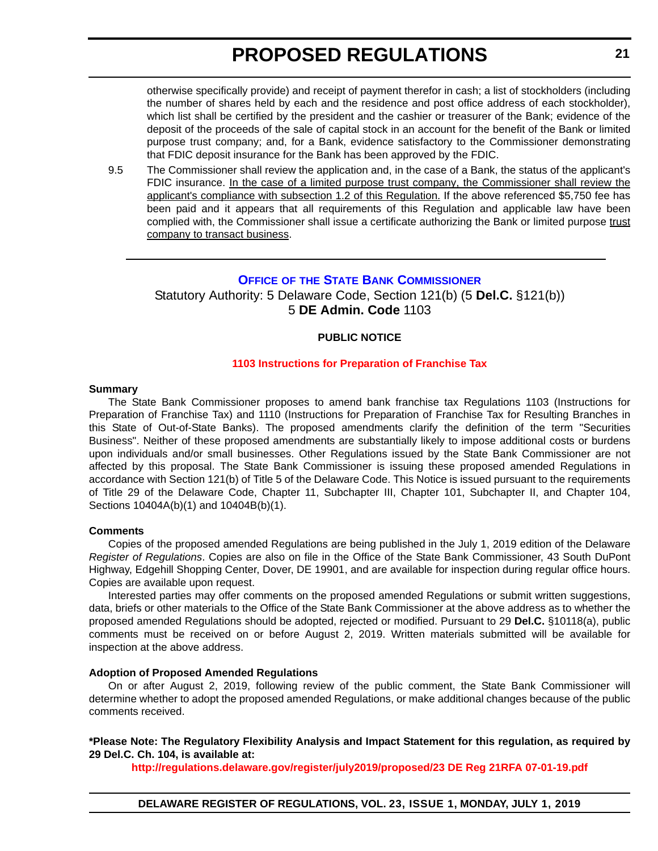<span id="page-20-0"></span>otherwise specifically provide) and receipt of payment therefor in cash; a list of stockholders (including the number of shares held by each and the residence and post office address of each stockholder), which list shall be certified by the president and the cashier or treasurer of the Bank; evidence of the deposit of the proceeds of the sale of capital stock in an account for the benefit of the Bank or limited purpose trust company; and, for a Bank, evidence satisfactory to the Commissioner demonstrating that FDIC deposit insurance for the Bank has been approved by the FDIC.

9.5 The Commissioner shall review the application and, in the case of a Bank, the status of the applicant's FDIC insurance. In the case of a limited purpose trust company, the Commissioner shall review the applicant's compliance with subsection 1.2 of this Regulation. If the above referenced \$5,750 fee has been paid and it appears that all requirements of this Regulation and applicable law have been complied with, the Commissioner shall issue a certificate authorizing the Bank or limited purpose trust company to transact business.

#### **OFFICE OF [THE STATE BANK COMMISSIONER](https://banking.delaware.gov/)**

Statutory Authority: 5 Delaware Code, Section 121(b) (5 **Del.C.** §121(b)) 5 **DE Admin. Code** 1103

#### **PUBLIC NOTICE**

#### **[1103 Instructions for Preparation of Franchise Tax](#page-3-0)**

#### **Summary**

The State Bank Commissioner proposes to amend bank franchise tax Regulations 1103 (Instructions for Preparation of Franchise Tax) and 1110 (Instructions for Preparation of Franchise Tax for Resulting Branches in this State of Out-of-State Banks). The proposed amendments clarify the definition of the term "Securities Business". Neither of these proposed amendments are substantially likely to impose additional costs or burdens upon individuals and/or small businesses. Other Regulations issued by the State Bank Commissioner are not affected by this proposal. The State Bank Commissioner is issuing these proposed amended Regulations in accordance with Section 121(b) of Title 5 of the Delaware Code. This Notice is issued pursuant to the requirements of Title 29 of the Delaware Code, Chapter 11, Subchapter III, Chapter 101, Subchapter II, and Chapter 104, Sections 10404A(b)(1) and 10404B(b)(1).

#### **Comments**

Copies of the proposed amended Regulations are being published in the July 1, 2019 edition of the Delaware *Register of Regulations*. Copies are also on file in the Office of the State Bank Commissioner, 43 South DuPont Highway, Edgehill Shopping Center, Dover, DE 19901, and are available for inspection during regular office hours. Copies are available upon request.

Interested parties may offer comments on the proposed amended Regulations or submit written suggestions, data, briefs or other materials to the Office of the State Bank Commissioner at the above address as to whether the proposed amended Regulations should be adopted, rejected or modified. Pursuant to 29 **Del.C.** §10118(a), public comments must be received on or before August 2, 2019. Written materials submitted will be available for inspection at the above address.

#### **Adoption of Proposed Amended Regulations**

On or after August 2, 2019, following review of the public comment, the State Bank Commissioner will determine whether to adopt the proposed amended Regulations, or make additional changes because of the public comments received.

#### **\*Please Note: The Regulatory Flexibility Analysis and Impact Statement for this regulation, as required by 29 Del.C. Ch. 104, is available at:**

**<http://regulations.delaware.gov/register/july2019/proposed/23 DE Reg 21RFA 07-01-19.pdf>**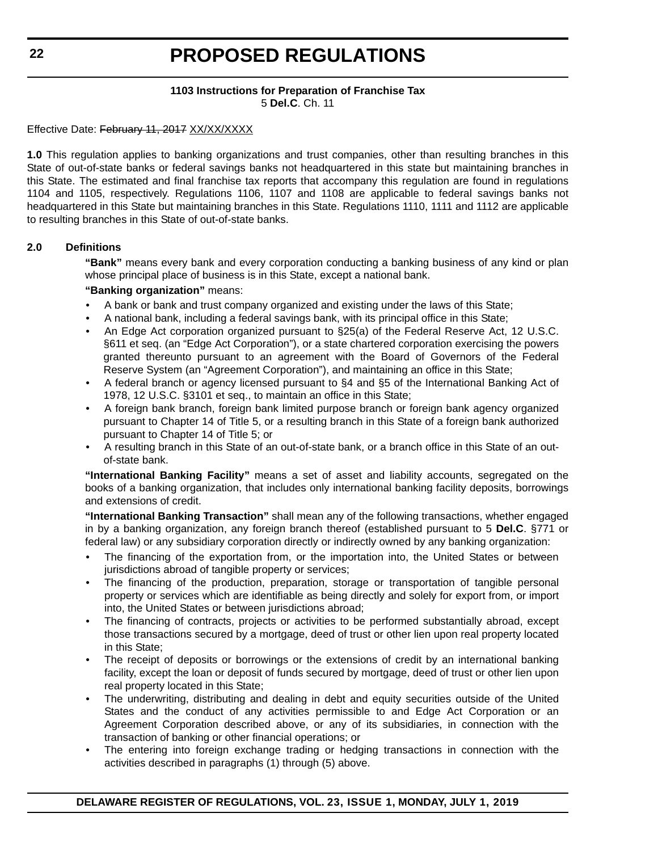#### **1103 Instructions for Preparation of Franchise Tax** 5 **Del.C**. Ch. 11

Effective Date: February 11, 2017 XX/XX/XXXX

**1.0** This regulation applies to banking organizations and trust companies, other than resulting branches in this State of out-of-state banks or federal savings banks not headquartered in this state but maintaining branches in this State. The estimated and final franchise tax reports that accompany this regulation are found in regulations 1104 and 1105, respectively. Regulations 1106, 1107 and 1108 are applicable to federal savings banks not headquartered in this State but maintaining branches in this State. Regulations 1110, 1111 and 1112 are applicable to resulting branches in this State of out-of-state banks.

#### **2.0 Definitions**

**"Bank"** means every bank and every corporation conducting a banking business of any kind or plan whose principal place of business is in this State, except a national bank.

#### **"Banking organization"** means:

- A bank or bank and trust company organized and existing under the laws of this State;
- A national bank, including a federal savings bank, with its principal office in this State;
- An Edge Act corporation organized pursuant to §25(a) of the Federal Reserve Act, 12 U.S.C. §611 et seq. (an "Edge Act Corporation"), or a state chartered corporation exercising the powers granted thereunto pursuant to an agreement with the Board of Governors of the Federal Reserve System (an "Agreement Corporation"), and maintaining an office in this State;
- A federal branch or agency licensed pursuant to §4 and §5 of the International Banking Act of 1978, 12 U.S.C. §3101 et seq., to maintain an office in this State;
- A foreign bank branch, foreign bank limited purpose branch or foreign bank agency organized pursuant to Chapter 14 of Title 5, or a resulting branch in this State of a foreign bank authorized pursuant to Chapter 14 of Title 5; or
- A resulting branch in this State of an out-of-state bank, or a branch office in this State of an outof-state bank.

**"International Banking Facility"** means a set of asset and liability accounts, segregated on the books of a banking organization, that includes only international banking facility deposits, borrowings and extensions of credit.

**"International Banking Transaction"** shall mean any of the following transactions, whether engaged in by a banking organization, any foreign branch thereof (established pursuant to 5 **Del.C**. §771 or federal law) or any subsidiary corporation directly or indirectly owned by any banking organization:

- The financing of the exportation from, or the importation into, the United States or between jurisdictions abroad of tangible property or services;
- The financing of the production, preparation, storage or transportation of tangible personal property or services which are identifiable as being directly and solely for export from, or import into, the United States or between jurisdictions abroad;
- The financing of contracts, projects or activities to be performed substantially abroad, except those transactions secured by a mortgage, deed of trust or other lien upon real property located in this State;
- The receipt of deposits or borrowings or the extensions of credit by an international banking facility, except the loan or deposit of funds secured by mortgage, deed of trust or other lien upon real property located in this State;
- The underwriting, distributing and dealing in debt and equity securities outside of the United States and the conduct of any activities permissible to and Edge Act Corporation or an Agreement Corporation described above, or any of its subsidiaries, in connection with the transaction of banking or other financial operations; or
- The entering into foreign exchange trading or hedging transactions in connection with the activities described in paragraphs (1) through (5) above.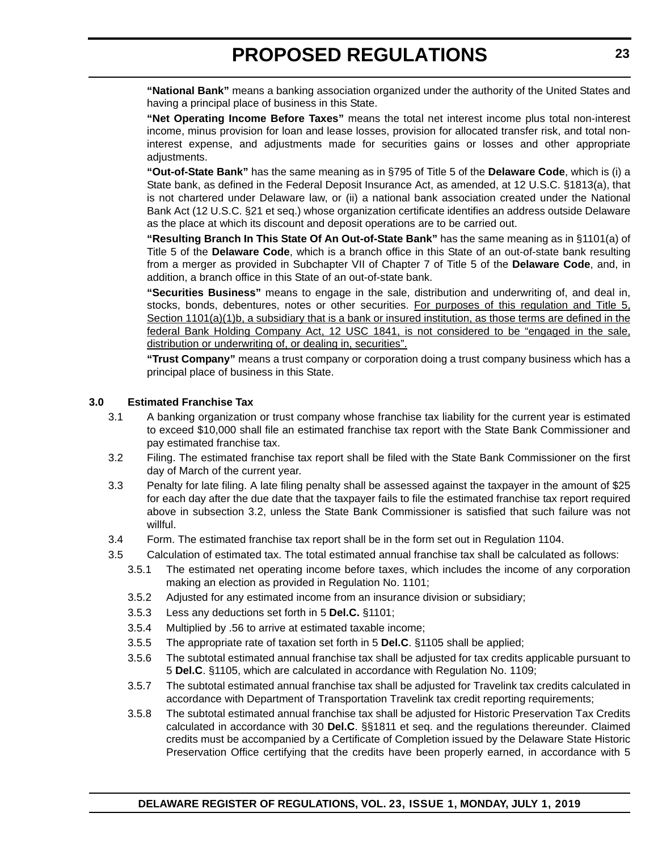**"National Bank"** means a banking association organized under the authority of the United States and having a principal place of business in this State.

**"Net Operating Income Before Taxes"** means the total net interest income plus total non-interest income, minus provision for loan and lease losses, provision for allocated transfer risk, and total noninterest expense, and adjustments made for securities gains or losses and other appropriate adjustments.

**"Out-of-State Bank"** has the same meaning as in §795 of Title 5 of the **Delaware Code**, which is (i) a State bank, as defined in the Federal Deposit Insurance Act, as amended, at 12 U.S.C. §1813(a), that is not chartered under Delaware law, or (ii) a national bank association created under the National Bank Act (12 U.S.C. §21 et seq.) whose organization certificate identifies an address outside Delaware as the place at which its discount and deposit operations are to be carried out.

**"Resulting Branch In This State Of An Out-of-State Bank"** has the same meaning as in §1101(a) of Title 5 of the **Delaware Code**, which is a branch office in this State of an out-of-state bank resulting from a merger as provided in Subchapter VII of Chapter 7 of Title 5 of the **Delaware Code**, and, in addition, a branch office in this State of an out-of-state bank.

**"Securities Business"** means to engage in the sale, distribution and underwriting of, and deal in, stocks, bonds, debentures, notes or other securities. For purposes of this regulation and Title 5, Section 1101(a)(1)b, a subsidiary that is a bank or insured institution, as those terms are defined in the federal Bank Holding Company Act, 12 USC 1841, is not considered to be "engaged in the sale, distribution or underwriting of, or dealing in, securities".

**"Trust Company"** means a trust company or corporation doing a trust company business which has a principal place of business in this State.

#### **3.0 Estimated Franchise Tax**

- 3.1 A banking organization or trust company whose franchise tax liability for the current year is estimated to exceed \$10,000 shall file an estimated franchise tax report with the State Bank Commissioner and pay estimated franchise tax.
- 3.2 Filing. The estimated franchise tax report shall be filed with the State Bank Commissioner on the first day of March of the current year.
- 3.3 Penalty for late filing. A late filing penalty shall be assessed against the taxpayer in the amount of \$25 for each day after the due date that the taxpayer fails to file the estimated franchise tax report required above in subsection 3.2, unless the State Bank Commissioner is satisfied that such failure was not willful.
- 3.4 Form. The estimated franchise tax report shall be in the form set out in Regulation 1104.
- 3.5 Calculation of estimated tax. The total estimated annual franchise tax shall be calculated as follows:
	- 3.5.1 The estimated net operating income before taxes, which includes the income of any corporation making an election as provided in Regulation No. 1101;
	- 3.5.2 Adjusted for any estimated income from an insurance division or subsidiary;
	- 3.5.3 Less any deductions set forth in 5 **Del.C.** §1101;
	- 3.5.4 Multiplied by .56 to arrive at estimated taxable income;
	- 3.5.5 The appropriate rate of taxation set forth in 5 **Del.C**. §1105 shall be applied;
	- 3.5.6 The subtotal estimated annual franchise tax shall be adjusted for tax credits applicable pursuant to 5 **Del.C**. §1105, which are calculated in accordance with Regulation No. 1109;
	- 3.5.7 The subtotal estimated annual franchise tax shall be adjusted for Travelink tax credits calculated in accordance with Department of Transportation Travelink tax credit reporting requirements;
	- 3.5.8 The subtotal estimated annual franchise tax shall be adjusted for Historic Preservation Tax Credits calculated in accordance with 30 **Del.C**. §§1811 et seq. and the regulations thereunder. Claimed credits must be accompanied by a Certificate of Completion issued by the Delaware State Historic Preservation Office certifying that the credits have been properly earned, in accordance with 5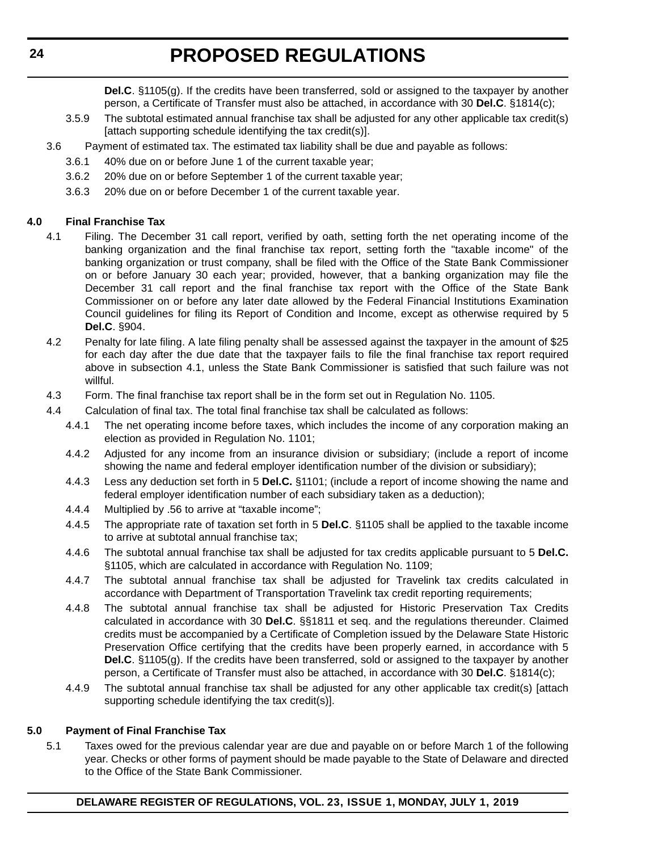**Del.C**. §1105(g). If the credits have been transferred, sold or assigned to the taxpayer by another person, a Certificate of Transfer must also be attached, in accordance with 30 **Del.C**. §1814(c);

- 3.5.9 The subtotal estimated annual franchise tax shall be adjusted for any other applicable tax credit(s) [attach supporting schedule identifying the tax credit(s)].
- 3.6 Payment of estimated tax. The estimated tax liability shall be due and payable as follows:
	- 3.6.1 40% due on or before June 1 of the current taxable year;
	- 3.6.2 20% due on or before September 1 of the current taxable year;
	- 3.6.3 20% due on or before December 1 of the current taxable year.

#### **4.0 Final Franchise Tax**

- 4.1 Filing. The December 31 call report, verified by oath, setting forth the net operating income of the banking organization and the final franchise tax report, setting forth the "taxable income" of the banking organization or trust company, shall be filed with the Office of the State Bank Commissioner on or before January 30 each year; provided, however, that a banking organization may file the December 31 call report and the final franchise tax report with the Office of the State Bank Commissioner on or before any later date allowed by the Federal Financial Institutions Examination Council guidelines for filing its Report of Condition and Income, except as otherwise required by 5 **Del.C**. §904.
- 4.2 Penalty for late filing. A late filing penalty shall be assessed against the taxpayer in the amount of \$25 for each day after the due date that the taxpayer fails to file the final franchise tax report required above in subsection 4.1, unless the State Bank Commissioner is satisfied that such failure was not willful.
- 4.3 Form. The final franchise tax report shall be in the form set out in Regulation No. 1105.
- 4.4 Calculation of final tax. The total final franchise tax shall be calculated as follows:
	- 4.4.1 The net operating income before taxes, which includes the income of any corporation making an election as provided in Regulation No. 1101;
	- 4.4.2 Adjusted for any income from an insurance division or subsidiary; (include a report of income showing the name and federal employer identification number of the division or subsidiary);
	- 4.4.3 Less any deduction set forth in 5 **Del.C.** §1101; (include a report of income showing the name and federal employer identification number of each subsidiary taken as a deduction);
	- 4.4.4 Multiplied by .56 to arrive at "taxable income";
	- 4.4.5 The appropriate rate of taxation set forth in 5 **Del.C**. §1105 shall be applied to the taxable income to arrive at subtotal annual franchise tax;
	- 4.4.6 The subtotal annual franchise tax shall be adjusted for tax credits applicable pursuant to 5 **Del.C.** §1105, which are calculated in accordance with Regulation No. 1109;
	- 4.4.7 The subtotal annual franchise tax shall be adjusted for Travelink tax credits calculated in accordance with Department of Transportation Travelink tax credit reporting requirements;
	- 4.4.8 The subtotal annual franchise tax shall be adjusted for Historic Preservation Tax Credits calculated in accordance with 30 **Del.C**. §§1811 et seq. and the regulations thereunder. Claimed credits must be accompanied by a Certificate of Completion issued by the Delaware State Historic Preservation Office certifying that the credits have been properly earned, in accordance with 5 **Del.C**. §1105(g). If the credits have been transferred, sold or assigned to the taxpayer by another person, a Certificate of Transfer must also be attached, in accordance with 30 **Del.C**. §1814(c);
	- 4.4.9 The subtotal annual franchise tax shall be adjusted for any other applicable tax credit(s) [attach supporting schedule identifying the tax credit(s)].

#### **5.0 Payment of Final Franchise Tax**

5.1 Taxes owed for the previous calendar year are due and payable on or before March 1 of the following year. Checks or other forms of payment should be made payable to the State of Delaware and directed to the Office of the State Bank Commissioner.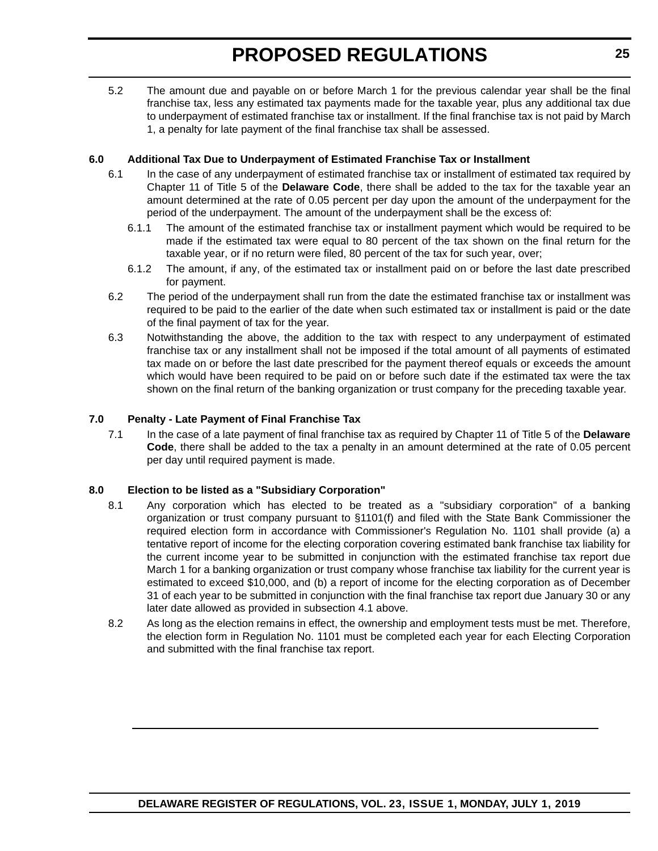5.2 The amount due and payable on or before March 1 for the previous calendar year shall be the final franchise tax, less any estimated tax payments made for the taxable year, plus any additional tax due to underpayment of estimated franchise tax or installment. If the final franchise tax is not paid by March 1, a penalty for late payment of the final franchise tax shall be assessed.

#### **6.0 Additional Tax Due to Underpayment of Estimated Franchise Tax or Installment**

- 6.1 In the case of any underpayment of estimated franchise tax or installment of estimated tax required by Chapter 11 of Title 5 of the **Delaware Code**, there shall be added to the tax for the taxable year an amount determined at the rate of 0.05 percent per day upon the amount of the underpayment for the period of the underpayment. The amount of the underpayment shall be the excess of:
	- 6.1.1 The amount of the estimated franchise tax or installment payment which would be required to be made if the estimated tax were equal to 80 percent of the tax shown on the final return for the taxable year, or if no return were filed, 80 percent of the tax for such year, over;
	- 6.1.2 The amount, if any, of the estimated tax or installment paid on or before the last date prescribed for payment.
- 6.2 The period of the underpayment shall run from the date the estimated franchise tax or installment was required to be paid to the earlier of the date when such estimated tax or installment is paid or the date of the final payment of tax for the year.
- 6.3 Notwithstanding the above, the addition to the tax with respect to any underpayment of estimated franchise tax or any installment shall not be imposed if the total amount of all payments of estimated tax made on or before the last date prescribed for the payment thereof equals or exceeds the amount which would have been required to be paid on or before such date if the estimated tax were the tax shown on the final return of the banking organization or trust company for the preceding taxable year.

#### **7.0 Penalty - Late Payment of Final Franchise Tax**

7.1 In the case of a late payment of final franchise tax as required by Chapter 11 of Title 5 of the **Delaware Code**, there shall be added to the tax a penalty in an amount determined at the rate of 0.05 percent per day until required payment is made.

#### **8.0 Election to be listed as a "Subsidiary Corporation"**

- 8.1 Any corporation which has elected to be treated as a "subsidiary corporation" of a banking organization or trust company pursuant to §1101(f) and filed with the State Bank Commissioner the required election form in accordance with Commissioner's Regulation No. 1101 shall provide (a) a tentative report of income for the electing corporation covering estimated bank franchise tax liability for the current income year to be submitted in conjunction with the estimated franchise tax report due March 1 for a banking organization or trust company whose franchise tax liability for the current year is estimated to exceed \$10,000, and (b) a report of income for the electing corporation as of December 31 of each year to be submitted in conjunction with the final franchise tax report due January 30 or any later date allowed as provided in subsection 4.1 above.
- 8.2 As long as the election remains in effect, the ownership and employment tests must be met. Therefore, the election form in Regulation No. 1101 must be completed each year for each Electing Corporation and submitted with the final franchise tax report.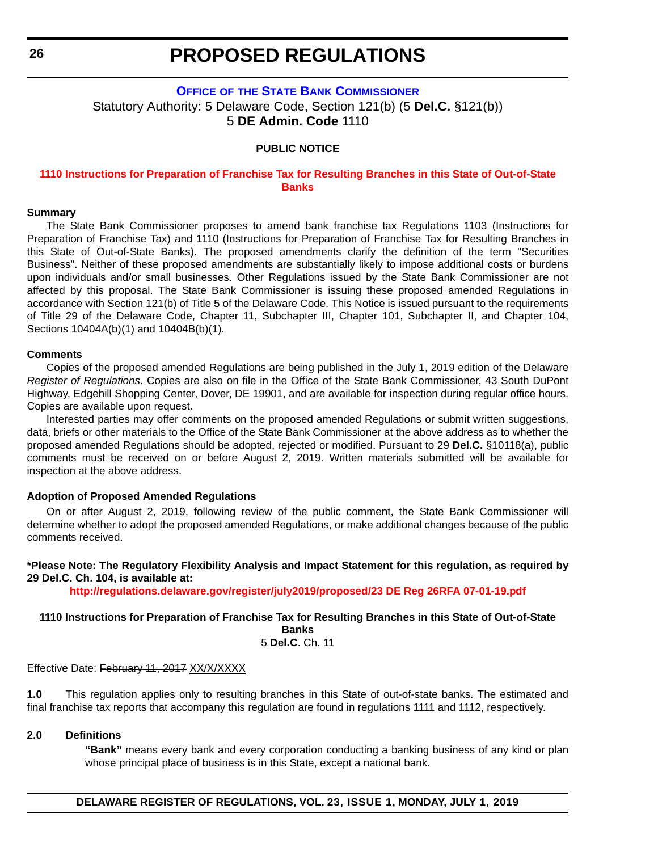#### <span id="page-25-0"></span>**OFFICE OF [THE STATE BANK COMMISSIONER](https://banking.delaware.gov/)** Statutory Authority: 5 Delaware Code, Section 121(b) (5 **Del.C.** §121(b)) 5 **DE Admin. Code** 1110

#### **PUBLIC NOTICE**

#### **[1110 Instructions for Preparation of Franchise Tax for Resulting Branches in this State of Out-of-State](#page-3-0)  Banks**

#### **Summary**

The State Bank Commissioner proposes to amend bank franchise tax Regulations 1103 (Instructions for Preparation of Franchise Tax) and 1110 (Instructions for Preparation of Franchise Tax for Resulting Branches in this State of Out-of-State Banks). The proposed amendments clarify the definition of the term "Securities Business". Neither of these proposed amendments are substantially likely to impose additional costs or burdens upon individuals and/or small businesses. Other Regulations issued by the State Bank Commissioner are not affected by this proposal. The State Bank Commissioner is issuing these proposed amended Regulations in accordance with Section 121(b) of Title 5 of the Delaware Code. This Notice is issued pursuant to the requirements of Title 29 of the Delaware Code, Chapter 11, Subchapter III, Chapter 101, Subchapter II, and Chapter 104, Sections 10404A(b)(1) and 10404B(b)(1).

#### **Comments**

Copies of the proposed amended Regulations are being published in the July 1, 2019 edition of the Delaware *Register of Regulations*. Copies are also on file in the Office of the State Bank Commissioner, 43 South DuPont Highway, Edgehill Shopping Center, Dover, DE 19901, and are available for inspection during regular office hours. Copies are available upon request.

Interested parties may offer comments on the proposed amended Regulations or submit written suggestions, data, briefs or other materials to the Office of the State Bank Commissioner at the above address as to whether the proposed amended Regulations should be adopted, rejected or modified. Pursuant to 29 **Del.C.** §10118(a), public comments must be received on or before August 2, 2019. Written materials submitted will be available for inspection at the above address.

#### **Adoption of Proposed Amended Regulations**

On or after August 2, 2019, following review of the public comment, the State Bank Commissioner will determine whether to adopt the proposed amended Regulations, or make additional changes because of the public comments received.

#### **\*Please Note: The Regulatory Flexibility Analysis and Impact Statement for this regulation, as required by 29 Del.C. Ch. 104, is available at:**

**<http://regulations.delaware.gov/register/july2019/proposed/23 DE Reg 26RFA 07-01-19.pdf>**

#### **1110 Instructions for Preparation of Franchise Tax for Resulting Branches in this State of Out-of-State Banks**

5 **Del.C**. Ch. 11

Effective Date: February 11, 2017 XX/X/XXXX

**1.0** This regulation applies only to resulting branches in this State of out-of-state banks. The estimated and final franchise tax reports that accompany this regulation are found in regulations 1111 and 1112, respectively.

#### **2.0 Definitions**

**"Bank"** means every bank and every corporation conducting a banking business of any kind or plan whose principal place of business is in this State, except a national bank.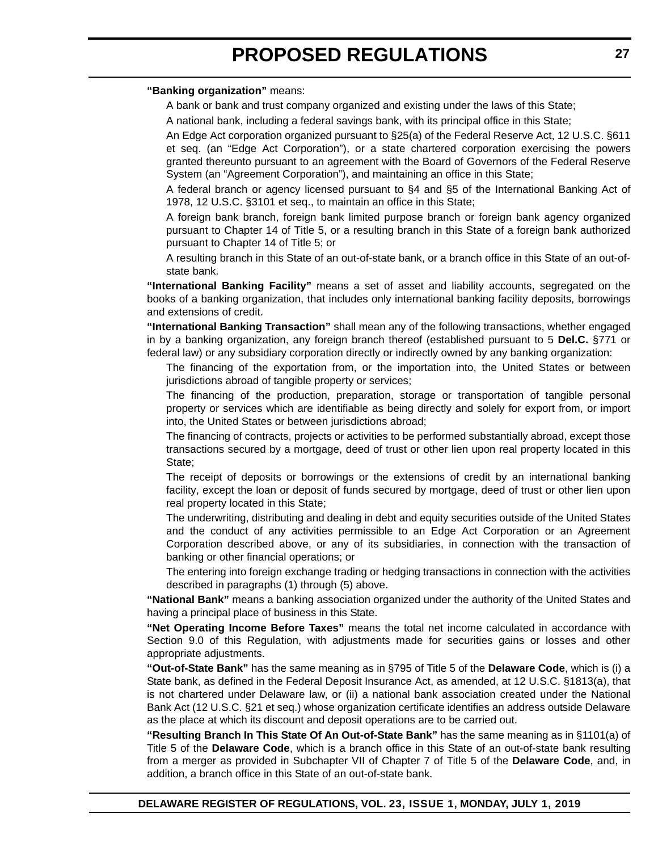#### **"Banking organization"** means:

A bank or bank and trust company organized and existing under the laws of this State;

A national bank, including a federal savings bank, with its principal office in this State;

An Edge Act corporation organized pursuant to §25(a) of the Federal Reserve Act, 12 U.S.C. §611 et seq. (an "Edge Act Corporation"), or a state chartered corporation exercising the powers granted thereunto pursuant to an agreement with the Board of Governors of the Federal Reserve System (an "Agreement Corporation"), and maintaining an office in this State;

A federal branch or agency licensed pursuant to §4 and §5 of the International Banking Act of 1978, 12 U.S.C. §3101 et seq., to maintain an office in this State;

A foreign bank branch, foreign bank limited purpose branch or foreign bank agency organized pursuant to Chapter 14 of Title 5, or a resulting branch in this State of a foreign bank authorized pursuant to Chapter 14 of Title 5; or

A resulting branch in this State of an out-of-state bank, or a branch office in this State of an out-ofstate bank.

**"International Banking Facility"** means a set of asset and liability accounts, segregated on the books of a banking organization, that includes only international banking facility deposits, borrowings and extensions of credit.

**"International Banking Transaction"** shall mean any of the following transactions, whether engaged in by a banking organization, any foreign branch thereof (established pursuant to 5 **Del.C.** §771 or federal law) or any subsidiary corporation directly or indirectly owned by any banking organization:

The financing of the exportation from, or the importation into, the United States or between jurisdictions abroad of tangible property or services;

The financing of the production, preparation, storage or transportation of tangible personal property or services which are identifiable as being directly and solely for export from, or import into, the United States or between jurisdictions abroad;

The financing of contracts, projects or activities to be performed substantially abroad, except those transactions secured by a mortgage, deed of trust or other lien upon real property located in this State;

The receipt of deposits or borrowings or the extensions of credit by an international banking facility, except the loan or deposit of funds secured by mortgage, deed of trust or other lien upon real property located in this State;

The underwriting, distributing and dealing in debt and equity securities outside of the United States and the conduct of any activities permissible to an Edge Act Corporation or an Agreement Corporation described above, or any of its subsidiaries, in connection with the transaction of banking or other financial operations; or

The entering into foreign exchange trading or hedging transactions in connection with the activities described in paragraphs (1) through (5) above.

**"National Bank"** means a banking association organized under the authority of the United States and having a principal place of business in this State.

**"Net Operating Income Before Taxes"** means the total net income calculated in accordance with Section 9.0 of this Regulation, with adjustments made for securities gains or losses and other appropriate adjustments.

**"Out-of-State Bank"** has the same meaning as in §795 of Title 5 of the **Delaware Code**, which is (i) a State bank, as defined in the Federal Deposit Insurance Act, as amended, at 12 U.S.C. §1813(a), that is not chartered under Delaware law, or (ii) a national bank association created under the National Bank Act (12 U.S.C. §21 et seq.) whose organization certificate identifies an address outside Delaware as the place at which its discount and deposit operations are to be carried out.

**"Resulting Branch In This State Of An Out-of-State Bank"** has the same meaning as in §1101(a) of Title 5 of the **Delaware Code**, which is a branch office in this State of an out-of-state bank resulting from a merger as provided in Subchapter VII of Chapter 7 of Title 5 of the **Delaware Code**, and, in addition, a branch office in this State of an out-of-state bank.

**DELAWARE REGISTER OF REGULATIONS, VOL. 23, ISSUE 1, MONDAY, JULY 1, 2019**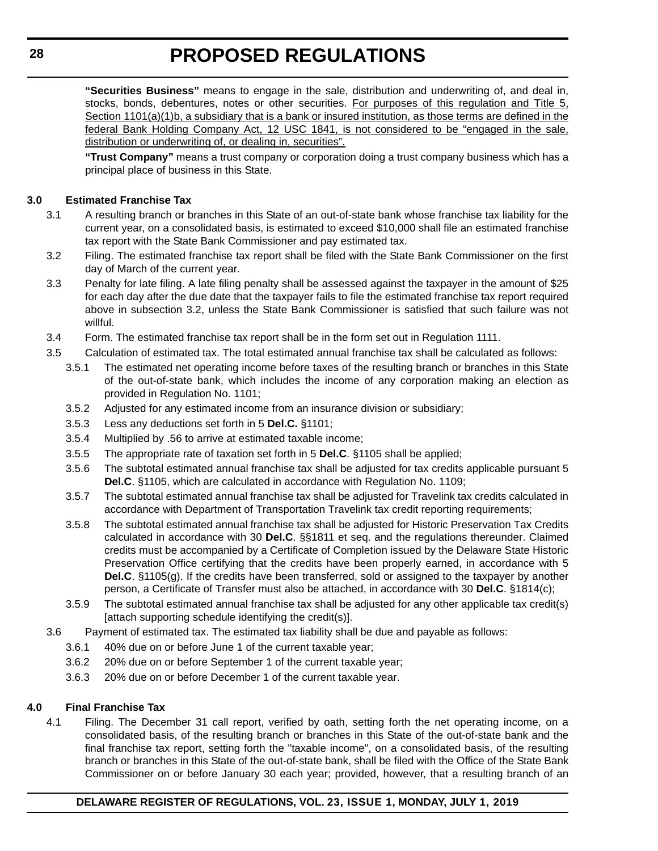**"Securities Business"** means to engage in the sale, distribution and underwriting of, and deal in, stocks, bonds, debentures, notes or other securities. For purposes of this regulation and Title 5, Section 1101(a)(1)b, a subsidiary that is a bank or insured institution, as those terms are defined in the federal Bank Holding Company Act, 12 USC 1841, is not considered to be "engaged in the sale, distribution or underwriting of, or dealing in, securities".

**"Trust Company"** means a trust company or corporation doing a trust company business which has a principal place of business in this State.

#### **3.0 Estimated Franchise Tax**

- 3.1 A resulting branch or branches in this State of an out-of-state bank whose franchise tax liability for the current year, on a consolidated basis, is estimated to exceed \$10,000 shall file an estimated franchise tax report with the State Bank Commissioner and pay estimated tax.
- 3.2 Filing. The estimated franchise tax report shall be filed with the State Bank Commissioner on the first day of March of the current year.
- 3.3 Penalty for late filing. A late filing penalty shall be assessed against the taxpayer in the amount of \$25 for each day after the due date that the taxpayer fails to file the estimated franchise tax report required above in subsection 3.2, unless the State Bank Commissioner is satisfied that such failure was not willful.
- 3.4 Form. The estimated franchise tax report shall be in the form set out in Regulation 1111.
- 3.5 Calculation of estimated tax. The total estimated annual franchise tax shall be calculated as follows:
	- 3.5.1 The estimated net operating income before taxes of the resulting branch or branches in this State of the out-of-state bank, which includes the income of any corporation making an election as provided in Regulation No. 1101;
	- 3.5.2 Adjusted for any estimated income from an insurance division or subsidiary;
	- 3.5.3 Less any deductions set forth in 5 **Del.C.** §1101;
	- 3.5.4 Multiplied by .56 to arrive at estimated taxable income;
	- 3.5.5 The appropriate rate of taxation set forth in 5 **Del.C**. §1105 shall be applied;
	- 3.5.6 The subtotal estimated annual franchise tax shall be adjusted for tax credits applicable pursuant 5 **Del.C**. §1105, which are calculated in accordance with Regulation No. 1109;
	- 3.5.7 The subtotal estimated annual franchise tax shall be adjusted for Travelink tax credits calculated in accordance with Department of Transportation Travelink tax credit reporting requirements;
	- 3.5.8 The subtotal estimated annual franchise tax shall be adjusted for Historic Preservation Tax Credits calculated in accordance with 30 **Del.C**. §§1811 et seq. and the regulations thereunder. Claimed credits must be accompanied by a Certificate of Completion issued by the Delaware State Historic Preservation Office certifying that the credits have been properly earned, in accordance with 5 **Del.C**. §1105(g). If the credits have been transferred, sold or assigned to the taxpayer by another person, a Certificate of Transfer must also be attached, in accordance with 30 **Del.C**. §1814(c);
	- 3.5.9 The subtotal estimated annual franchise tax shall be adjusted for any other applicable tax credit(s) [attach supporting schedule identifying the credit(s)].
- 3.6 Payment of estimated tax. The estimated tax liability shall be due and payable as follows:
	- 3.6.1 40% due on or before June 1 of the current taxable year;
	- 3.6.2 20% due on or before September 1 of the current taxable year;
	- 3.6.3 20% due on or before December 1 of the current taxable year.

#### **4.0 Final Franchise Tax**

4.1 Filing. The December 31 call report, verified by oath, setting forth the net operating income, on a consolidated basis, of the resulting branch or branches in this State of the out-of-state bank and the final franchise tax report, setting forth the "taxable income", on a consolidated basis, of the resulting branch or branches in this State of the out-of-state bank, shall be filed with the Office of the State Bank Commissioner on or before January 30 each year; provided, however, that a resulting branch of an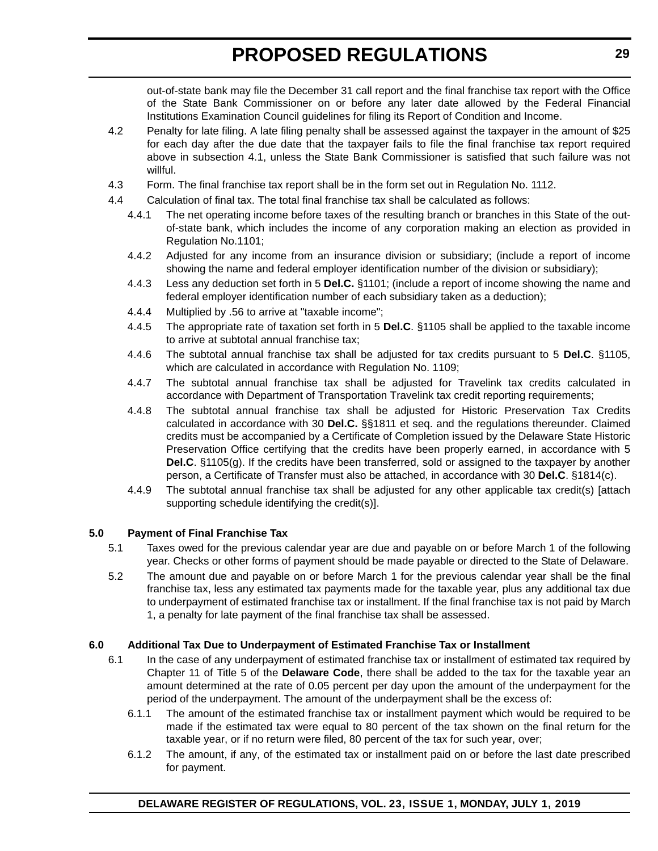out-of-state bank may file the December 31 call report and the final franchise tax report with the Office of the State Bank Commissioner on or before any later date allowed by the Federal Financial Institutions Examination Council guidelines for filing its Report of Condition and Income.

- 4.2 Penalty for late filing. A late filing penalty shall be assessed against the taxpayer in the amount of \$25 for each day after the due date that the taxpayer fails to file the final franchise tax report required above in subsection 4.1, unless the State Bank Commissioner is satisfied that such failure was not willful.
- 4.3 Form. The final franchise tax report shall be in the form set out in Regulation No. 1112.
- 4.4 Calculation of final tax. The total final franchise tax shall be calculated as follows:
	- 4.4.1 The net operating income before taxes of the resulting branch or branches in this State of the outof-state bank, which includes the income of any corporation making an election as provided in Regulation No.1101;
	- 4.4.2 Adjusted for any income from an insurance division or subsidiary; (include a report of income showing the name and federal employer identification number of the division or subsidiary);
	- 4.4.3 Less any deduction set forth in 5 **Del.C.** §1101; (include a report of income showing the name and federal employer identification number of each subsidiary taken as a deduction);
	- 4.4.4 Multiplied by .56 to arrive at "taxable income";
	- 4.4.5 The appropriate rate of taxation set forth in 5 **Del.C**. §1105 shall be applied to the taxable income to arrive at subtotal annual franchise tax;
	- 4.4.6 The subtotal annual franchise tax shall be adjusted for tax credits pursuant to 5 **Del.C**. §1105, which are calculated in accordance with Regulation No. 1109;
	- 4.4.7 The subtotal annual franchise tax shall be adjusted for Travelink tax credits calculated in accordance with Department of Transportation Travelink tax credit reporting requirements;
	- 4.4.8 The subtotal annual franchise tax shall be adjusted for Historic Preservation Tax Credits calculated in accordance with 30 **Del.C.** §§1811 et seq. and the regulations thereunder. Claimed credits must be accompanied by a Certificate of Completion issued by the Delaware State Historic Preservation Office certifying that the credits have been properly earned, in accordance with 5 **Del.C**. §1105(g). If the credits have been transferred, sold or assigned to the taxpayer by another person, a Certificate of Transfer must also be attached, in accordance with 30 **Del.C**. §1814(c).
	- 4.4.9 The subtotal annual franchise tax shall be adjusted for any other applicable tax credit(s) [attach supporting schedule identifying the credit(s)].

#### **5.0 Payment of Final Franchise Tax**

- 5.1 Taxes owed for the previous calendar year are due and payable on or before March 1 of the following year. Checks or other forms of payment should be made payable or directed to the State of Delaware.
- 5.2 The amount due and payable on or before March 1 for the previous calendar year shall be the final franchise tax, less any estimated tax payments made for the taxable year, plus any additional tax due to underpayment of estimated franchise tax or installment. If the final franchise tax is not paid by March 1, a penalty for late payment of the final franchise tax shall be assessed.

#### **6.0 Additional Tax Due to Underpayment of Estimated Franchise Tax or Installment**

- 6.1 In the case of any underpayment of estimated franchise tax or installment of estimated tax required by Chapter 11 of Title 5 of the **Delaware Code**, there shall be added to the tax for the taxable year an amount determined at the rate of 0.05 percent per day upon the amount of the underpayment for the period of the underpayment. The amount of the underpayment shall be the excess of:
	- 6.1.1 The amount of the estimated franchise tax or installment payment which would be required to be made if the estimated tax were equal to 80 percent of the tax shown on the final return for the taxable year, or if no return were filed, 80 percent of the tax for such year, over;
	- 6.1.2 The amount, if any, of the estimated tax or installment paid on or before the last date prescribed for payment.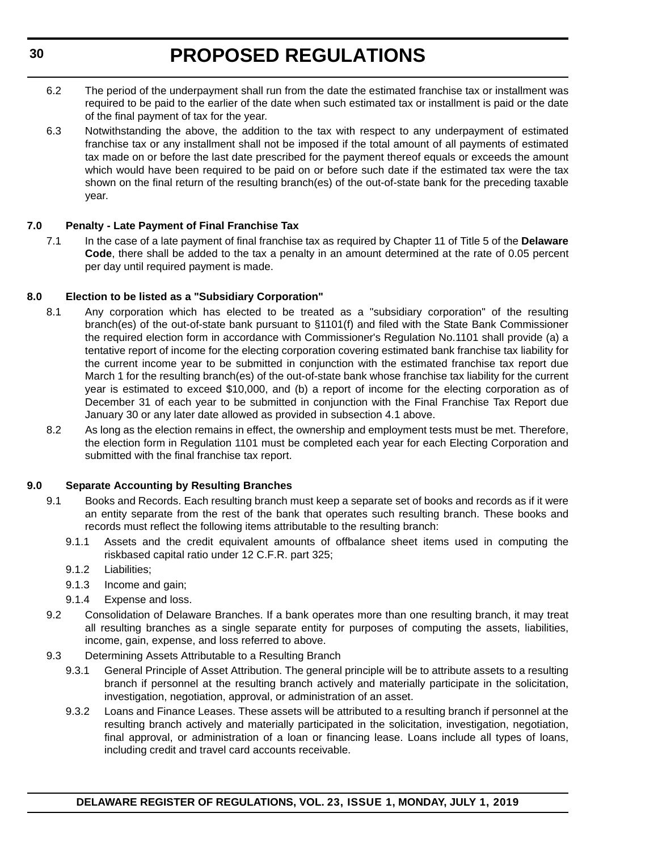- 6.2 The period of the underpayment shall run from the date the estimated franchise tax or installment was required to be paid to the earlier of the date when such estimated tax or installment is paid or the date of the final payment of tax for the year.
- 6.3 Notwithstanding the above, the addition to the tax with respect to any underpayment of estimated franchise tax or any installment shall not be imposed if the total amount of all payments of estimated tax made on or before the last date prescribed for the payment thereof equals or exceeds the amount which would have been required to be paid on or before such date if the estimated tax were the tax shown on the final return of the resulting branch(es) of the out-of-state bank for the preceding taxable year.

#### **7.0 Penalty - Late Payment of Final Franchise Tax**

7.1 In the case of a late payment of final franchise tax as required by Chapter 11 of Title 5 of the **Delaware Code**, there shall be added to the tax a penalty in an amount determined at the rate of 0.05 percent per day until required payment is made.

#### **8.0 Election to be listed as a "Subsidiary Corporation"**

- 8.1 Any corporation which has elected to be treated as a "subsidiary corporation" of the resulting branch(es) of the out-of-state bank pursuant to §1101(f) and filed with the State Bank Commissioner the required election form in accordance with Commissioner's Regulation No.1101 shall provide (a) a tentative report of income for the electing corporation covering estimated bank franchise tax liability for the current income year to be submitted in conjunction with the estimated franchise tax report due March 1 for the resulting branch(es) of the out-of-state bank whose franchise tax liability for the current year is estimated to exceed \$10,000, and (b) a report of income for the electing corporation as of December 31 of each year to be submitted in conjunction with the Final Franchise Tax Report due January 30 or any later date allowed as provided in subsection 4.1 above.
- 8.2 As long as the election remains in effect, the ownership and employment tests must be met. Therefore, the election form in Regulation 1101 must be completed each year for each Electing Corporation and submitted with the final franchise tax report.

#### **9.0 Separate Accounting by Resulting Branches**

- 9.1 Books and Records. Each resulting branch must keep a separate set of books and records as if it were an entity separate from the rest of the bank that operates such resulting branch. These books and records must reflect the following items attributable to the resulting branch:
	- 9.1.1 Assets and the credit equivalent amounts of offbalance sheet items used in computing the riskbased capital ratio under 12 C.F.R. part 325;
	- 9.1.2 Liabilities;
	- 9.1.3 Income and gain;
	- 9.1.4 Expense and loss.
- 9.2 Consolidation of Delaware Branches. If a bank operates more than one resulting branch, it may treat all resulting branches as a single separate entity for purposes of computing the assets, liabilities, income, gain, expense, and loss referred to above.
- 9.3 Determining Assets Attributable to a Resulting Branch
	- 9.3.1 General Principle of Asset Attribution. The general principle will be to attribute assets to a resulting branch if personnel at the resulting branch actively and materially participate in the solicitation, investigation, negotiation, approval, or administration of an asset.
	- 9.3.2 Loans and Finance Leases. These assets will be attributed to a resulting branch if personnel at the resulting branch actively and materially participated in the solicitation, investigation, negotiation, final approval, or administration of a loan or financing lease. Loans include all types of loans, including credit and travel card accounts receivable.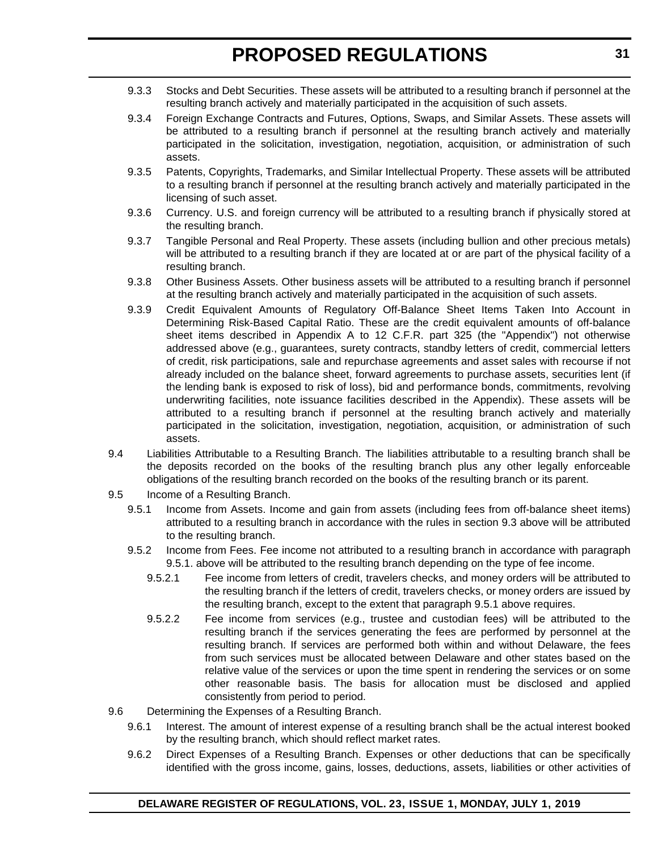- 9.3.3 Stocks and Debt Securities. These assets will be attributed to a resulting branch if personnel at the resulting branch actively and materially participated in the acquisition of such assets.
- 9.3.4 Foreign Exchange Contracts and Futures, Options, Swaps, and Similar Assets. These assets will be attributed to a resulting branch if personnel at the resulting branch actively and materially participated in the solicitation, investigation, negotiation, acquisition, or administration of such assets.
- 9.3.5 Patents, Copyrights, Trademarks, and Similar Intellectual Property. These assets will be attributed to a resulting branch if personnel at the resulting branch actively and materially participated in the licensing of such asset.
- 9.3.6 Currency. U.S. and foreign currency will be attributed to a resulting branch if physically stored at the resulting branch.
- 9.3.7 Tangible Personal and Real Property. These assets (including bullion and other precious metals) will be attributed to a resulting branch if they are located at or are part of the physical facility of a resulting branch.
- 9.3.8 Other Business Assets. Other business assets will be attributed to a resulting branch if personnel at the resulting branch actively and materially participated in the acquisition of such assets.
- 9.3.9 Credit Equivalent Amounts of Regulatory Off-Balance Sheet Items Taken Into Account in Determining Risk-Based Capital Ratio. These are the credit equivalent amounts of off-balance sheet items described in Appendix A to 12 C.F.R. part 325 (the "Appendix") not otherwise addressed above (e.g., guarantees, surety contracts, standby letters of credit, commercial letters of credit, risk participations, sale and repurchase agreements and asset sales with recourse if not already included on the balance sheet, forward agreements to purchase assets, securities lent (if the lending bank is exposed to risk of loss), bid and performance bonds, commitments, revolving underwriting facilities, note issuance facilities described in the Appendix). These assets will be attributed to a resulting branch if personnel at the resulting branch actively and materially participated in the solicitation, investigation, negotiation, acquisition, or administration of such assets.
- 9.4 Liabilities Attributable to a Resulting Branch. The liabilities attributable to a resulting branch shall be the deposits recorded on the books of the resulting branch plus any other legally enforceable obligations of the resulting branch recorded on the books of the resulting branch or its parent.
- 9.5 Income of a Resulting Branch.
	- 9.5.1 Income from Assets. Income and gain from assets (including fees from off-balance sheet items) attributed to a resulting branch in accordance with the rules in section 9.3 above will be attributed to the resulting branch.
	- 9.5.2 Income from Fees. Fee income not attributed to a resulting branch in accordance with paragraph 9.5.1. above will be attributed to the resulting branch depending on the type of fee income.
		- 9.5.2.1 Fee income from letters of credit, travelers checks, and money orders will be attributed to the resulting branch if the letters of credit, travelers checks, or money orders are issued by the resulting branch, except to the extent that paragraph 9.5.1 above requires.
		- 9.5.2.2 Fee income from services (e.g., trustee and custodian fees) will be attributed to the resulting branch if the services generating the fees are performed by personnel at the resulting branch. If services are performed both within and without Delaware, the fees from such services must be allocated between Delaware and other states based on the relative value of the services or upon the time spent in rendering the services or on some other reasonable basis. The basis for allocation must be disclosed and applied consistently from period to period.
- 9.6 Determining the Expenses of a Resulting Branch.
	- 9.6.1 Interest. The amount of interest expense of a resulting branch shall be the actual interest booked by the resulting branch, which should reflect market rates.
	- 9.6.2 Direct Expenses of a Resulting Branch. Expenses or other deductions that can be specifically identified with the gross income, gains, losses, deductions, assets, liabilities or other activities of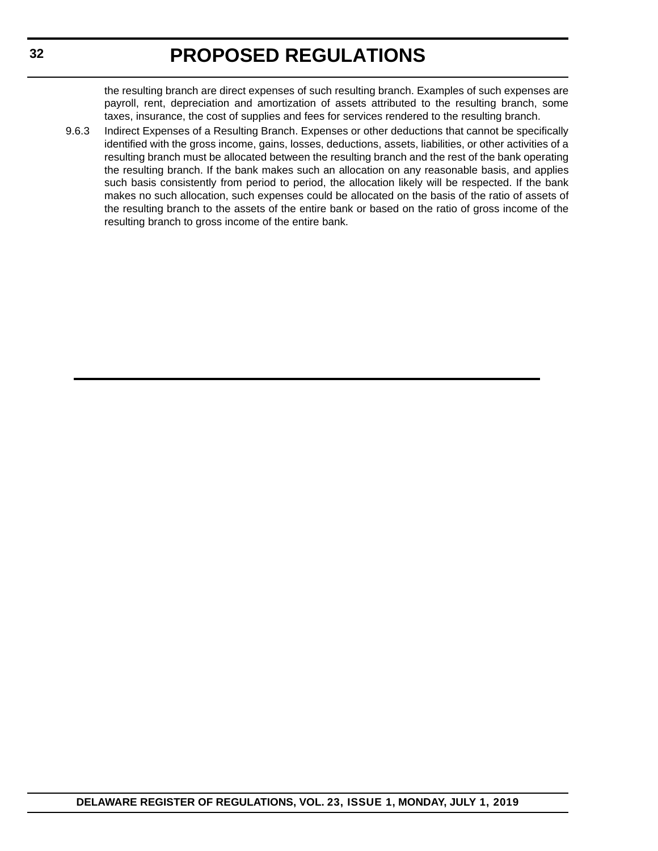the resulting branch are direct expenses of such resulting branch. Examples of such expenses are payroll, rent, depreciation and amortization of assets attributed to the resulting branch, some taxes, insurance, the cost of supplies and fees for services rendered to the resulting branch.

9.6.3 Indirect Expenses of a Resulting Branch. Expenses or other deductions that cannot be specifically identified with the gross income, gains, losses, deductions, assets, liabilities, or other activities of a resulting branch must be allocated between the resulting branch and the rest of the bank operating the resulting branch. If the bank makes such an allocation on any reasonable basis, and applies such basis consistently from period to period, the allocation likely will be respected. If the bank makes no such allocation, such expenses could be allocated on the basis of the ratio of assets of the resulting branch to the assets of the entire bank or based on the ratio of gross income of the resulting branch to gross income of the entire bank.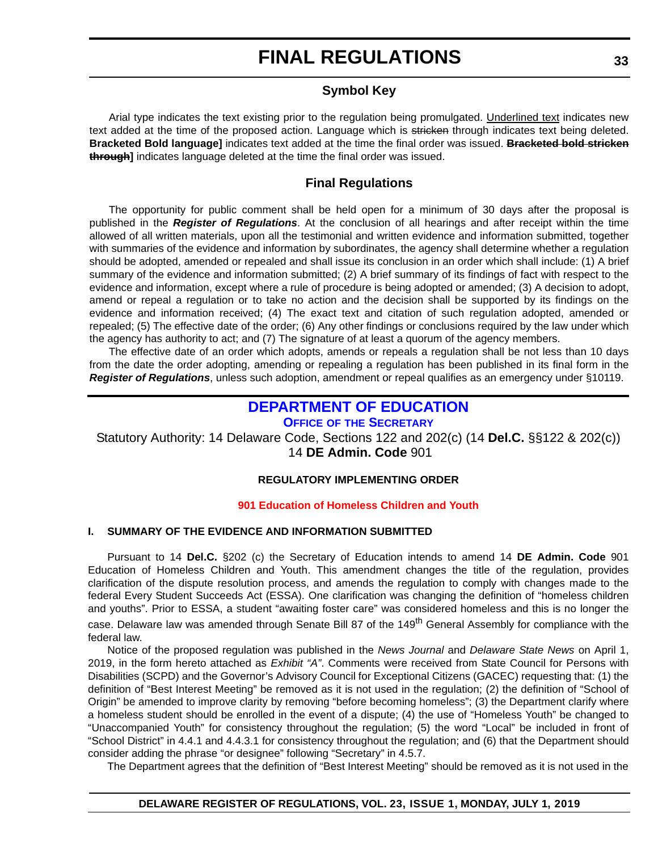### **FINAL REGULATIONS**

### **Symbol Key**

<span id="page-32-0"></span>Arial type indicates the text existing prior to the regulation being promulgated. Underlined text indicates new text added at the time of the proposed action. Language which is stricken through indicates text being deleted. **Bracketed Bold language]** indicates text added at the time the final order was issued. **Bracketed bold stricken through]** indicates language deleted at the time the final order was issued.

### **Final Regulations**

The opportunity for public comment shall be held open for a minimum of 30 days after the proposal is published in the *Register of Regulations*. At the conclusion of all hearings and after receipt within the time allowed of all written materials, upon all the testimonial and written evidence and information submitted, together with summaries of the evidence and information by subordinates, the agency shall determine whether a regulation should be adopted, amended or repealed and shall issue its conclusion in an order which shall include: (1) A brief summary of the evidence and information submitted; (2) A brief summary of its findings of fact with respect to the evidence and information, except where a rule of procedure is being adopted or amended; (3) A decision to adopt, amend or repeal a regulation or to take no action and the decision shall be supported by its findings on the evidence and information received; (4) The exact text and citation of such regulation adopted, amended or repealed; (5) The effective date of the order; (6) Any other findings or conclusions required by the law under which the agency has authority to act; and (7) The signature of at least a quorum of the agency members.

The effective date of an order which adopts, amends or repeals a regulation shall be not less than 10 days from the date the order adopting, amending or repealing a regulation has been published in its final form in the *Register of Regulations*, unless such adoption, amendment or repeal qualifies as an emergency under §10119.

### **[DEPARTMENT OF EDUCATION](https://www.doe.k12.de.us/)**

**OFFICE OF [THE SECRETARY](https://www.doe.k12.de.us/Page/11)**

Statutory Authority: 14 Delaware Code, Sections 122 and 202(c) (14 **Del.C.** §§122 & 202(c)) 14 **DE Admin. Code** 901

#### **REGULATORY IMPLEMENTING ORDER**

#### **[901 Education of Homeless Children and Youth](#page-3-0)**

#### **I. SUMMARY OF THE EVIDENCE AND INFORMATION SUBMITTED**

Pursuant to 14 **Del.C.** §202 (c) the Secretary of Education intends to amend 14 **DE Admin. Code** 901 Education of Homeless Children and Youth. This amendment changes the title of the regulation, provides clarification of the dispute resolution process, and amends the regulation to comply with changes made to the federal Every Student Succeeds Act (ESSA). One clarification was changing the definition of "homeless children and youths". Prior to ESSA, a student "awaiting foster care" was considered homeless and this is no longer the case. Delaware law was amended through Senate Bill 87 of the 149<sup>th</sup> General Assembly for compliance with the federal law.

Notice of the proposed regulation was published in the *News Journal* and *Delaware State News* on April 1, 2019, in the form hereto attached as *Exhibit "A"*. Comments were received from State Council for Persons with Disabilities (SCPD) and the Governor's Advisory Council for Exceptional Citizens (GACEC) requesting that: (1) the definition of "Best Interest Meeting" be removed as it is not used in the regulation; (2) the definition of "School of Origin" be amended to improve clarity by removing "before becoming homeless"; (3) the Department clarify where a homeless student should be enrolled in the event of a dispute; (4) the use of "Homeless Youth" be changed to "Unaccompanied Youth" for consistency throughout the regulation; (5) the word "Local" be included in front of "School District" in 4.4.1 and 4.4.3.1 for consistency throughout the regulation; and (6) that the Department should consider adding the phrase "or designee" following "Secretary" in 4.5.7.

The Department agrees that the definition of "Best Interest Meeting" should be removed as it is not used in the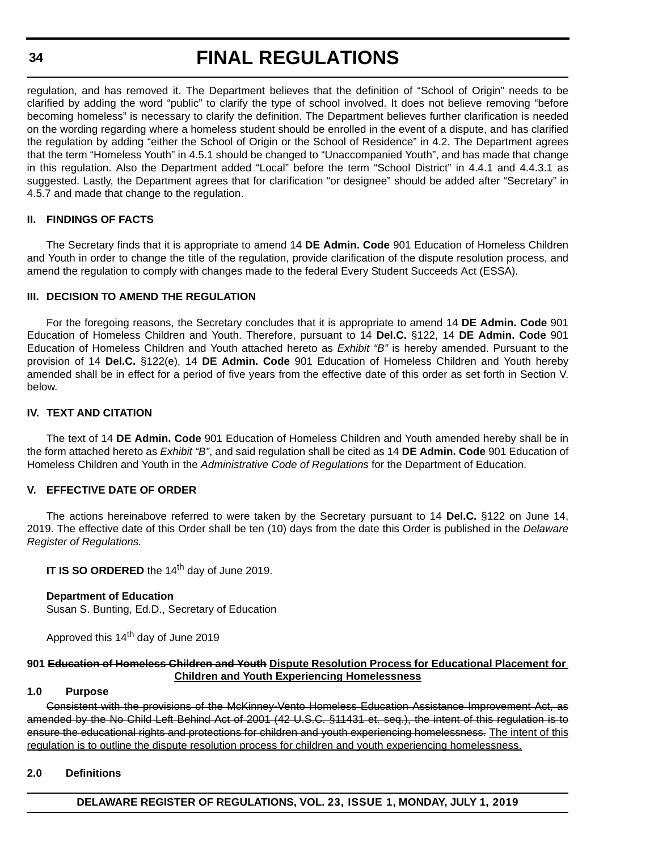#### **34**

### **FINAL REGULATIONS**

regulation, and has removed it. The Department believes that the definition of "School of Origin" needs to be clarified by adding the word "public" to clarify the type of school involved. It does not believe removing "before becoming homeless" is necessary to clarify the definition. The Department believes further clarification is needed on the wording regarding where a homeless student should be enrolled in the event of a dispute, and has clarified the regulation by adding "either the School of Origin or the School of Residence" in 4.2. The Department agrees that the term "Homeless Youth" in 4.5.1 should be changed to "Unaccompanied Youth", and has made that change in this regulation. Also the Department added "Local" before the term "School District" in 4.4.1 and 4.4.3.1 as suggested. Lastly, the Department agrees that for clarification "or designee" should be added after "Secretary" in 4.5.7 and made that change to the regulation.

#### **II. FINDINGS OF FACTS**

The Secretary finds that it is appropriate to amend 14 **DE Admin. Code** 901 Education of Homeless Children and Youth in order to change the title of the regulation, provide clarification of the dispute resolution process, and amend the regulation to comply with changes made to the federal Every Student Succeeds Act (ESSA).

#### **III. DECISION TO AMEND THE REGULATION**

For the foregoing reasons, the Secretary concludes that it is appropriate to amend 14 **DE Admin. Code** 901 Education of Homeless Children and Youth. Therefore, pursuant to 14 **Del.C.** §122, 14 **DE Admin. Code** 901 Education of Homeless Children and Youth attached hereto as *Exhibit "B"* is hereby amended. Pursuant to the provision of 14 **Del.C.** §122(e), 14 **DE Admin. Code** 901 Education of Homeless Children and Youth hereby amended shall be in effect for a period of five years from the effective date of this order as set forth in Section V. below.

#### **IV. TEXT AND CITATION**

The text of 14 **DE Admin. Code** 901 Education of Homeless Children and Youth amended hereby shall be in the form attached hereto as *Exhibit "B"*, and said regulation shall be cited as 14 **DE Admin. Code** 901 Education of Homeless Children and Youth in the *Administrative Code of Regulations* for the Department of Education.

#### **V. EFFECTIVE DATE OF ORDER**

The actions hereinabove referred to were taken by the Secretary pursuant to 14 **Del.C.** §122 on June 14, 2019. The effective date of this Order shall be ten (10) days from the date this Order is published in the *Delaware Register of Regulations.*

**IT IS SO ORDERED** the 14<sup>th</sup> day of June 2019.

#### **Department of Education**

Susan S. Bunting, Ed.D., Secretary of Education

Approved this 14<sup>th</sup> day of June 2019

#### **901 Education of Homeless Children and Youth Dispute Resolution Process for Educational Placement for Children and Youth Experiencing Homelessness**

#### **1.0 Purpose**

Consistent with the provisions of the McKinney-Vento Homeless Education Assistance Improvement Act, as amended by the No Child Left Behind Act of 2001 (42 U.S.C. §11431 et. seq.), the intent of this regulation is to ensure the educational rights and protections for children and youth experiencing homelessness. The intent of this regulation is to outline the dispute resolution process for children and youth experiencing homelessness.

#### **2.0 Definitions**

**DELAWARE REGISTER OF REGULATIONS, VOL. 23, ISSUE 1, MONDAY, JULY 1, 2019**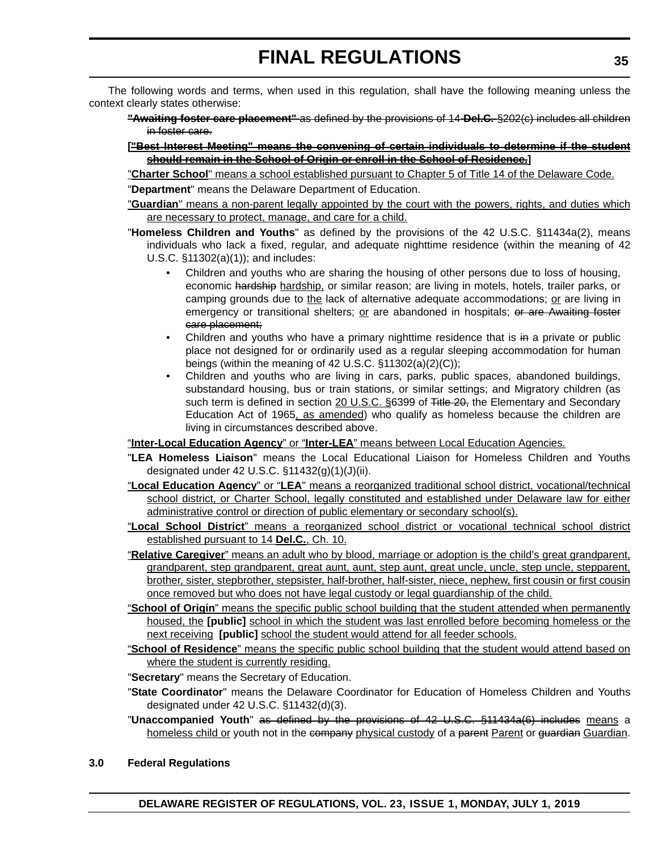The following words and terms, when used in this regulation, shall have the following meaning unless the context clearly states otherwise:

- **"Awaiting foster care placement"** as defined by the provisions of 14 **Del.C.** §202(c) includes all children in foster care.
- **["Best Interest Meeting" means the convening of certain individuals to determine if the student should remain in the School of Origin or enroll in the School of Residence.]**
- "**Charter School**" means a school established pursuant to Chapter 5 of Title 14 of the Delaware Code. "**Department**" means the Delaware Department of Education.
- "**Guardian**" means a non-parent legally appointed by the court with the powers, rights, and duties which are necessary to protect, manage, and care for a child.
- "**Homeless Children and Youths**" as defined by the provisions of the 42 U.S.C. §11434a(2), means individuals who lack a fixed, regular, and adequate nighttime residence (within the meaning of 42 U.S.C. §11302(a)(1)); and includes:
	- Children and youths who are sharing the housing of other persons due to loss of housing, economic <del>hardship</del> hardship, or similar reason; are living in motels, hotels, trailer parks, or camping grounds due to the lack of alternative adequate accommodations; or are living in emergency or transitional shelters; or are abandoned in hospitals; or are Awaiting foster care placement;
	- Children and youths who have a primary nighttime residence that is in a private or public place not designed for or ordinarily used as a regular sleeping accommodation for human beings (within the meaning of 42 U.S.C. §11302(a)(2)(C));
	- Children and youths who are living in cars, parks, public spaces, abandoned buildings, substandard housing, bus or train stations, or similar settings; and Migratory children (as such term is defined in section 20 U.S.C. §6399 of Title 20, the Elementary and Secondary Education Act of 1965, as amended) who qualify as homeless because the children are living in circumstances described above.

"**Inter-Local Education Agency**" or "**Inter-LEA**" means between Local Education Agencies.

- "**LEA Homeless Liaison**" means the Local Educational Liaison for Homeless Children and Youths designated under 42 U.S.C. §11432(g)(1)(J)(ii).
- "**Local Education Agency**" or "**LEA**" means a reorganized traditional school district, vocational/technical school district, or Charter School, legally constituted and established under Delaware law for either administrative control or direction of public elementary or secondary school(s).
- "**Local School District**" means a reorganized school district or vocational technical school district established pursuant to 14 **Del.C.**, Ch. 10.
- "**Relative Caregiver**" means an adult who by blood, marriage or adoption is the child's great grandparent, grandparent, step grandparent, great aunt, aunt, step aunt, great uncle, uncle, step uncle, stepparent, brother, sister, stepbrother, stepsister, half-brother, half-sister, niece, nephew, first cousin or first cousin once removed but who does not have legal custody or legal guardianship of the child.
- "**School of Origin**" means the specific public school building that the student attended when permanently housed, the **[public]** school in which the student was last enrolled before becoming homeless or the next receiving **[public]** school the student would attend for all feeder schools.
- "**School of Residence**" means the specific public school building that the student would attend based on where the student is currently residing.
- "**Secretary**" means the Secretary of Education.
- "**State Coordinator**" means the Delaware Coordinator for Education of Homeless Children and Youths designated under 42 U.S.C. §11432(d)(3).
- "**Unaccompanied Youth**" as defined by the provisions of 42 U.S.C. §11434a(6) includes means a homeless child or youth not in the company physical custody of a parent Parent or guardian Guardian.
- **3.0 Federal Regulations**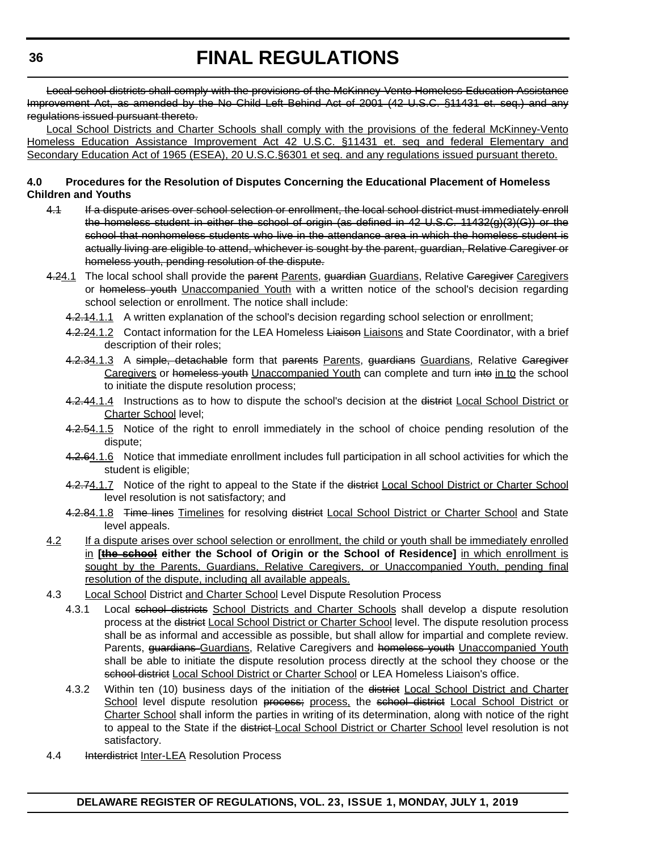# **FINAL REGULATIONS**

Local school districts shall comply with the provisions of the McKinney-Vento Homeless Education Assistance Improvement Act, as amended by the No Child Left Behind Act of 2001 (42 U.S.C. §11431 et. seq.) and any regulations issued pursuant thereto.

Local School Districts and Charter Schools shall comply with the provisions of the federal McKinney-Vento Homeless Education Assistance Improvement Act 42 U.S.C. §11431 et. seq and federal Elementary and Secondary Education Act of 1965 (ESEA), 20 U.S.C.§6301 et seq. and any regulations issued pursuant thereto.

#### **4.0 Procedures for the Resolution of Disputes Concerning the Educational Placement of Homeless Children and Youths**

- 4.1 If a dispute arises over school selection or enrollment, the local school district must immediately enroll the homeless student in either the school of origin (as defined in 42 U.S.C. 11432(g)(3)(G)) or the school that nonhomeless students who live in the attendance area in which the homeless student is actually living are eligible to attend, whichever is sought by the parent, guardian, Relative Caregiver or homeless youth, pending resolution of the dispute.
- 4.24.1 The local school shall provide the parent Parents, guardian Guardians, Relative Garegiver Caregivers or homeless youth Unaccompanied Youth with a written notice of the school's decision regarding school selection or enrollment. The notice shall include:
	- 4.2.14.1.1 A written explanation of the school's decision regarding school selection or enrollment;
	- 4.2.24.1.2 Contact information for the LEA Homeless Liaison Liaisons and State Coordinator, with a brief description of their roles;
	- 4.2.34.1.3 A simple, detachable form that parents Parents, guardians Guardians, Relative Garegiver Caregivers or homeless youth Unaccompanied Youth can complete and turn into in to the school to initiate the dispute resolution process;
	- 4.2.44.1.4 Instructions as to how to dispute the school's decision at the district Local School District or Charter School level;
	- 4.2.54.1.5 Notice of the right to enroll immediately in the school of choice pending resolution of the dispute;
	- 4.2.64.1.6 Notice that immediate enrollment includes full participation in all school activities for which the student is eligible;
	- 4.2.74.1.7 Notice of the right to appeal to the State if the district Local School District or Charter School level resolution is not satisfactory; and
	- 4.2.84.1.8 Time lines Timelines for resolving district Local School District or Charter School and State level appeals.
- 4.2 If a dispute arises over school selection or enrollment, the child or youth shall be immediately enrolled in **[the school either the School of Origin or the School of Residence]** in which enrollment is sought by the Parents, Guardians, Relative Caregivers, or Unaccompanied Youth, pending final resolution of the dispute, including all available appeals.
- 4.3 Local School District and Charter School Level Dispute Resolution Process
	- 4.3.1 Local school districts School Districts and Charter Schools shall develop a dispute resolution process at the district Local School District or Charter School level. The dispute resolution process shall be as informal and accessible as possible, but shall allow for impartial and complete review. Parents, guardians Guardians, Relative Caregivers and homeless youth Unaccompanied Youth shall be able to initiate the dispute resolution process directly at the school they choose or the school district Local School District or Charter School or LEA Homeless Liaison's office.
	- 4.3.2 Within ten (10) business days of the initiation of the district Local School District and Charter School level dispute resolution process; process, the school district Local School District or Charter School shall inform the parties in writing of its determination, along with notice of the right to appeal to the State if the district Local School District or Charter School level resolution is not satisfactory.
- 4.4 **Interdistrict Inter-LEA Resolution Process**

**DELAWARE REGISTER OF REGULATIONS, VOL. 23, ISSUE 1, MONDAY, JULY 1, 2019**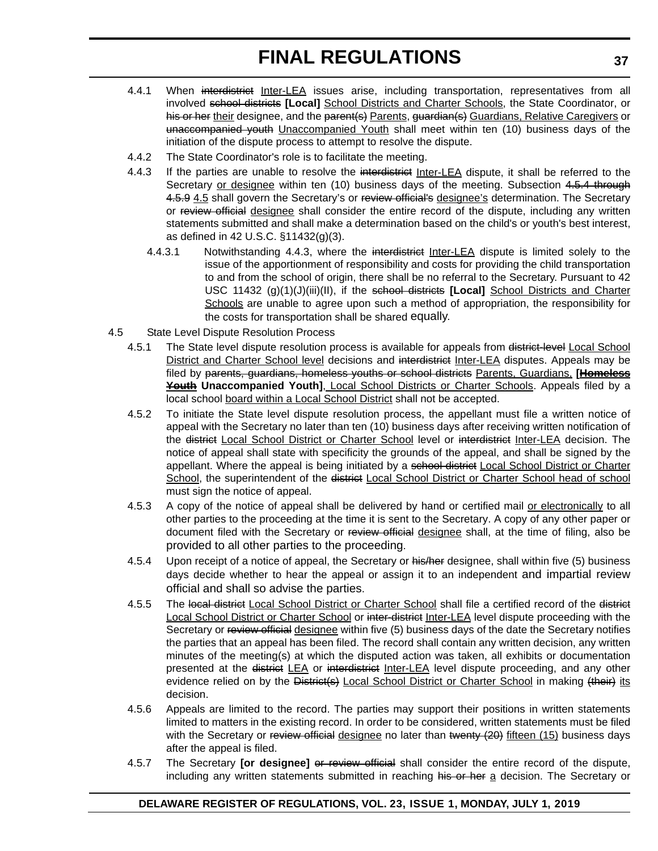- 4.4.1 When interdistrict Inter-LEA issues arise, including transportation, representatives from all involved school districts **[Local]** School Districts and Charter Schools, the State Coordinator, or his or her their designee, and the parent(s) Parents, guardian(s) Guardians, Relative Caregivers or unaccompanied youth Unaccompanied Youth shall meet within ten (10) business days of the initiation of the dispute process to attempt to resolve the dispute.
- 4.4.2 The State Coordinator's role is to facilitate the meeting.
- 4.4.3 If the parties are unable to resolve the interdistrict Inter-LEA dispute, it shall be referred to the Secretary or designee within ten (10) business days of the meeting. Subsection 4.5.4 through 4.5.9 4.5 shall govern the Secretary's or review official's designee's determination. The Secretary or review official designee shall consider the entire record of the dispute, including any written statements submitted and shall make a determination based on the child's or youth's best interest, as defined in 42 U.S.C. §11432(g)(3).
	- 4.4.3.1 Notwithstanding 4.4.3, where the interdistrict Inter-LEA dispute is limited solely to the issue of the apportionment of responsibility and costs for providing the child transportation to and from the school of origin, there shall be no referral to the Secretary. Pursuant to 42 USC 11432 (g)(1)(J)(iii)(II), if the school districts **[Local]** School Districts and Charter Schools are unable to agree upon such a method of appropriation, the responsibility for the costs for transportation shall be shared equally.
- 4.5 State Level Dispute Resolution Process
	- 4.5.1 The State level dispute resolution process is available for appeals from district-level Local School District and Charter School level decisions and interdistrict Inter-LEA disputes. Appeals may be filed by parents, guardians, homeless youths or school districts Parents, Guardians, **[Homeless Youth Unaccompanied Youth]**, Local School Districts or Charter Schools. Appeals filed by a local school board within a Local School District shall not be accepted.
	- 4.5.2 To initiate the State level dispute resolution process, the appellant must file a written notice of appeal with the Secretary no later than ten (10) business days after receiving written notification of the district Local School District or Charter School level or interdistrict Inter-LEA decision. The notice of appeal shall state with specificity the grounds of the appeal, and shall be signed by the appellant. Where the appeal is being initiated by a school district Local School District or Charter School, the superintendent of the district Local School District or Charter School head of school must sign the notice of appeal.
	- 4.5.3 A copy of the notice of appeal shall be delivered by hand or certified mail or electronically to all other parties to the proceeding at the time it is sent to the Secretary. A copy of any other paper or document filed with the Secretary or review official designee shall, at the time of filing, also be provided to all other parties to the proceeding.
	- 4.5.4 Upon receipt of a notice of appeal, the Secretary or his/her designee, shall within five (5) business days decide whether to hear the appeal or assign it to an independent and impartial review official and shall so advise the parties.
	- 4.5.5 The local district Local School District or Charter School shall file a certified record of the district Local School District or Charter School or inter-district Inter-LEA level dispute proceeding with the Secretary or review official designee within five (5) business days of the date the Secretary notifies the parties that an appeal has been filed. The record shall contain any written decision, any written minutes of the meeting(s) at which the disputed action was taken, all exhibits or documentation presented at the district LEA or interdistrict Inter-LEA level dispute proceeding, and any other evidence relied on by the District(s) Local School District or Charter School in making (their) its decision.
	- 4.5.6 Appeals are limited to the record. The parties may support their positions in written statements limited to matters in the existing record. In order to be considered, written statements must be filed with the Secretary or review official designee no later than twenty (20) fifteen (15) business days after the appeal is filed.
	- 4.5.7 The Secretary **[or designee]** or review official shall consider the entire record of the dispute, including any written statements submitted in reaching his or her a decision. The Secretary or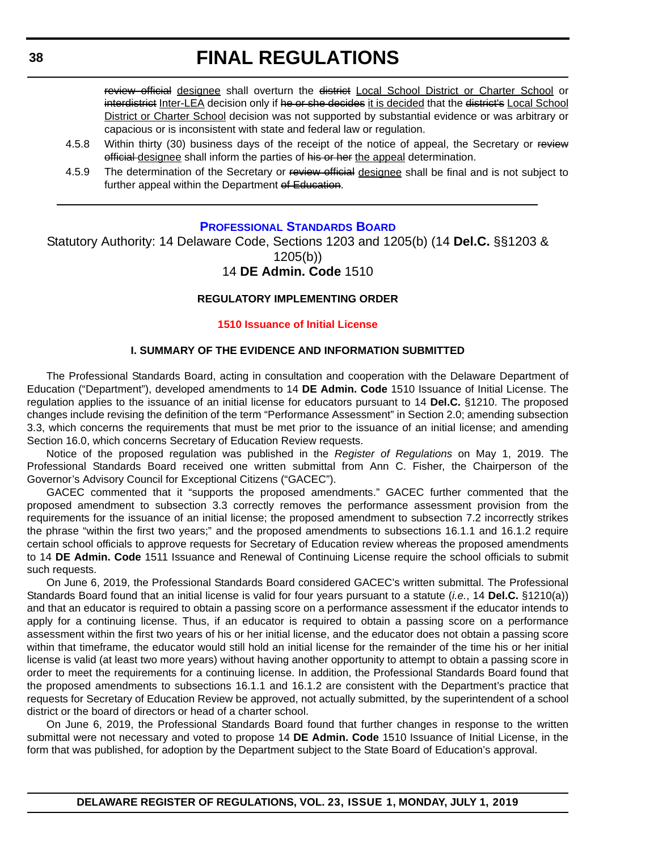review official designee shall overturn the district Local School District or Charter School or interdistrict Inter-LEA decision only if he or she decides it is decided that the district's Local School District or Charter School decision was not supported by substantial evidence or was arbitrary or capacious or is inconsistent with state and federal law or regulation.

- 4.5.8 Within thirty (30) business days of the receipt of the notice of appeal, the Secretary or review official designee shall inform the parties of his or her the appeal determination.
- 4.5.9 The determination of the Secretary or review official designee shall be final and is not subject to further appeal within the Department of Education.

## **[PROFESSIONAL STANDARDS BOARD](https://www.doe.k12.de.us/domain/172 )**

Statutory Authority: 14 Delaware Code, Sections 1203 and 1205(b) (14 **Del.C.** §§1203 & 1205(b))

# 14 **DE Admin. Code** 1510

## **REGULATORY IMPLEMENTING ORDER**

## **[1510 Issuance of Initial License](#page-3-0)**

### **I. SUMMARY OF THE EVIDENCE AND INFORMATION SUBMITTED**

The Professional Standards Board, acting in consultation and cooperation with the Delaware Department of Education ("Department"), developed amendments to 14 **DE Admin. Code** 1510 Issuance of Initial License. The regulation applies to the issuance of an initial license for educators pursuant to 14 **Del.C.** §1210. The proposed changes include revising the definition of the term "Performance Assessment" in Section 2.0; amending subsection 3.3, which concerns the requirements that must be met prior to the issuance of an initial license; and amending Section 16.0, which concerns Secretary of Education Review requests.

Notice of the proposed regulation was published in the *Register of Regulations* on May 1, 2019. The Professional Standards Board received one written submittal from Ann C. Fisher, the Chairperson of the Governor's Advisory Council for Exceptional Citizens ("GACEC").

GACEC commented that it "supports the proposed amendments." GACEC further commented that the proposed amendment to subsection 3.3 correctly removes the performance assessment provision from the requirements for the issuance of an initial license; the proposed amendment to subsection 7.2 incorrectly strikes the phrase "within the first two years;" and the proposed amendments to subsections 16.1.1 and 16.1.2 require certain school officials to approve requests for Secretary of Education review whereas the proposed amendments to 14 **DE Admin. Code** 1511 Issuance and Renewal of Continuing License require the school officials to submit such requests.

On June 6, 2019, the Professional Standards Board considered GACEC's written submittal. The Professional Standards Board found that an initial license is valid for four years pursuant to a statute (*i.e.*, 14 **Del.C.** §1210(a)) and that an educator is required to obtain a passing score on a performance assessment if the educator intends to apply for a continuing license. Thus, if an educator is required to obtain a passing score on a performance assessment within the first two years of his or her initial license, and the educator does not obtain a passing score within that timeframe, the educator would still hold an initial license for the remainder of the time his or her initial license is valid (at least two more years) without having another opportunity to attempt to obtain a passing score in order to meet the requirements for a continuing license. In addition, the Professional Standards Board found that the proposed amendments to subsections 16.1.1 and 16.1.2 are consistent with the Department's practice that requests for Secretary of Education Review be approved, not actually submitted, by the superintendent of a school district or the board of directors or head of a charter school.

On June 6, 2019, the Professional Standards Board found that further changes in response to the written submittal were not necessary and voted to propose 14 **DE Admin. Code** 1510 Issuance of Initial License, in the form that was published, for adoption by the Department subject to the State Board of Education's approval.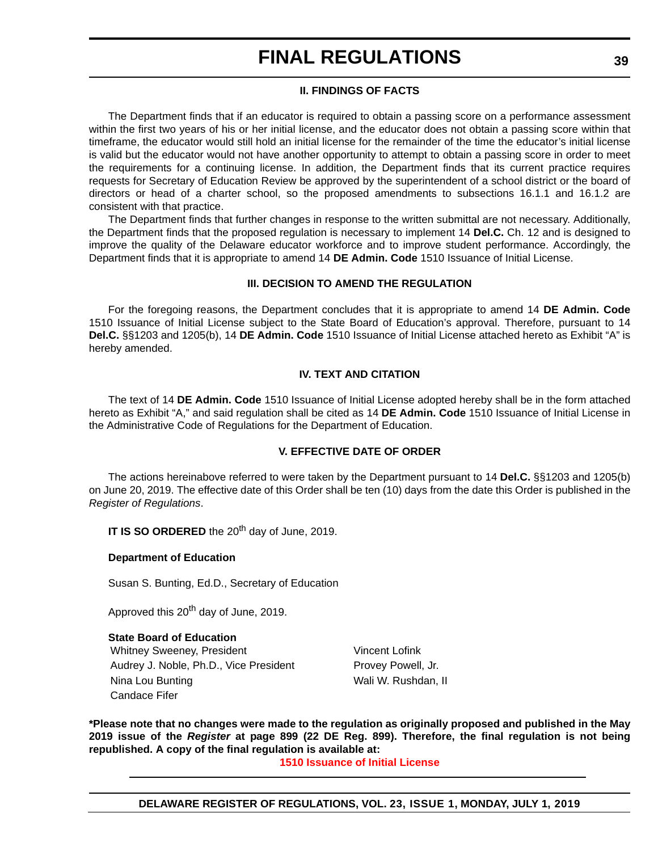### **II. FINDINGS OF FACTS**

The Department finds that if an educator is required to obtain a passing score on a performance assessment within the first two years of his or her initial license, and the educator does not obtain a passing score within that timeframe, the educator would still hold an initial license for the remainder of the time the educator's initial license is valid but the educator would not have another opportunity to attempt to obtain a passing score in order to meet the requirements for a continuing license. In addition, the Department finds that its current practice requires requests for Secretary of Education Review be approved by the superintendent of a school district or the board of directors or head of a charter school, so the proposed amendments to subsections 16.1.1 and 16.1.2 are consistent with that practice.

The Department finds that further changes in response to the written submittal are not necessary. Additionally, the Department finds that the proposed regulation is necessary to implement 14 **Del.C.** Ch. 12 and is designed to improve the quality of the Delaware educator workforce and to improve student performance. Accordingly, the Department finds that it is appropriate to amend 14 **DE Admin. Code** 1510 Issuance of Initial License.

#### **III. DECISION TO AMEND THE REGULATION**

For the foregoing reasons, the Department concludes that it is appropriate to amend 14 **DE Admin. Code** 1510 Issuance of Initial License subject to the State Board of Education's approval. Therefore, pursuant to 14 **Del.C.** §§1203 and 1205(b), 14 **DE Admin. Code** 1510 Issuance of Initial License attached hereto as Exhibit "A" is hereby amended.

#### **IV. TEXT AND CITATION**

The text of 14 **DE Admin. Code** 1510 Issuance of Initial License adopted hereby shall be in the form attached hereto as Exhibit "A," and said regulation shall be cited as 14 **DE Admin. Code** 1510 Issuance of Initial License in the Administrative Code of Regulations for the Department of Education.

#### **V. EFFECTIVE DATE OF ORDER**

The actions hereinabove referred to were taken by the Department pursuant to 14 **Del.C.** §§1203 and 1205(b) on June 20, 2019. The effective date of this Order shall be ten (10) days from the date this Order is published in the *Register of Regulations*.

**IT IS SO ORDERED** the 20<sup>th</sup> day of June, 2019.

#### **Department of Education**

Susan S. Bunting, Ed.D., Secretary of Education

Approved this 20<sup>th</sup> day of June, 2019.

## **State Board of Education**

Whitney Sweeney, President Vincent Lofink Audrey J. Noble, Ph.D., Vice President Provey Powell, Jr. Nina Lou Bunting Nina Lou Bunting Walles Allen Louis Mali W. Rushdan, II Candace Fifer

**\*Please note that no changes were made to the regulation as originally proposed and published in the May 2019 issue of the** *Register* **at page 899 (22 DE Reg. 899). Therefore, the final regulation is not being republished. A copy of the final regulation is available at:**

**[1510 Issuance of Initial License](http://regulations.delaware.gov/register/july2019/final/23 DE Reg 38 07-01-19.htm)**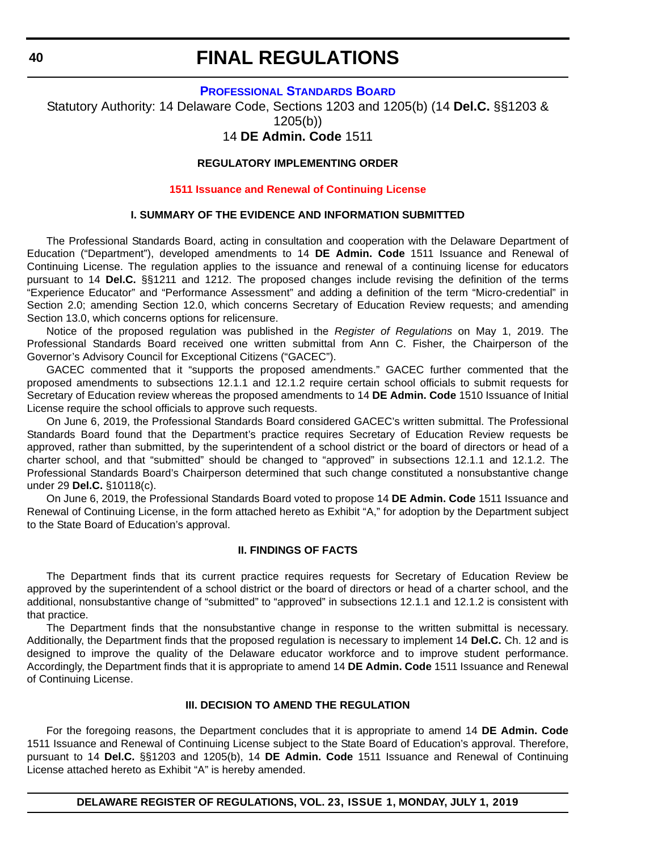#### **[PROFESSIONAL STANDARDS BOARD](https://www.doe.k12.de.us/domain/172 )**

Statutory Authority: 14 Delaware Code, Sections 1203 and 1205(b) (14 **Del.C.** §§1203 & 1205(b))

# 14 **DE Admin. Code** 1511

#### **REGULATORY IMPLEMENTING ORDER**

#### **[1511 Issuance and Renewal of Continuing License](#page-3-0)**

# **I. SUMMARY OF THE EVIDENCE AND INFORMATION SUBMITTED**

The Professional Standards Board, acting in consultation and cooperation with the Delaware Department of Education ("Department"), developed amendments to 14 **DE Admin. Code** 1511 Issuance and Renewal of Continuing License. The regulation applies to the issuance and renewal of a continuing license for educators pursuant to 14 **Del.C.** §§1211 and 1212. The proposed changes include revising the definition of the terms "Experience Educator" and "Performance Assessment" and adding a definition of the term "Micro-credential" in Section 2.0; amending Section 12.0, which concerns Secretary of Education Review requests; and amending Section 13.0, which concerns options for relicensure.

Notice of the proposed regulation was published in the *Register of Regulations* on May 1, 2019. The Professional Standards Board received one written submittal from Ann C. Fisher, the Chairperson of the Governor's Advisory Council for Exceptional Citizens ("GACEC").

GACEC commented that it "supports the proposed amendments." GACEC further commented that the proposed amendments to subsections 12.1.1 and 12.1.2 require certain school officials to submit requests for Secretary of Education review whereas the proposed amendments to 14 **DE Admin. Code** 1510 Issuance of Initial License require the school officials to approve such requests.

On June 6, 2019, the Professional Standards Board considered GACEC's written submittal. The Professional Standards Board found that the Department's practice requires Secretary of Education Review requests be approved, rather than submitted, by the superintendent of a school district or the board of directors or head of a charter school, and that "submitted" should be changed to "approved" in subsections 12.1.1 and 12.1.2. The Professional Standards Board's Chairperson determined that such change constituted a nonsubstantive change under 29 **Del.C.** §10118(c).

On June 6, 2019, the Professional Standards Board voted to propose 14 **DE Admin. Code** 1511 Issuance and Renewal of Continuing License, in the form attached hereto as Exhibit "A," for adoption by the Department subject to the State Board of Education's approval.

#### **II. FINDINGS OF FACTS**

The Department finds that its current practice requires requests for Secretary of Education Review be approved by the superintendent of a school district or the board of directors or head of a charter school, and the additional, nonsubstantive change of "submitted" to "approved" in subsections 12.1.1 and 12.1.2 is consistent with that practice.

The Department finds that the nonsubstantive change in response to the written submittal is necessary. Additionally, the Department finds that the proposed regulation is necessary to implement 14 **Del.C.** Ch. 12 and is designed to improve the quality of the Delaware educator workforce and to improve student performance. Accordingly, the Department finds that it is appropriate to amend 14 **DE Admin. Code** 1511 Issuance and Renewal of Continuing License.

#### **III. DECISION TO AMEND THE REGULATION**

For the foregoing reasons, the Department concludes that it is appropriate to amend 14 **DE Admin. Code** 1511 Issuance and Renewal of Continuing License subject to the State Board of Education's approval. Therefore, pursuant to 14 **Del.C.** §§1203 and 1205(b), 14 **DE Admin. Code** 1511 Issuance and Renewal of Continuing License attached hereto as Exhibit "A" is hereby amended.

**DELAWARE REGISTER OF REGULATIONS, VOL. 23, ISSUE 1, MONDAY, JULY 1, 2019**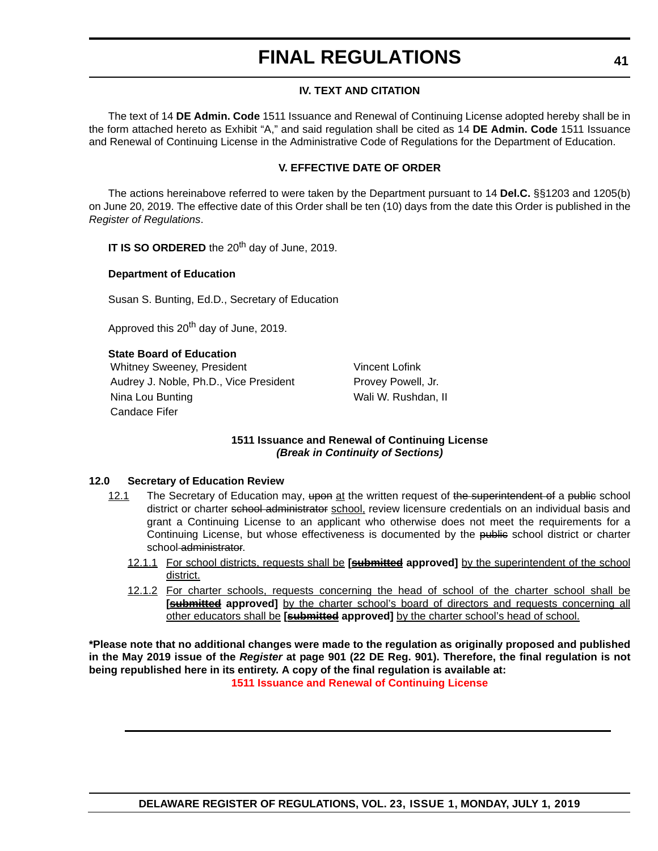## **IV. TEXT AND CITATION**

The text of 14 **DE Admin. Code** 1511 Issuance and Renewal of Continuing License adopted hereby shall be in the form attached hereto as Exhibit "A," and said regulation shall be cited as 14 **DE Admin. Code** 1511 Issuance and Renewal of Continuing License in the Administrative Code of Regulations for the Department of Education.

## **V. EFFECTIVE DATE OF ORDER**

The actions hereinabove referred to were taken by the Department pursuant to 14 **Del.C.** §§1203 and 1205(b) on June 20, 2019. The effective date of this Order shall be ten (10) days from the date this Order is published in the *Register of Regulations*.

**IT IS SO ORDERED** the 20<sup>th</sup> day of June, 2019.

#### **Department of Education**

Susan S. Bunting, Ed.D., Secretary of Education

Approved this 20<sup>th</sup> day of June, 2019.

**State Board of Education**

Whitney Sweeney, President Vincent Lofink Audrey J. Noble, Ph.D., Vice President Provey Powell, Jr. Nina Lou Bunting Nina Lou Bunting Walles Allen Louis Mali W. Rushdan, II Candace Fifer

## **1511 Issuance and Renewal of Continuing License** *(Break in Continuity of Sections)*

#### **12.0 Secretary of Education Review**

- 12.1 The Secretary of Education may, upon at the written request of the superintendent of a public school district or charter school administrator school, review licensure credentials on an individual basis and grant a Continuing License to an applicant who otherwise does not meet the requirements for a Continuing License, but whose effectiveness is documented by the public school district or charter school administrator.
	- 12.1.1 For school districts, requests shall be **[submitted approved]** by the superintendent of the school district.
	- 12.1.2 For charter schools, requests concerning the head of school of the charter school shall be **[submitted** approved] by the charter school's board of directors and requests concerning all other educators shall be **[submitted approved]** by the charter school's head of school.

**\*Please note that no additional changes were made to the regulation as originally proposed and published in the May 2019 issue of the** *Register* **at page 901 (22 DE Reg. 901). Therefore, the final regulation is not being republished here in its entirety. A copy of the final regulation is available at: [1511 Issuance and Renewal of Continuing License](http://regulations.delaware.gov/register/july2019/final/23 DE Reg 40 07-01-19.htm)**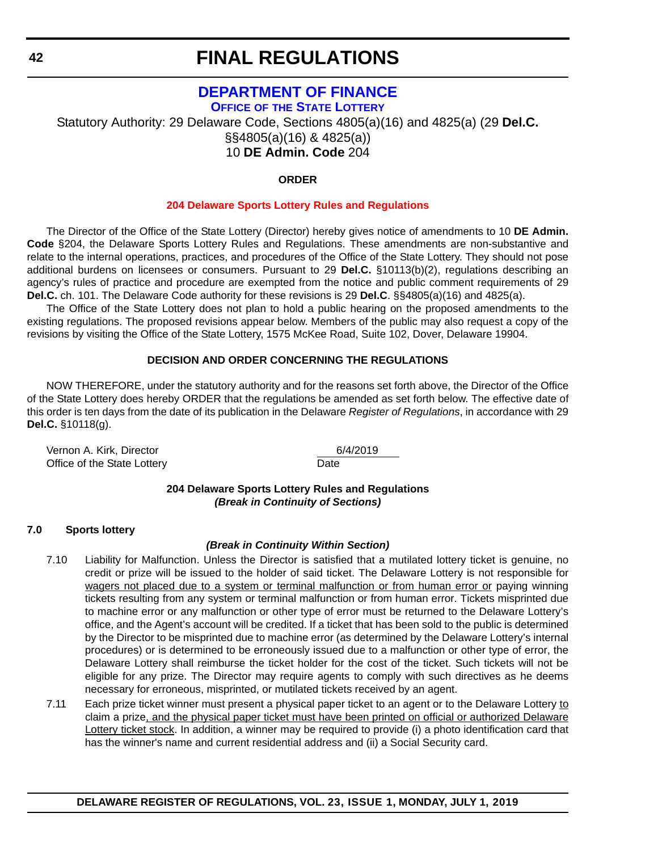# **[DEPARTMENT OF FINANCE](https://finance.delaware.gov/ ) OFFICE OF [THE STATE LOTTERY](https://www.delottery.com/ )**

Statutory Authority: 29 Delaware Code, Sections 4805(a)(16) and 4825(a) (29 **Del.C.** §§4805(a)(16) & 4825(a)) 10 **DE Admin. Code** 204

## **ORDER**

### **[204 Delaware Sports Lottery Rules and Regulations](#page-3-0)**

The Director of the Office of the State Lottery (Director) hereby gives notice of amendments to 10 **DE Admin. Code** §204, the Delaware Sports Lottery Rules and Regulations. These amendments are non-substantive and relate to the internal operations, practices, and procedures of the Office of the State Lottery. They should not pose additional burdens on licensees or consumers. Pursuant to 29 **Del.C.** §10113(b)(2), regulations describing an agency's rules of practice and procedure are exempted from the notice and public comment requirements of 29 **Del.C.** ch. 101. The Delaware Code authority for these revisions is 29 **Del.C**. §§4805(a)(16) and 4825(a).

The Office of the State Lottery does not plan to hold a public hearing on the proposed amendments to the existing regulations. The proposed revisions appear below. Members of the public may also request a copy of the revisions by visiting the Office of the State Lottery, 1575 McKee Road, Suite 102, Dover, Delaware 19904.

## **DECISION AND ORDER CONCERNING THE REGULATIONS**

NOW THEREFORE, under the statutory authority and for the reasons set forth above, the Director of the Office of the State Lottery does hereby ORDER that the regulations be amended as set forth below. The effective date of this order is ten days from the date of its publication in the Delaware *Register of Regulations*, in accordance with 29 **Del.C.** §10118(g).

Vernon A. Kirk, Director 6/4/2019 Office of the State Lottery **Date** 

## **204 Delaware Sports Lottery Rules and Regulations** *(Break in Continuity of Sections)*

#### **7.0 Sports lottery**

#### *(Break in Continuity Within Section)*

- 7.10 Liability for Malfunction. Unless the Director is satisfied that a mutilated lottery ticket is genuine, no credit or prize will be issued to the holder of said ticket. The Delaware Lottery is not responsible for wagers not placed due to a system or terminal malfunction or from human error or paying winning tickets resulting from any system or terminal malfunction or from human error. Tickets misprinted due to machine error or any malfunction or other type of error must be returned to the Delaware Lottery's office, and the Agent's account will be credited. If a ticket that has been sold to the public is determined by the Director to be misprinted due to machine error (as determined by the Delaware Lottery's internal procedures) or is determined to be erroneously issued due to a malfunction or other type of error, the Delaware Lottery shall reimburse the ticket holder for the cost of the ticket. Such tickets will not be eligible for any prize. The Director may require agents to comply with such directives as he deems necessary for erroneous, misprinted, or mutilated tickets received by an agent.
- 7.11 Each prize ticket winner must present a physical paper ticket to an agent or to the Delaware Lottery to claim a prize, and the physical paper ticket must have been printed on official or authorized Delaware Lottery ticket stock. In addition, a winner may be required to provide (i) a photo identification card that has the winner's name and current residential address and (ii) a Social Security card.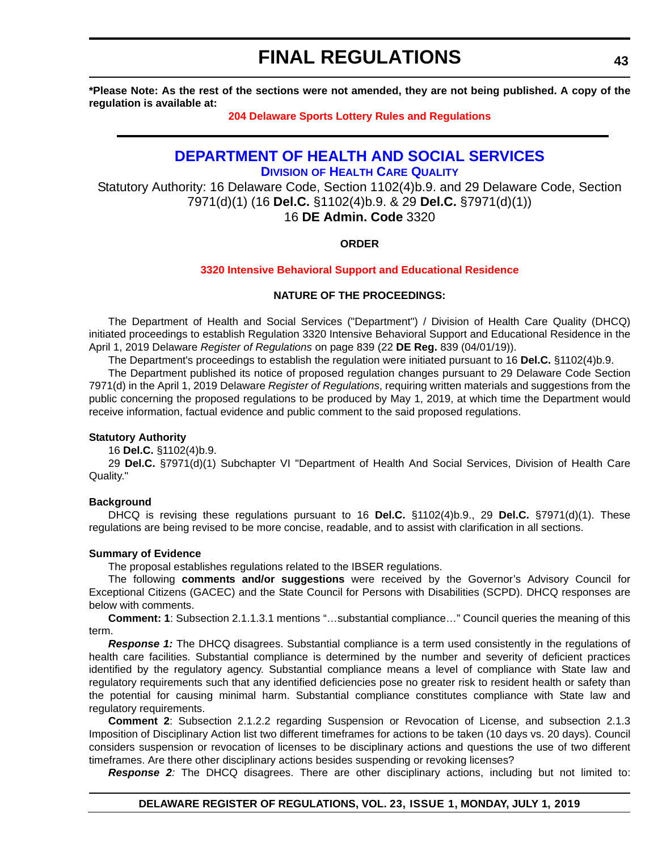**\*Please Note: As the rest of the sections were not amended, they are not being published. A copy of the regulation is available at:**

#### **[204 Delaware Sports Lottery Rules and Regulations](http://regulations.delaware.gov/register/july2019/final/23 DE Reg 42 07-01-19.htm)**

# **[DEPARTMENT OF HEALTH AND SOCIAL SERVICES](https://www.dhss.delaware.gov/dhss/index.html)**

**DIVISION [OF HEALTH CARE QUALITY](https://www.dhss.delaware.gov/dhss/dltcrp/)**

Statutory Authority: 16 Delaware Code, Section 1102(4)b.9. and 29 Delaware Code, Section 7971(d)(1) (16 **Del.C.** §1102(4)b.9. & 29 **Del.C.** §7971(d)(1)) 16 **DE Admin. Code** 3320

#### **ORDER**

#### **[3320 Intensive Behavioral Support and Educational Residence](#page-3-0)**

## **NATURE OF THE PROCEEDINGS:**

The Department of Health and Social Services ("Department") / Division of Health Care Quality (DHCQ) initiated proceedings to establish Regulation 3320 Intensive Behavioral Support and Educational Residence in the April 1, 2019 Delaware *Register of Regulations* on page 839 (22 **DE Reg.** 839 (04/01/19)).

The Department's proceedings to establish the regulation were initiated pursuant to 16 **Del.C.** §1102(4)b.9.

The Department published its notice of proposed regulation changes pursuant to 29 Delaware Code Section 7971(d) in the April 1, 2019 Delaware *Register of Regulations*, requiring written materials and suggestions from the public concerning the proposed regulations to be produced by May 1, 2019, at which time the Department would receive information, factual evidence and public comment to the said proposed regulations.

#### **Statutory Authority**

16 **Del.C.** §1102(4)b.9.

29 **Del.C.** §7971(d)(1) Subchapter VI "Department of Health And Social Services, Division of Health Care Quality."

#### **Background**

DHCQ is revising these regulations pursuant to 16 **Del.C.** §1102(4)b.9., 29 **Del.C.** §7971(d)(1). These regulations are being revised to be more concise, readable, and to assist with clarification in all sections.

#### **Summary of Evidence**

The proposal establishes regulations related to the IBSER regulations.

The following **comments and/or suggestions** were received by the Governor's Advisory Council for Exceptional Citizens (GACEC) and the State Council for Persons with Disabilities (SCPD). DHCQ responses are below with comments.

**Comment: 1**: Subsection 2.1.1.3.1 mentions "…substantial compliance…" Council queries the meaning of this term.

**Response 1:** The DHCQ disagrees. Substantial compliance is a term used consistently in the regulations of health care facilities. Substantial compliance is determined by the number and severity of deficient practices identified by the regulatory agency. Substantial compliance means a level of compliance with State law and regulatory requirements such that any identified deficiencies pose no greater risk to resident health or safety than the potential for causing minimal harm. Substantial compliance constitutes compliance with State law and regulatory requirements.

**Comment 2**: Subsection 2.1.2.2 regarding Suspension or Revocation of License, and subsection 2.1.3 Imposition of Disciplinary Action list two different timeframes for actions to be taken (10 days vs. 20 days). Council considers suspension or revocation of licenses to be disciplinary actions and questions the use of two different timeframes. Are there other disciplinary actions besides suspending or revoking licenses?

*Response 2:* The DHCQ disagrees. There are other disciplinary actions, including but not limited to: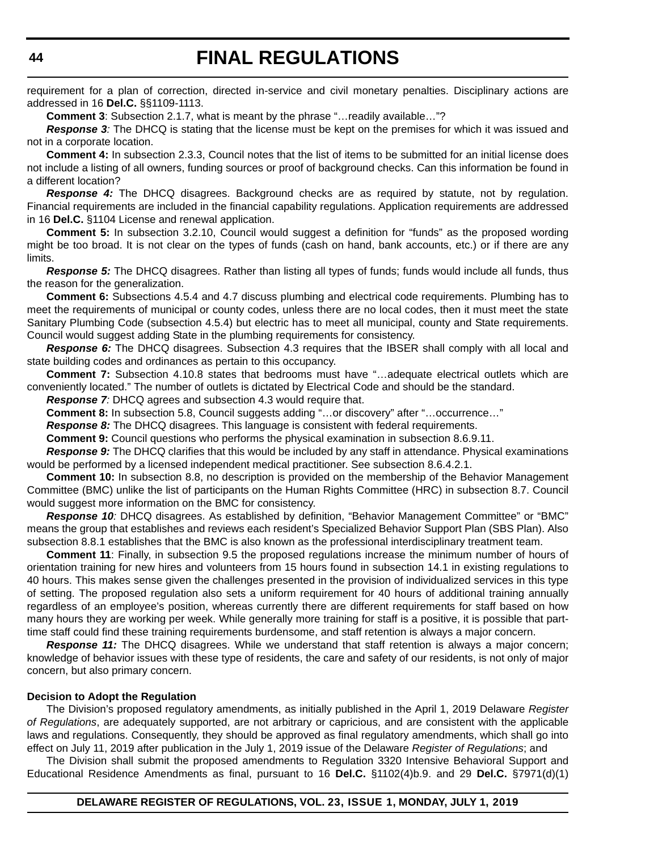requirement for a plan of correction, directed in-service and civil monetary penalties. Disciplinary actions are addressed in 16 **Del.C.** §§1109-1113.

**Comment 3**: Subsection 2.1.7, what is meant by the phrase "…readily available…"?

*Response 3:* The DHCQ is stating that the license must be kept on the premises for which it was issued and not in a corporate location.

**Comment 4:** In subsection 2.3.3, Council notes that the list of items to be submitted for an initial license does not include a listing of all owners, funding sources or proof of background checks. Can this information be found in a different location?

*Response 4:* The DHCQ disagrees. Background checks are as required by statute, not by regulation. Financial requirements are included in the financial capability regulations. Application requirements are addressed in 16 **Del.C.** §1104 License and renewal application.

**Comment 5:** In subsection 3.2.10, Council would suggest a definition for "funds" as the proposed wording might be too broad. It is not clear on the types of funds (cash on hand, bank accounts, etc.) or if there are any limits.

*Response 5:* The DHCQ disagrees. Rather than listing all types of funds; funds would include all funds, thus the reason for the generalization.

**Comment 6:** Subsections 4.5.4 and 4.7 discuss plumbing and electrical code requirements. Plumbing has to meet the requirements of municipal or county codes, unless there are no local codes, then it must meet the state Sanitary Plumbing Code (subsection 4.5.4) but electric has to meet all municipal, county and State requirements. Council would suggest adding State in the plumbing requirements for consistency.

**Response 6:** The DHCQ disagrees. Subsection 4.3 requires that the IBSER shall comply with all local and state building codes and ordinances as pertain to this occupancy.

**Comment 7:** Subsection 4.10.8 states that bedrooms must have "…adequate electrical outlets which are conveniently located." The number of outlets is dictated by Electrical Code and should be the standard.

*Response 7:* DHCQ agrees and subsection 4.3 would require that.

**Comment 8:** In subsection 5.8, Council suggests adding "…or discovery" after "…occurrence…"

**Response 8:** The DHCQ disagrees. This language is consistent with federal requirements.

**Comment 9:** Council questions who performs the physical examination in subsection 8.6.9.11.

*Response 9:* The DHCQ clarifies that this would be included by any staff in attendance. Physical examinations would be performed by a licensed independent medical practitioner. See subsection 8.6.4.2.1.

**Comment 10:** In subsection 8.8, no description is provided on the membership of the Behavior Management Committee (BMC) unlike the list of participants on the Human Rights Committee (HRC) in subsection 8.7. Council would suggest more information on the BMC for consistency.

*Response 10:* DHCQ disagrees. As established by definition, "Behavior Management Committee" or "BMC" means the group that establishes and reviews each resident's Specialized Behavior Support Plan (SBS Plan). Also subsection 8.8.1 establishes that the BMC is also known as the professional interdisciplinary treatment team.

**Comment 11**: Finally, in subsection 9.5 the proposed regulations increase the minimum number of hours of orientation training for new hires and volunteers from 15 hours found in subsection 14.1 in existing regulations to 40 hours. This makes sense given the challenges presented in the provision of individualized services in this type of setting. The proposed regulation also sets a uniform requirement for 40 hours of additional training annually regardless of an employee's position, whereas currently there are different requirements for staff based on how many hours they are working per week. While generally more training for staff is a positive, it is possible that parttime staff could find these training requirements burdensome, and staff retention is always a major concern.

*Response 11:* The DHCQ disagrees. While we understand that staff retention is always a major concern; knowledge of behavior issues with these type of residents, the care and safety of our residents, is not only of major concern, but also primary concern.

#### **Decision to Adopt the Regulation**

The Division's proposed regulatory amendments, as initially published in the April 1, 2019 Delaware *Register of Regulations*, are adequately supported, are not arbitrary or capricious, and are consistent with the applicable laws and regulations. Consequently, they should be approved as final regulatory amendments, which shall go into effect on July 11, 2019 after publication in the July 1, 2019 issue of the Delaware *Register of Regulations*; and

The Division shall submit the proposed amendments to Regulation 3320 Intensive Behavioral Support and Educational Residence Amendments as final, pursuant to 16 **Del.C.** §1102(4)b.9. and 29 **Del.C.** §7971(d)(1)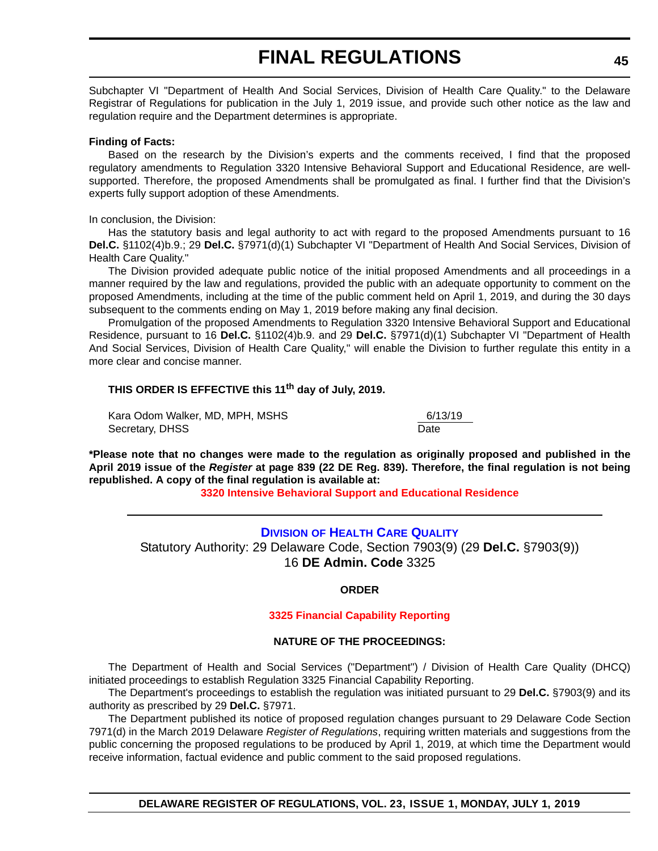Subchapter VI "Department of Health And Social Services, Division of Health Care Quality." to the Delaware Registrar of Regulations for publication in the July 1, 2019 issue, and provide such other notice as the law and regulation require and the Department determines is appropriate.

#### **Finding of Facts:**

Based on the research by the Division's experts and the comments received, I find that the proposed regulatory amendments to Regulation 3320 Intensive Behavioral Support and Educational Residence, are wellsupported. Therefore, the proposed Amendments shall be promulgated as final. I further find that the Division's experts fully support adoption of these Amendments.

#### In conclusion, the Division:

Has the statutory basis and legal authority to act with regard to the proposed Amendments pursuant to 16 **Del.C.** §1102(4)b.9.; 29 **Del.C.** §7971(d)(1) Subchapter VI "Department of Health And Social Services, Division of Health Care Quality."

The Division provided adequate public notice of the initial proposed Amendments and all proceedings in a manner required by the law and regulations, provided the public with an adequate opportunity to comment on the proposed Amendments, including at the time of the public comment held on April 1, 2019, and during the 30 days subsequent to the comments ending on May 1, 2019 before making any final decision.

Promulgation of the proposed Amendments to Regulation 3320 Intensive Behavioral Support and Educational Residence, pursuant to 16 **Del.C.** §1102(4)b.9. and 29 **Del.C.** §7971(d)(1) Subchapter VI "Department of Health And Social Services, Division of Health Care Quality," will enable the Division to further regulate this entity in a more clear and concise manner.

# **THIS ORDER IS EFFECTIVE this 11th day of July, 2019.**

Kara Odom Walker, MD, MPH, MSHS 6/13/19 Secretary, DHSS

**\*Please note that no changes were made to the regulation as originally proposed and published in the April 2019 issue of the** *Register* **at page 839 (22 DE Reg. 839). Therefore, the final regulation is not being republished. A copy of the final regulation is available at:**

**[3320 Intensive Behavioral Support and Educational Residence](http://regulations.delaware.gov/register/july2019/final/23 DE Reg 43 07-01-19.htm)**

# **DIVISION [OF HEALTH CARE QUALITY](https://www.dhss.delaware.gov/dhss/dltcrp/)**

Statutory Authority: 29 Delaware Code, Section 7903(9) (29 **Del.C.** §7903(9)) 16 **DE Admin. Code** 3325

## **ORDER**

## **[3325 Financial Capability Reporting](#page-3-0)**

## **NATURE OF THE PROCEEDINGS:**

The Department of Health and Social Services ("Department") / Division of Health Care Quality (DHCQ) initiated proceedings to establish Regulation 3325 Financial Capability Reporting.

The Department's proceedings to establish the regulation was initiated pursuant to 29 **Del.C.** §7903(9) and its authority as prescribed by 29 **Del.C.** §7971.

The Department published its notice of proposed regulation changes pursuant to 29 Delaware Code Section 7971(d) in the March 2019 Delaware *Register of Regulations*, requiring written materials and suggestions from the public concerning the proposed regulations to be produced by April 1, 2019, at which time the Department would receive information, factual evidence and public comment to the said proposed regulations.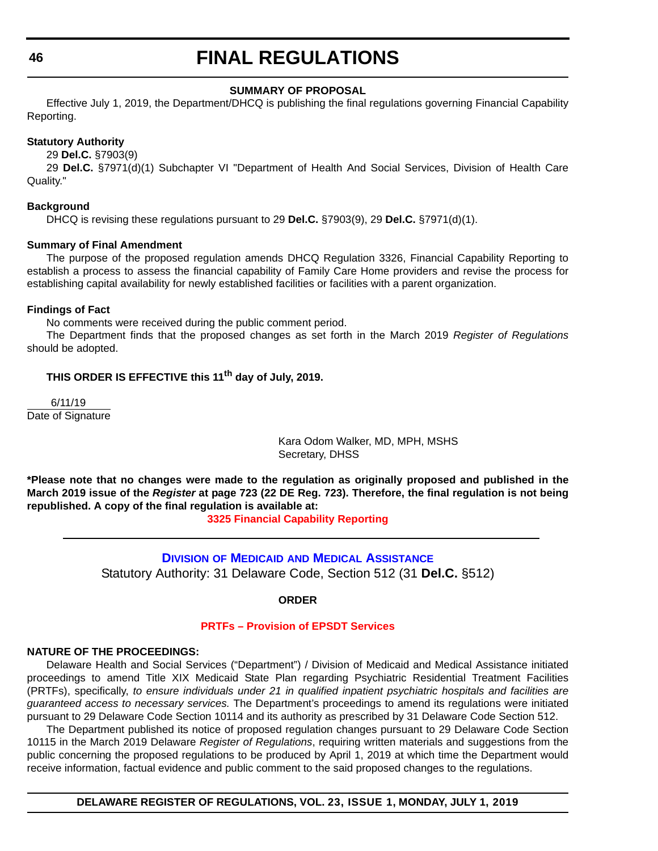#### **SUMMARY OF PROPOSAL**

Effective July 1, 2019, the Department/DHCQ is publishing the final regulations governing Financial Capability Reporting.

#### **Statutory Authority**

29 **Del.C.** §7903(9)

29 **Del.C.** §7971(d)(1) Subchapter VI "Department of Health And Social Services, Division of Health Care Quality."

#### **Background**

DHCQ is revising these regulations pursuant to 29 **Del.C.** §7903(9), 29 **Del.C.** §7971(d)(1).

#### **Summary of Final Amendment**

The purpose of the proposed regulation amends DHCQ Regulation 3326, Financial Capability Reporting to establish a process to assess the financial capability of Family Care Home providers and revise the process for establishing capital availability for newly established facilities or facilities with a parent organization.

#### **Findings of Fact**

No comments were received during the public comment period.

The Department finds that the proposed changes as set forth in the March 2019 *Register of Regulations* should be adopted.

# **THIS ORDER IS EFFECTIVE this 11th day of July, 2019.**

 6/11/19 Date of Signature

> Kara Odom Walker, MD, MPH, MSHS Secretary, DHSS

**\*Please note that no changes were made to the regulation as originally proposed and published in the March 2019 issue of the** *Register* **at page 723 (22 DE Reg. 723). Therefore, the final regulation is not being republished. A copy of the final regulation is available at:**

**[3325 Financial Capability Reporting](http://regulations.delaware.gov/register/july2019/final/23 DE Reg 45 07-01-19.htm)**

# **DIVISION OF MEDICAID [AND MEDICAL ASSISTANCE](https://www.dhss.delaware.gov/dhss/dmma/)** Statutory Authority: 31 Delaware Code, Section 512 (31 **Del.C.** §512)

**ORDER**

# **[PRTFs – Provision of EPSDT Services](#page-3-0)**

#### **NATURE OF THE PROCEEDINGS:**

Delaware Health and Social Services ("Department") / Division of Medicaid and Medical Assistance initiated proceedings to amend Title XIX Medicaid State Plan regarding Psychiatric Residential Treatment Facilities (PRTFs), specifically, *to ensure individuals under 21 in qualified inpatient psychiatric hospitals and facilities are guaranteed access to necessary services.* The Department's proceedings to amend its regulations were initiated pursuant to 29 Delaware Code Section 10114 and its authority as prescribed by 31 Delaware Code Section 512.

The Department published its notice of proposed regulation changes pursuant to 29 Delaware Code Section 10115 in the March 2019 Delaware *Register of Regulations*, requiring written materials and suggestions from the public concerning the proposed regulations to be produced by April 1, 2019 at which time the Department would receive information, factual evidence and public comment to the said proposed changes to the regulations.

**DELAWARE REGISTER OF REGULATIONS, VOL. 23, ISSUE 1, MONDAY, JULY 1, 2019**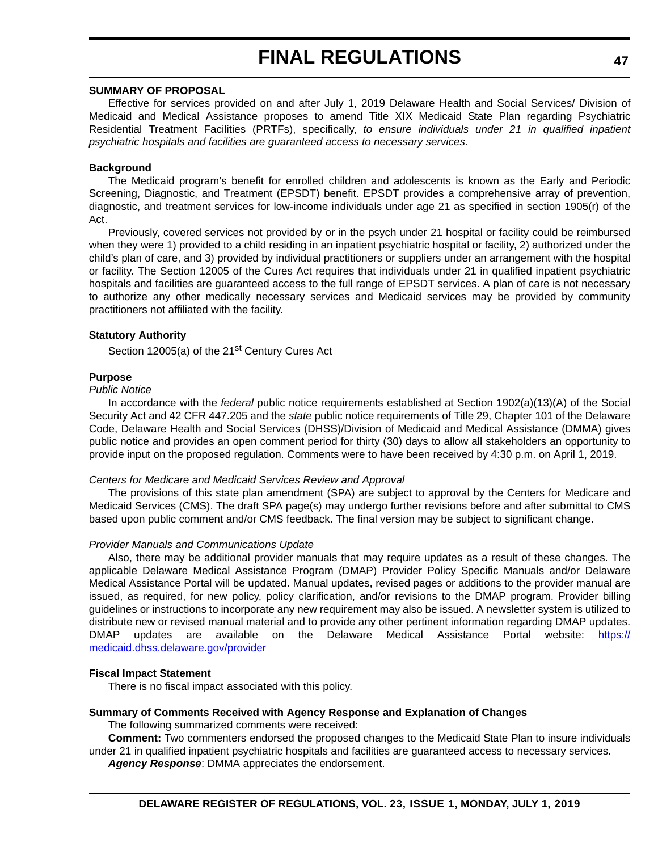#### **SUMMARY OF PROPOSAL**

Effective for services provided on and after July 1, 2019 Delaware Health and Social Services/ Division of Medicaid and Medical Assistance proposes to amend Title XIX Medicaid State Plan regarding Psychiatric Residential Treatment Facilities (PRTFs), specifically, *to ensure individuals under 21 in qualified inpatient psychiatric hospitals and facilities are guaranteed access to necessary services.*

### **Background**

The Medicaid program's benefit for enrolled children and adolescents is known as the Early and Periodic Screening, Diagnostic, and Treatment (EPSDT) benefit. EPSDT provides a comprehensive array of prevention, diagnostic, and treatment services for low-income individuals under age 21 as specified in section 1905(r) of the Act.

Previously, covered services not provided by or in the psych under 21 hospital or facility could be reimbursed when they were 1) provided to a child residing in an inpatient psychiatric hospital or facility, 2) authorized under the child's plan of care, and 3) provided by individual practitioners or suppliers under an arrangement with the hospital or facility. The Section 12005 of the Cures Act requires that individuals under 21 in qualified inpatient psychiatric hospitals and facilities are guaranteed access to the full range of EPSDT services. A plan of care is not necessary to authorize any other medically necessary services and Medicaid services may be provided by community practitioners not affiliated with the facility.

## **Statutory Authority**

Section 12005(a) of the 21<sup>st</sup> Century Cures Act

#### **Purpose**

*Public Notice*

In accordance with the *federal* public notice requirements established at Section 1902(a)(13)(A) of the Social Security Act and 42 CFR 447.205 and the *state* public notice requirements of Title 29, Chapter 101 of the Delaware Code, Delaware Health and Social Services (DHSS)/Division of Medicaid and Medical Assistance (DMMA) gives public notice and provides an open comment period for thirty (30) days to allow all stakeholders an opportunity to provide input on the proposed regulation. Comments were to have been received by 4:30 p.m. on April 1, 2019.

#### *Centers for Medicare and Medicaid Services Review and Approval*

The provisions of this state plan amendment (SPA) are subject to approval by the Centers for Medicare and Medicaid Services (CMS). The draft SPA page(s) may undergo further revisions before and after submittal to CMS based upon public comment and/or CMS feedback. The final version may be subject to significant change.

#### *Provider Manuals and Communications Update*

Also, there may be additional provider manuals that may require updates as a result of these changes. The applicable Delaware Medical Assistance Program (DMAP) Provider Policy Specific Manuals and/or Delaware Medical Assistance Portal will be updated. Manual updates, revised pages or additions to the provider manual are issued, as required, for new policy, policy clarification, and/or revisions to the DMAP program. Provider billing guidelines or instructions to incorporate any new requirement may also be issued. A newsletter system is utilized to distribute new or revised manual material and to provide any other pertinent information regarding DMAP updates. DMAP updates are available on the Delaware Medical Assistance Portal website: [https://](https://medicaid.dhss.delaware.gov/provider) [medicaid.dhss.delaware.gov/provider](https://medicaid.dhss.delaware.gov/provider)

#### **Fiscal Impact Statement**

There is no fiscal impact associated with this policy.

#### **Summary of Comments Received with Agency Response and Explanation of Changes**

The following summarized comments were received:

**Comment:** Two commenters endorsed the proposed changes to the Medicaid State Plan to insure individuals under 21 in qualified inpatient psychiatric hospitals and facilities are guaranteed access to necessary services. *Agency Response*: DMMA appreciates the endorsement.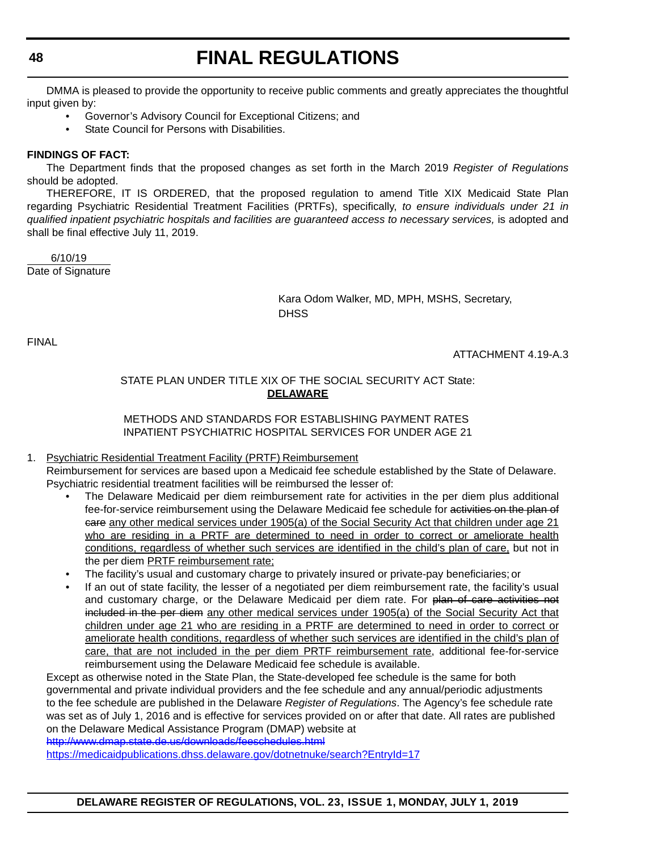DMMA is pleased to provide the opportunity to receive public comments and greatly appreciates the thoughtful input given by:

- Governor's Advisory Council for Exceptional Citizens; and
- State Council for Persons with Disabilities.

# **FINDINGS OF FACT:**

The Department finds that the proposed changes as set forth in the March 2019 *Register of Regulations* should be adopted.

THEREFORE, IT IS ORDERED, that the proposed regulation to amend Title XIX Medicaid State Plan regarding Psychiatric Residential Treatment Facilities (PRTFs), specifically, *to ensure individuals under 21 in qualified inpatient psychiatric hospitals and facilities are guaranteed access to necessary services,* is adopted and shall be final effective July 11, 2019.

 6/10/19 Date of Signature

> Kara Odom Walker, MD, MPH, MSHS, Secretary, **DHSS**

FINAL

ATTACHMENT 4.19-A.3

# STATE PLAN UNDER TITLE XIX OF THE SOCIAL SECURITY ACT State: **DELAWARE**

# METHODS AND STANDARDS FOR ESTABLISHING PAYMENT RATES INPATIENT PSYCHIATRIC HOSPITAL SERVICES FOR UNDER AGE 21

# 1. Psychiatric Residential Treatment Facility (PRTF) Reimbursement

Reimbursement for services are based upon a Medicaid fee schedule established by the State of Delaware. Psychiatric residential treatment facilities will be reimbursed the lesser of:

- The Delaware Medicaid per diem reimbursement rate for activities in the per diem plus additional fee-for-service reimbursement using the Delaware Medicaid fee schedule for activities on the plan of eare any other medical services under 1905(a) of the Social Security Act that children under age 21 who are residing in a PRTF are determined to need in order to correct or ameliorate health conditions, regardless of whether such services are identified in the child's plan of care, but not in the per diem PRTF reimbursement rate;
- The facility's usual and customary charge to privately insured or private-pay beneficiaries; or
- If an out of state facility, the lesser of a negotiated per diem reimbursement rate, the facility's usual and customary charge, or the Delaware Medicaid per diem rate. For plan of care activities not included in the per diem any other medical services under 1905(a) of the Social Security Act that children under age 21 who are residing in a PRTF are determined to need in order to correct or ameliorate health conditions, regardless of whether such services are identified in the child's plan of care, that are not included in the per diem PRTF reimbursement rate, additional fee-for-service reimbursement using the Delaware Medicaid fee schedule is available.

Except as otherwise noted in the State Plan, the State-developed fee schedule is the same for both governmental and private individual providers and the fee schedule and any annual/periodic adjustments to the fee schedule are published in the Delaware *Register of Regulations*. The Agency's fee schedule rate was set as of July 1, 2016 and is effective for services provided on or after that date. All rates are published on the Delaware Medical Assistance Program (DMAP) website at

<http://www.dmap.state.de.us/downloads/feeschedules.html>

<https://medicaidpublications.dhss.delaware.gov/dotnetnuke/search?EntryId=17>

**DELAWARE REGISTER OF REGULATIONS, VOL. 23, ISSUE 1, MONDAY, JULY 1, 2019**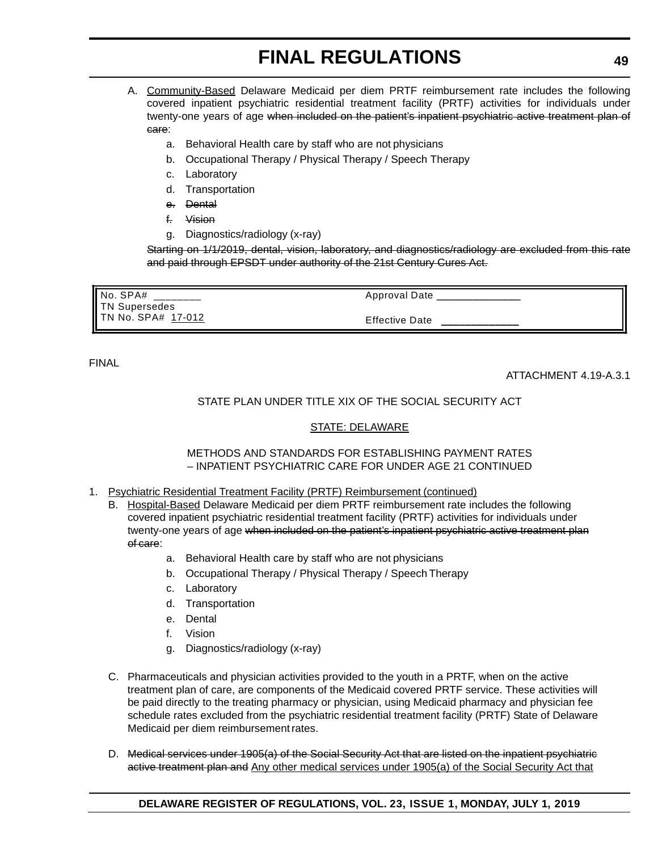- A. Community-Based Delaware Medicaid per diem PRTF reimbursement rate includes the following covered inpatient psychiatric residential treatment facility (PRTF) activities for individuals under twenty-one years of age when included on the patient's inpatient psychiatric active treatment plan of care:
	- a. Behavioral Health care by staff who are not physicians
	- b. Occupational Therapy / Physical Therapy / Speech Therapy
	- c. Laboratory
	- d. Transportation
	- e. Dental
	- f. Vision
	- g. Diagnostics/radiology (x-ray)

Starting on 1/1/2019, dental, vision, laboratory, and diagnostics/radiology are excluded from this rate and paid through EPSDT under authority of the 21st Century Cures Act.

| $\parallel$ No. SPA#<br>TN Supersedes | Approval Date         |
|---------------------------------------|-----------------------|
| <b>I</b> TN No. SPA# 17-012           | <b>Effective Date</b> |

FINAL

ATTACHMENT 4.19-A.3.1

# STATE PLAN UNDER TITLE XIX OF THE SOCIAL SECURITY ACT

# STATE: DELAWARE

#### METHODS AND STANDARDS FOR ESTABLISHING PAYMENT RATES – INPATIENT PSYCHIATRIC CARE FOR UNDER AGE 21 CONTINUED

- 1. Psychiatric Residential Treatment Facility (PRTF) Reimbursement (continued)
	- B. Hospital-Based Delaware Medicaid per diem PRTF reimbursement rate includes the following covered inpatient psychiatric residential treatment facility (PRTF) activities for individuals under twenty-one years of age when included on the patient's inpatient psychiatric active treatment plan of care:
		- a. Behavioral Health care by staff who are not physicians
		- b. Occupational Therapy / Physical Therapy / Speech Therapy
		- c. Laboratory
		- d. Transportation
		- e. Dental
		- f. Vision
		- g. Diagnostics/radiology (x-ray)
	- C. Pharmaceuticals and physician activities provided to the youth in a PRTF, when on the active treatment plan of care, are components of the Medicaid covered PRTF service. These activities will be paid directly to the treating pharmacy or physician, using Medicaid pharmacy and physician fee schedule rates excluded from the psychiatric residential treatment facility (PRTF) State of Delaware Medicaid per diem reimbursement rates.
	- D. Medical services under 1905(a) of the Social Security Act that are listed on the inpatient psychiatric active treatment plan and Any other medical services under 1905(a) of the Social Security Act that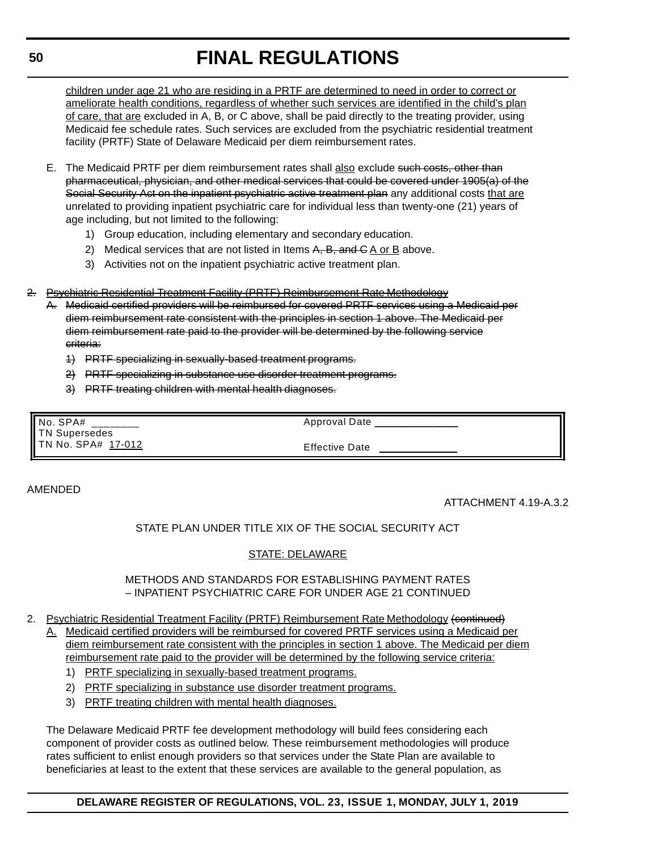children under age 21 who are residing in a PRTF are determined to need in order to correct or ameliorate health conditions, regardless of whether such services are identified in the child's plan of care, that are excluded in A, B, or C above, shall be paid directly to the treating provider, using Medicaid fee schedule rates. Such services are excluded from the psychiatric residential treatment facility (PRTF) State of Delaware Medicaid per diem reimbursement rates.

- E. The Medicaid PRTF per diem reimbursement rates shall also exclude such costs, other than pharmaceutical, physician, and other medical services that could be covered under 1905(a) of the Social Security Act on the inpatient psychiatric active treatment plan any additional costs that are unrelated to providing inpatient psychiatric care for individual less than twenty-one (21) years of age including, but not limited to the following:
	- 1) Group education, including elementary and secondary education.
	- 2) Medical services that are not listed in Items  $A$ ,  $B$ , and  $C$  A or B above.
	- 3) Activities not on the inpatient psychiatric active treatment plan.
- 2. Psychiatric Residential Treatment Facility (PRTF) Reimbursement Rate Methodology
	- A. Medicaid certified providers will be reimbursed for covered PRTF services using a Medicaid per diem reimbursement rate consistent with the principles in section 1 above. The Medicaid per diem reimbursement rate paid to the provider will be determined by the following service criteria:
		- 1) PRTF specializing in sexually-based treatment programs.
		- 2) PRTF specializing in substance use disorder treatment programs.
		- 3) PRTF treating children with mental health diagnoses.

| No. SPA# ____<br>TN Supersedes | Approval Date         |
|--------------------------------|-----------------------|
| TN No. SPA# 17-012             | <b>Effective Date</b> |

#### AMENDED

ATTACHMENT 4.19-A.3.2

# STATE PLAN UNDER TITLE XIX OF THE SOCIAL SECURITY ACT

## STATE: DELAWARE

#### METHODS AND STANDARDS FOR ESTABLISHING PAYMENT RATES – INPATIENT PSYCHIATRIC CARE FOR UNDER AGE 21 CONTINUED

- 2. Psychiatric Residential Treatment Facility (PRTF) Reimbursement Rate Methodology (continued)
	- A. Medicaid certified providers will be reimbursed for covered PRTF services using a Medicaid per diem reimbursement rate consistent with the principles in section 1 above. The Medicaid per diem reimbursement rate paid to the provider will be determined by the following service criteria:
		- 1) PRTF specializing in sexually-based treatment programs.
		- 2) PRTF specializing in substance use disorder treatment programs.
		- 3) PRTF treating children with mental health diagnoses.

The Delaware Medicaid PRTF fee development methodology will build fees considering each component of provider costs as outlined below. These reimbursement methodologies will produce rates sufficient to enlist enough providers so that services under the State Plan are available to beneficiaries at least to the extent that these services are available to the general population, as

# **DELAWARE REGISTER OF REGULATIONS, VOL. 23, ISSUE 1, MONDAY, JULY 1, 2019**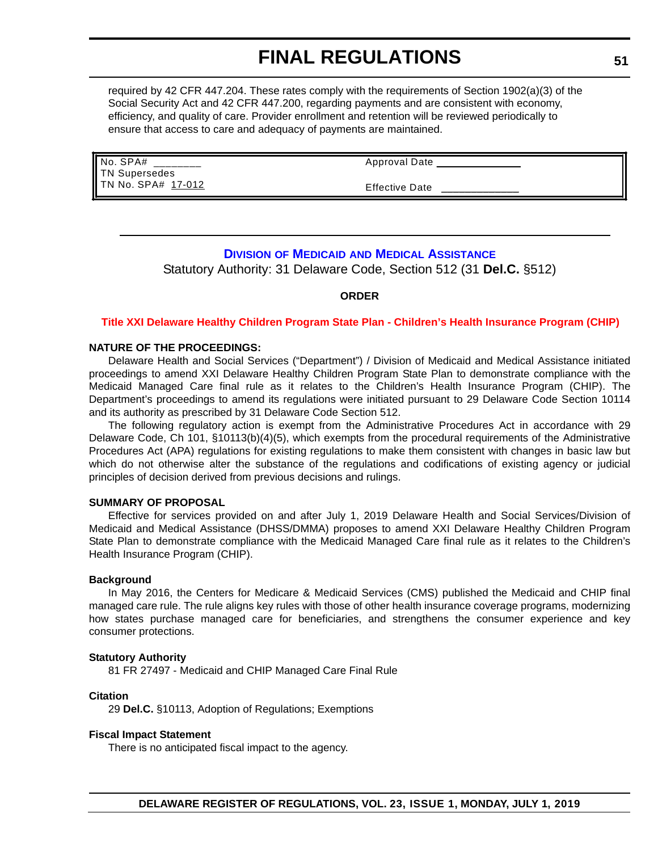required by 42 CFR 447.204. These rates comply with the requirements of Section 1902(a)(3) of the Social Security Act and 42 CFR 447.200, regarding payments and are consistent with economy, efficiency, and quality of care. Provider enrollment and retention will be reviewed periodically to ensure that access to care and adequacy of payments are maintained.

| No. SPA#           | Approval Date         |
|--------------------|-----------------------|
| TN Supersedes      |                       |
| TN No. SPA# 17-012 | <b>Effective Date</b> |

# **DIVISION OF MEDICAID AND MEDICAL A[SSISTANCE](https://dhss.delaware.gov/dhss/dmma/)**

Statutory Authority: 31 Delaware Code, Section 512 (31 **Del.C.** §512)

#### **ORDER**

#### **Title XXI [Delaware Healthy Children](#page-3-0) Program State Plan - Children's Health Insurance Program (CHIP)**

#### **NATURE OF THE PROCEEDINGS:**

Delaware Health and Social Services ("Department") / Division of Medicaid and Medical Assistance initiated proceedings to amend XXI Delaware Healthy Children Program State Plan to demonstrate compliance with the Medicaid Managed Care final rule as it relates to the Children's Health Insurance Program (CHIP). The Department's proceedings to amend its regulations were initiated pursuant to 29 Delaware Code Section 10114 and its authority as prescribed by 31 Delaware Code Section 512.

The following regulatory action is exempt from the Administrative Procedures Act in accordance with 29 Delaware Code, Ch 101, §10113(b)(4)(5), which exempts from the procedural requirements of the Administrative Procedures Act (APA) regulations for existing regulations to make them consistent with changes in basic law but which do not otherwise alter the substance of the regulations and codifications of existing agency or judicial principles of decision derived from previous decisions and rulings.

#### **SUMMARY OF PROPOSAL**

Effective for services provided on and after July 1, 2019 Delaware Health and Social Services/Division of Medicaid and Medical Assistance (DHSS/DMMA) proposes to amend XXI Delaware Healthy Children Program State Plan to demonstrate compliance with the Medicaid Managed Care final rule as it relates to the Children's Health Insurance Program (CHIP).

#### **Background**

In May 2016, the Centers for Medicare & Medicaid Services (CMS) published the Medicaid and CHIP final managed care rule. The rule aligns key rules with those of other health insurance coverage programs, modernizing how states purchase managed care for beneficiaries, and strengthens the consumer experience and key consumer protections.

#### **Statutory Authority**

81 FR 27497 - Medicaid and CHIP Managed Care Final Rule

#### **Citation**

29 **Del.C.** §10113, Adoption of Regulations; Exemptions

#### **Fiscal Impact Statement**

There is no anticipated fiscal impact to the agency.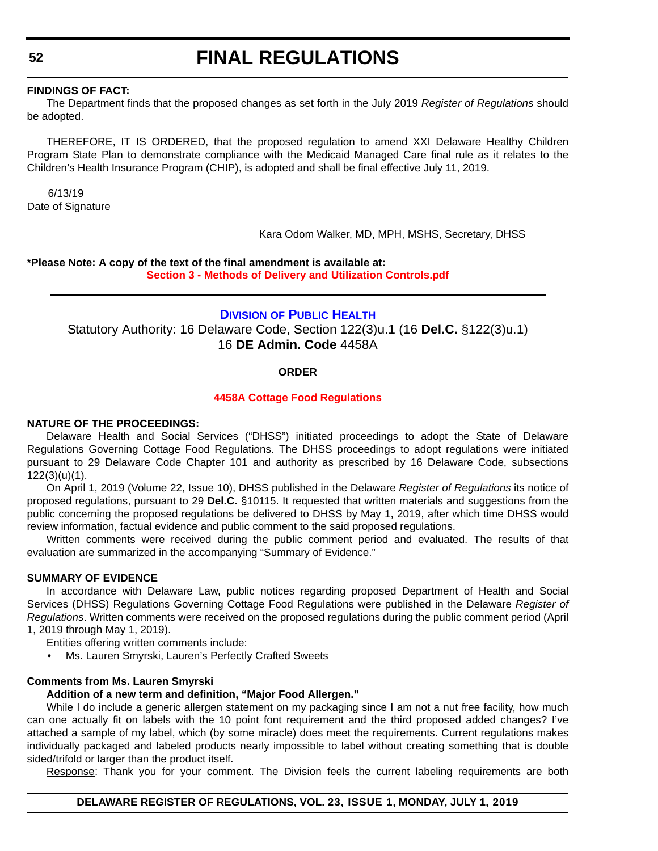#### **FINDINGS OF FACT:**

The Department finds that the proposed changes as set forth in the July 2019 *Register of Regulations* should be adopted.

THEREFORE, IT IS ORDERED, that the proposed regulation to amend XXI Delaware Healthy Children Program State Plan to demonstrate compliance with the Medicaid Managed Care final rule as it relates to the Children's Health Insurance Program (CHIP), is adopted and shall be final effective July 11, 2019.

 6/13/19 Date of Signature

Kara Odom Walker, MD, MPH, MSHS, Secretary, DHSS

**\*Please Note: A copy of the text of the final amendment is available at:**

**[Section 3 - Methods of Delivery and Utilization Controls.pdf](http://regulations.delaware.gov/register/july2019/final/Section 3 - Methods of Delivery and Utilization Controls.pdf)**

## **DIVISION [OF PUBLIC HEALTH](https://www.dhss.delaware.gov/dhss/dph/index.html)**

Statutory Authority: 16 Delaware Code, Section 122(3)u.1 (16 **Del.C.** §122(3)u.1) 16 **DE Admin. Code** 4458A

#### **ORDER**

#### **[4458A Cottage Food Regulations](#page-3-0)**

#### **NATURE OF THE PROCEEDINGS:**

Delaware Health and Social Services ("DHSS") initiated proceedings to adopt the State of Delaware Regulations Governing Cottage Food Regulations. The DHSS proceedings to adopt regulations were initiated pursuant to 29 Delaware Code Chapter 101 and authority as prescribed by 16 Delaware Code, subsections 122(3)(u)(1).

On April 1, 2019 (Volume 22, Issue 10), DHSS published in the Delaware *Register of Regulations* its notice of proposed regulations, pursuant to 29 **Del.C.** §10115. It requested that written materials and suggestions from the public concerning the proposed regulations be delivered to DHSS by May 1, 2019, after which time DHSS would review information, factual evidence and public comment to the said proposed regulations.

Written comments were received during the public comment period and evaluated. The results of that evaluation are summarized in the accompanying "Summary of Evidence."

#### **SUMMARY OF EVIDENCE**

In accordance with Delaware Law, public notices regarding proposed Department of Health and Social Services (DHSS) Regulations Governing Cottage Food Regulations were published in the Delaware *Register of Regulations*. Written comments were received on the proposed regulations during the public comment period (April 1, 2019 through May 1, 2019).

Entities offering written comments include:

• Ms. Lauren Smyrski, Lauren's Perfectly Crafted Sweets

#### **Comments from Ms. Lauren Smyrski**

#### **Addition of a new term and definition, "Major Food Allergen."**

While I do include a generic allergen statement on my packaging since I am not a nut free facility, how much can one actually fit on labels with the 10 point font requirement and the third proposed added changes? I've attached a sample of my label, which (by some miracle) does meet the requirements. Current regulations makes individually packaged and labeled products nearly impossible to label without creating something that is double sided/trifold or larger than the product itself.

Response: Thank you for your comment. The Division feels the current labeling requirements are both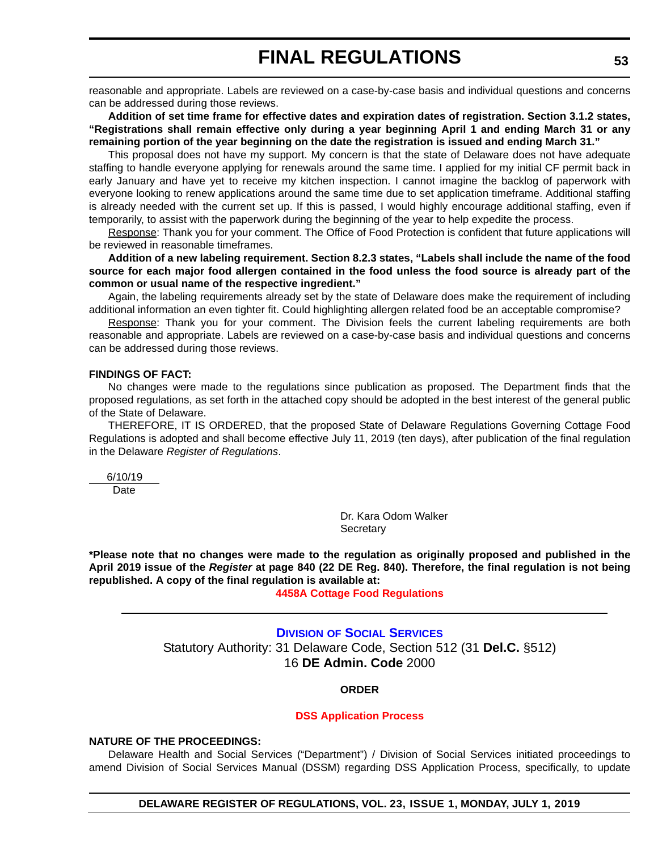reasonable and appropriate. Labels are reviewed on a case-by-case basis and individual questions and concerns can be addressed during those reviews.

**Addition of set time frame for effective dates and expiration dates of registration. Section 3.1.2 states, "Registrations shall remain effective only during a year beginning April 1 and ending March 31 or any remaining portion of the year beginning on the date the registration is issued and ending March 31."**

This proposal does not have my support. My concern is that the state of Delaware does not have adequate staffing to handle everyone applying for renewals around the same time. I applied for my initial CF permit back in early January and have yet to receive my kitchen inspection. I cannot imagine the backlog of paperwork with everyone looking to renew applications around the same time due to set application timeframe. Additional staffing is already needed with the current set up. If this is passed, I would highly encourage additional staffing, even if temporarily, to assist with the paperwork during the beginning of the year to help expedite the process.

Response: Thank you for your comment. The Office of Food Protection is confident that future applications will be reviewed in reasonable timeframes.

**Addition of a new labeling requirement. Section 8.2.3 states, "Labels shall include the name of the food source for each major food allergen contained in the food unless the food source is already part of the common or usual name of the respective ingredient."** 

Again, the labeling requirements already set by the state of Delaware does make the requirement of including additional information an even tighter fit. Could highlighting allergen related food be an acceptable compromise?

Response: Thank you for your comment. The Division feels the current labeling requirements are both reasonable and appropriate. Labels are reviewed on a case-by-case basis and individual questions and concerns can be addressed during those reviews.

#### **FINDINGS OF FACT:**

No changes were made to the regulations since publication as proposed. The Department finds that the proposed regulations, as set forth in the attached copy should be adopted in the best interest of the general public of the State of Delaware.

THEREFORE, IT IS ORDERED, that the proposed State of Delaware Regulations Governing Cottage Food Regulations is adopted and shall become effective July 11, 2019 (ten days), after publication of the final regulation in the Delaware *Register of Regulations*.

6/10/19

Date

Dr. Kara Odom Walker **Secretary** 

**\*Please note that no changes were made to the regulation as originally proposed and published in the April 2019 issue of the** *Register* **at page 840 (22 DE Reg. 840). Therefore, the final regulation is not being republished. A copy of the final regulation is available at:**

**[4458A Cottage Food Regulations](http://regulations.delaware.gov/register/july2019/final/23 DE Reg 52 07-01-19.htm)**

**DIVISION [OF SOCIAL SERVICES](https://www.dhss.delaware.gov/dhss/dss/)** Statutory Authority: 31 Delaware Code, Section 512 (31 **Del.C.** §512) 16 **DE Admin. Code** 2000

## **ORDER**

#### **[DSS Application Process](#page-4-0)**

#### **NATURE OF THE PROCEEDINGS:**

Delaware Health and Social Services ("Department") / Division of Social Services initiated proceedings to amend Division of Social Services Manual (DSSM) regarding DSS Application Process, specifically, to update

**DELAWARE REGISTER OF REGULATIONS, VOL. 23, ISSUE 1, MONDAY, JULY 1, 2019**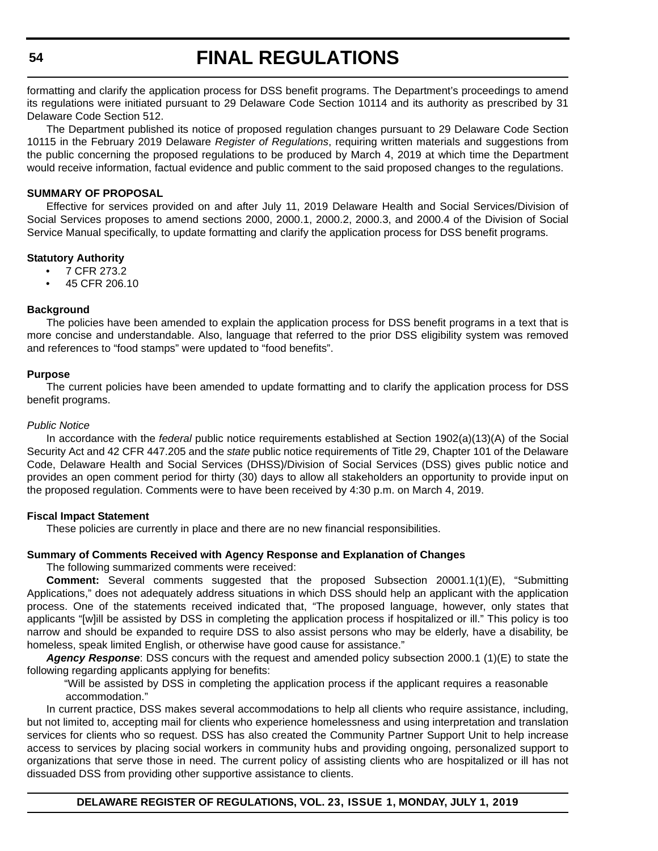formatting and clarify the application process for DSS benefit programs. The Department's proceedings to amend its regulations were initiated pursuant to 29 Delaware Code Section 10114 and its authority as prescribed by 31 Delaware Code Section 512.

The Department published its notice of proposed regulation changes pursuant to 29 Delaware Code Section 10115 in the February 2019 Delaware *Register of Regulations*, requiring written materials and suggestions from the public concerning the proposed regulations to be produced by March 4, 2019 at which time the Department would receive information, factual evidence and public comment to the said proposed changes to the regulations.

#### **SUMMARY OF PROPOSAL**

Effective for services provided on and after July 11, 2019 Delaware Health and Social Services/Division of Social Services proposes to amend sections 2000, 2000.1, 2000.2, 2000.3, and 2000.4 of the Division of Social Service Manual specifically, to update formatting and clarify the application process for DSS benefit programs.

#### **Statutory Authority**

- 7 CFR 273.2
- 45 CFR 206.10

#### **Background**

The policies have been amended to explain the application process for DSS benefit programs in a text that is more concise and understandable. Also, language that referred to the prior DSS eligibility system was removed and references to "food stamps" were updated to "food benefits".

#### **Purpose**

The current policies have been amended to update formatting and to clarify the application process for DSS benefit programs.

#### *Public Notice*

In accordance with the *federal* public notice requirements established at Section 1902(a)(13)(A) of the Social Security Act and 42 CFR 447.205 and the *state* public notice requirements of Title 29, Chapter 101 of the Delaware Code, Delaware Health and Social Services (DHSS)/Division of Social Services (DSS) gives public notice and provides an open comment period for thirty (30) days to allow all stakeholders an opportunity to provide input on the proposed regulation. Comments were to have been received by 4:30 p.m. on March 4, 2019.

#### **Fiscal Impact Statement**

These policies are currently in place and there are no new financial responsibilities.

#### **Summary of Comments Received with Agency Response and Explanation of Changes**

The following summarized comments were received:

**Comment:** Several comments suggested that the proposed Subsection 20001.1(1)(E), "Submitting Applications," does not adequately address situations in which DSS should help an applicant with the application process. One of the statements received indicated that, "The proposed language, however, only states that applicants "[w]ill be assisted by DSS in completing the application process if hospitalized or ill." This policy is too narrow and should be expanded to require DSS to also assist persons who may be elderly, have a disability, be homeless, speak limited English, or otherwise have good cause for assistance."

*Agency Response*: DSS concurs with the request and amended policy subsection 2000.1 (1)(E) to state the following regarding applicants applying for benefits:

"Will be assisted by DSS in completing the application process if the applicant requires a reasonable accommodation."

In current practice, DSS makes several accommodations to help all clients who require assistance, including, but not limited to, accepting mail for clients who experience homelessness and using interpretation and translation services for clients who so request. DSS has also created the Community Partner Support Unit to help increase access to services by placing social workers in community hubs and providing ongoing, personalized support to organizations that serve those in need. The current policy of assisting clients who are hospitalized or ill has not dissuaded DSS from providing other supportive assistance to clients.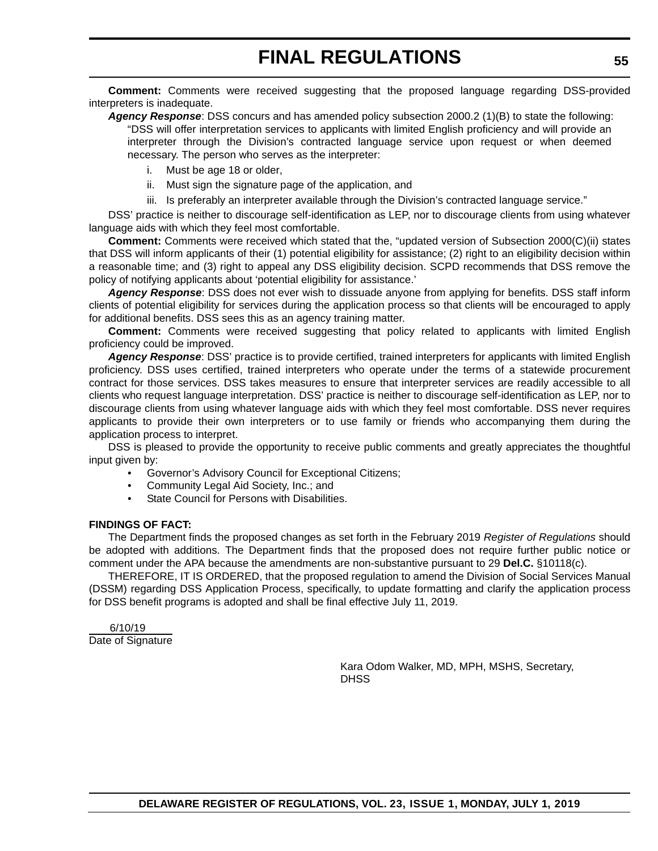**Comment:** Comments were received suggesting that the proposed language regarding DSS-provided interpreters is inadequate.

*Agency Response*: DSS concurs and has amended policy subsection 2000.2 (1)(B) to state the following: "DSS will offer interpretation services to applicants with limited English proficiency and will provide an interpreter through the Division's contracted language service upon request or when deemed necessary. The person who serves as the interpreter:

- i. Must be age 18 or older,
- ii. Must sign the signature page of the application, and
- iii. Is preferably an interpreter available through the Division's contracted language service."

DSS' practice is neither to discourage self-identification as LEP, nor to discourage clients from using whatever language aids with which they feel most comfortable.

**Comment:** Comments were received which stated that the, "updated version of Subsection 2000(C)(ii) states that DSS will inform applicants of their (1) potential eligibility for assistance; (2) right to an eligibility decision within a reasonable time; and (3) right to appeal any DSS eligibility decision. SCPD recommends that DSS remove the policy of notifying applicants about 'potential eligibility for assistance.'

*Agency Response*: DSS does not ever wish to dissuade anyone from applying for benefits. DSS staff inform clients of potential eligibility for services during the application process so that clients will be encouraged to apply for additional benefits. DSS sees this as an agency training matter.

**Comment:** Comments were received suggesting that policy related to applicants with limited English proficiency could be improved.

*Agency Response*: DSS' practice is to provide certified, trained interpreters for applicants with limited English proficiency. DSS uses certified, trained interpreters who operate under the terms of a statewide procurement contract for those services. DSS takes measures to ensure that interpreter services are readily accessible to all clients who request language interpretation. DSS' practice is neither to discourage self-identification as LEP, nor to discourage clients from using whatever language aids with which they feel most comfortable. DSS never requires applicants to provide their own interpreters or to use family or friends who accompanying them during the application process to interpret.

DSS is pleased to provide the opportunity to receive public comments and greatly appreciates the thoughtful input given by:

- Governor's Advisory Council for Exceptional Citizens;
- Community Legal Aid Society, Inc.; and
- State Council for Persons with Disabilities.

#### **FINDINGS OF FACT:**

The Department finds the proposed changes as set forth in the February 2019 *Register of Regulations* should be adopted with additions. The Department finds that the proposed does not require further public notice or comment under the APA because the amendments are non-substantive pursuant to 29 **Del.C.** §10118(c).

THEREFORE, IT IS ORDERED, that the proposed regulation to amend the Division of Social Services Manual (DSSM) regarding DSS Application Process, specifically, to update formatting and clarify the application process for DSS benefit programs is adopted and shall be final effective July 11, 2019.

 6/10/19 Date of Signature

> Kara Odom Walker, MD, MPH, MSHS, Secretary, **DHSS**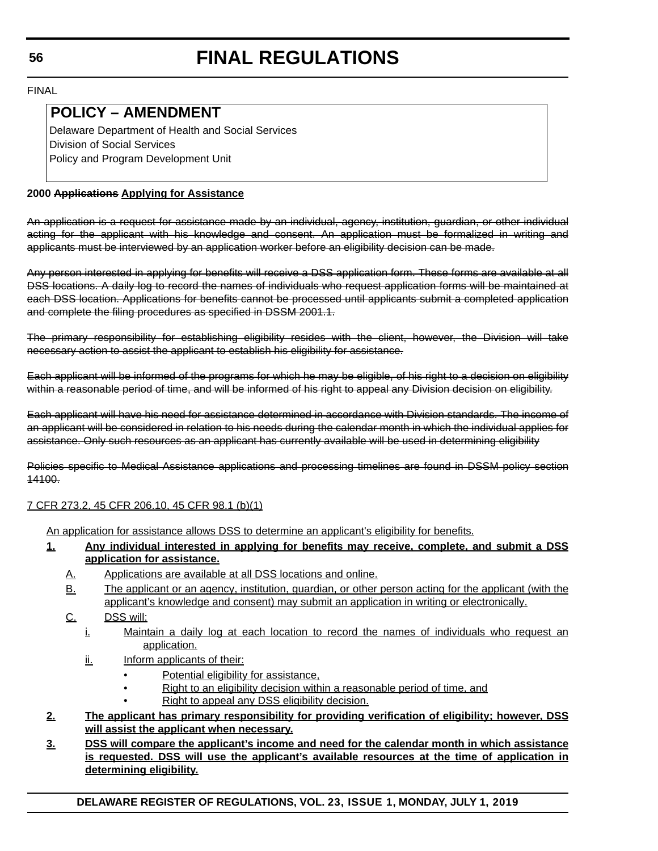FINAL

# **POLICY – AMENDMENT**

 Delaware Department of Health and Social Services Division of Social Services Policy and Program Development Unit

# **2000 Applications Applying for Assistance**

An application is a request for assistance made by an individual, agency, institution, guardian, or other individual acting for the applicant with his knowledge and consent. An application must be formalized in writing and applicants must be interviewed by an application worker before an eligibility decision can be made.

Any person interested in applying for benefits will receive a DSS application form. These forms are available at all DSS locations. A daily log to record the names of individuals who request application forms will be maintained at each DSS location. Applications for benefits cannot be processed until applicants submit a completed application and complete the filing procedures as specified in DSSM 2001.1.

The primary responsibility for establishing eligibility resides with the client, however, the Division will take necessary action to assist the applicant to establish his eligibility for assistance.

Each applicant will be informed of the programs for which he may be eligible, of his right to a decision on eligibility within a reasonable period of time, and will be informed of his right to appeal any Division decision on eligibility.

Each applicant will have his need for assistance determined in accordance with Division standards. The income of an applicant will be considered in relation to his needs during the calendar month in which the individual applies for assistance. Only such resources as an applicant has currently available will be used in determining eligibility

Policies specific to Medical Assistance applications and processing timelines are found in DSSM policy section 14100.

# 7 CFR 273.2, 45 CFR 206.10, 45 CFR 98.1 (b)(1)

An application for assistance allows DSS to determine an applicant's eligibility for benefits.

- **1. Any individual interested in applying for benefits may receive, complete, and submit a DSS application for assistance.**
	- A. Applications are available at all DSS locations and online.
	- B. The applicant or an agency, institution, guardian, or other person acting for the applicant (with the applicant's knowledge and consent) may submit an application in writing or electronically.
	- C. DSS will:
		- i. Maintain a daily log at each location to record the names of individuals who request an application.
		- ii. Inform applicants of their:
			- Potential eligibility for assistance,
				- Right to an eligibility decision within a reasonable period of time, and
				- Right to appeal any DSS eligibility decision.
- **2. The applicant has primary responsibility for providing verification of eligibility; however, DSS will assist the applicant when necessary.**
- **3. DSS will compare the applicant's income and need for the calendar month in which assistance is requested. DSS will use the applicant's available resources at the time of application in determining eligibility.**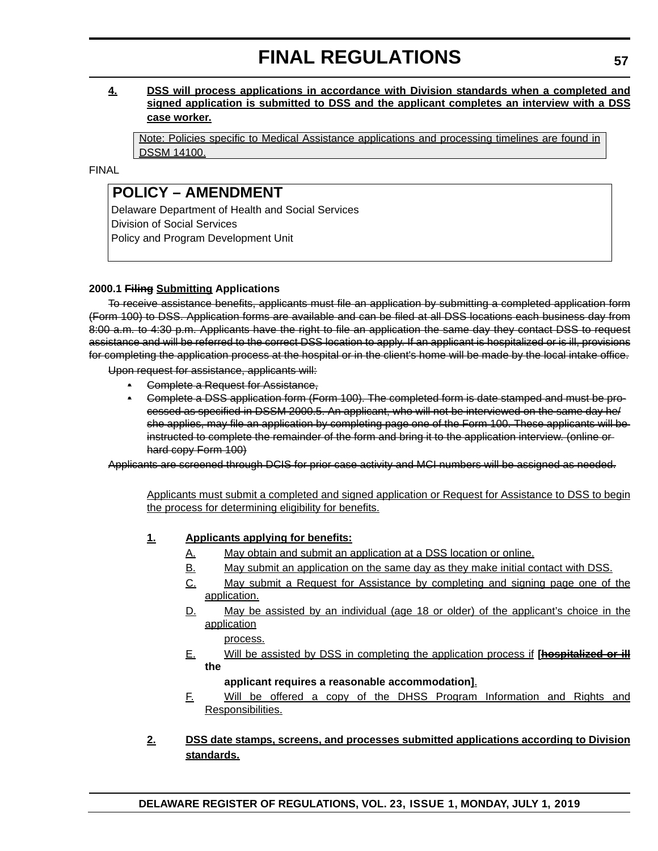# **4. DSS will process applications in accordance with Division standards when a completed and signed application is submitted to DSS and the applicant completes an interview with a DSS case worker.**

Note: Policies specific to Medical Assistance applications and processing timelines are found in DSSM 14100.

FINAL

# **POLICY – AMENDMENT**

 Delaware Department of Health and Social Services Division of Social Services Policy and Program Development Unit

# **2000.1 Filing Submitting Applications**

To receive assistance benefits, applicants must file an application by submitting a completed application form (Form 100) to DSS. Application forms are available and can be filed at all DSS locations each business day from 8:00 a.m. to 4:30 p.m. Applicants have the right to file an application the same day they contact DSS to request assistance and will be referred to the correct DSS location to apply. If an applicant is hospitalized or is ill, provisions for completing the application process at the hospital or in the client's home will be made by the local intake office.

Upon request for assistance, applicants will:

- Complete a Request for Assistance,
- Complete a DSS application form (Form 100). The completed form is date stamped and must be processed as specified in DSSM 2000.5. An applicant, who will not be interviewed on the same day he/ she applies, may file an application by completing page one of the Form 100. These applicants will be instructed to complete the remainder of the form and bring it to the application interview. (online or hard copy Form 100)

Applicants are screened through DCIS for prior case activity and MCI numbers will be assigned as needed.

Applicants must submit a completed and signed application or Request for Assistance to DSS to begin the process for determining eligibility for benefits.

# **1. Applicants applying for benefits:**

- A. May obtain and submit an application at a DSS location or online.
- B. May submit an application on the same day as they make initial contact with DSS.
- C. May submit a Request for Assistance by completing and signing page one of the application.
- D. May be assisted by an individual (age 18 or older) of the applicant's choice in the application

process.

E. Will be assisted by DSS in completing the application process if **[hospitalized or ill the**

# **applicant requires a reasonable accommodation]**.

F. Will be offered a copy of the DHSS Program Information and Rights and Responsibilities.

# **2. DSS date stamps, screens, and processes submitted applications according to Division standards.**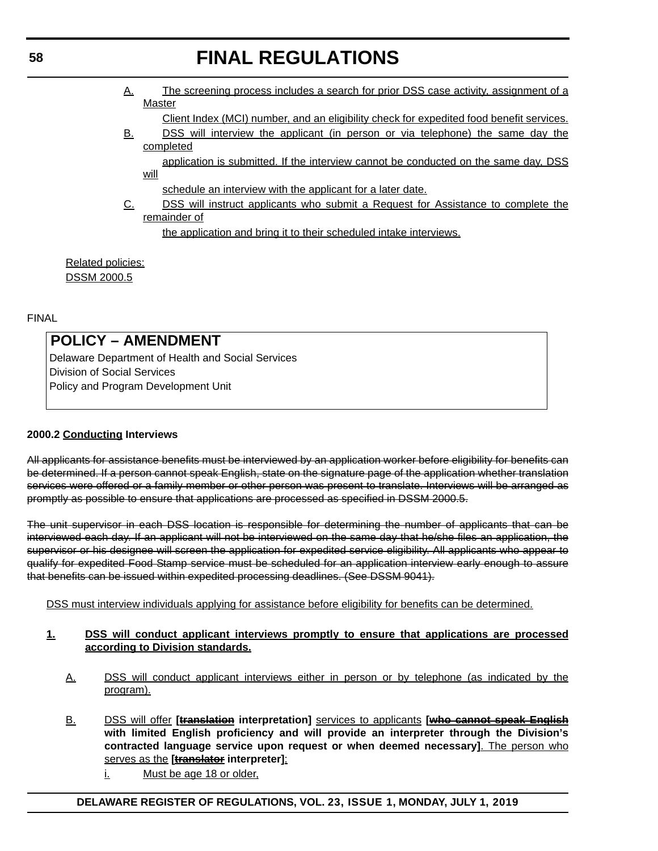- A. The screening process includes a search for prior DSS case activity, assignment of a **Master** 
	- Client Index (MCI) number, and an eligibility check for expedited food benefit services.
- B. DSS will interview the applicant (in person or via telephone) the same day the completed

application is submitted. If the interview cannot be conducted on the same day, DSS will

schedule an interview with the applicant for a later date.

C. DSS will instruct applicants who submit a Request for Assistance to complete the remainder of

the application and bring it to their scheduled intake interviews.

Related policies: DSSM 2000.5

FINAL

# **POLICY – AMENDMENT**

 Delaware Department of Health and Social Services Division of Social Services Policy and Program Development Unit

# **2000.2 Conducting Interviews**

All applicants for assistance benefits must be interviewed by an application worker before eligibility for benefits can be determined. If a person cannot speak English, state on the signature page of the application whether translation services were offered or a family member or other person was present to translate. Interviews will be arranged as promptly as possible to ensure that applications are processed as specified in DSSM 2000.5.

The unit supervisor in each DSS location is responsible for determining the number of applicants that can be interviewed each day. If an applicant will not be interviewed on the same day that he/she files an application, the supervisor or his designee will screen the application for expedited service eligibility. All applicants who appear to qualify for expedited Food Stamp service must be scheduled for an application interview early enough to assure that benefits can be issued within expedited processing deadlines. (See DSSM 9041).

DSS must interview individuals applying for assistance before eligibility for benefits can be determined.

#### **1. DSS will conduct applicant interviews promptly to ensure that applications are processed according to Division standards.**

- A. DSS will conduct applicant interviews either in person or by telephone (as indicated by the program).
- B. DSS will offer **[translation interpretation]** services to applicants **[who cannot speak English with limited English proficiency and will provide an interpreter through the Division's contracted language service upon request or when deemed necessary]**. The person who serves as the **[translator interpreter]**:
	- i. Must be age 18 or older,

# **DELAWARE REGISTER OF REGULATIONS, VOL. 23, ISSUE 1, MONDAY, JULY 1, 2019**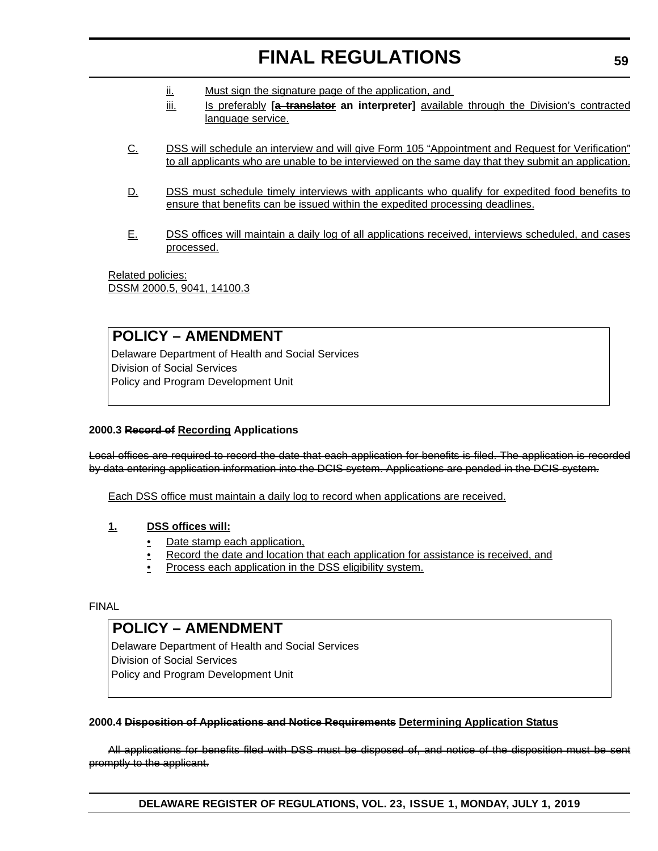- ii. Must sign the signature page of the application, and
- iii. Is preferably **[a translator** an interpreter] **available through the Division's contracted** language service.
- C. DSS will schedule an interview and will give Form 105 "Appointment and Request for Verification" to all applicants who are unable to be interviewed on the same day that they submit an application.
- D. DSS must schedule timely interviews with applicants who qualify for expedited food benefits to ensure that benefits can be issued within the expedited processing deadlines.
- E. DSS offices will maintain a daily log of all applications received, interviews scheduled, and cases processed.

Related policies: DSSM 2000.5, 9041, 14100.3

# **POLICY – AMENDMENT**

 Delaware Department of Health and Social Services Division of Social Services Policy and Program Development Unit

# **2000.3 Record of Recording Applications**

Local offices are required to record the date that each application for benefits is filed. The application is recorded by data entering application information into the DCIS system. Applications are pended in the DCIS system.

Each DSS office must maintain a daily log to record when applications are received.

## **1. DSS offices will:**

- Date stamp each application.
- Record the date and location that each application for assistance is received, and
- Process each application in the DSS eligibility system.

#### FINAL

# **POLICY – AMENDMENT**

 Delaware Department of Health and Social Services Division of Social Services Policy and Program Development Unit

#### **2000.4 Disposition of Applications and Notice Requirements Determining Application Status**

All applications for benefits filed with DSS must be disposed of, and notice of the disposition must be sent promptly to the applicant.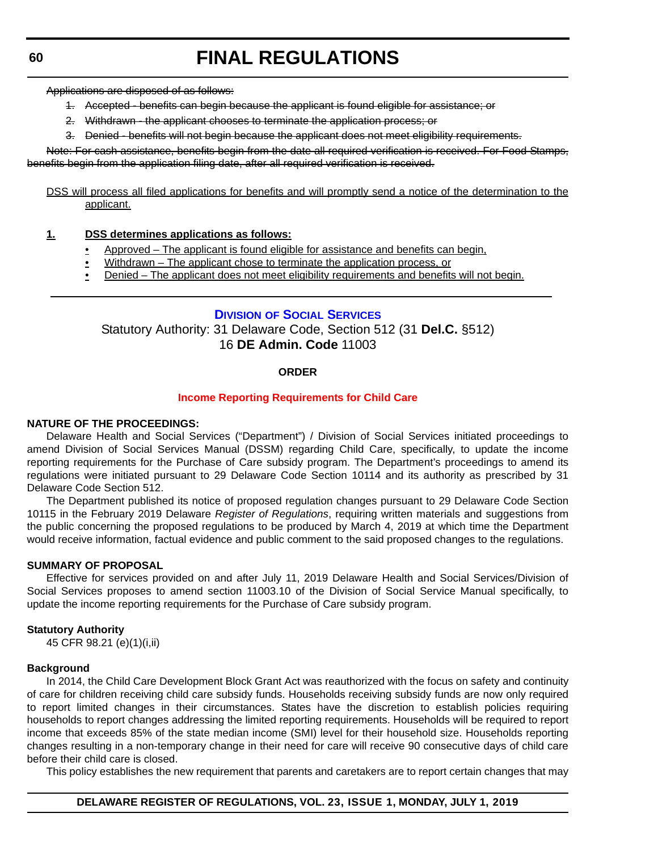Applications are disposed of as follows:

- 1. Accepted benefits can begin because the applicant is found eligible for assistance; or
- 2. Withdrawn the applicant chooses to terminate the application process; or
- 3. Denied benefits will not begin because the applicant does not meet eligibility requirements.

Note: For cash assistance, benefits begin from the date all required verification is received. For Food Stamps, benefits begin from the application filing date, after all required verification is received.

DSS will process all filed applications for benefits and will promptly send a notice of the determination to the applicant.

### **1. DSS determines applications as follows:**

- Approved The applicant is found eligible for assistance and benefits can begin,
- Withdrawn The applicant chose to terminate the application process, or
- Denied The applicant does not meet eligibility requirements and benefits will not begin.

# **DIVISION [OF SOCIAL SERVICES](https://www.dhss.delaware.gov/dhss/dss/)**

Statutory Authority: 31 Delaware Code, Section 512 (31 **Del.C.** §512) 16 **DE Admin. Code** 11003

#### **ORDER**

#### **[Income Reporting Requirements for Child Care](#page-4-0)**

#### **NATURE OF THE PROCEEDINGS:**

Delaware Health and Social Services ("Department") / Division of Social Services initiated proceedings to amend Division of Social Services Manual (DSSM) regarding Child Care, specifically, to update the income reporting requirements for the Purchase of Care subsidy program. The Department's proceedings to amend its regulations were initiated pursuant to 29 Delaware Code Section 10114 and its authority as prescribed by 31 Delaware Code Section 512.

The Department published its notice of proposed regulation changes pursuant to 29 Delaware Code Section 10115 in the February 2019 Delaware *Register of Regulations*, requiring written materials and suggestions from the public concerning the proposed regulations to be produced by March 4, 2019 at which time the Department would receive information, factual evidence and public comment to the said proposed changes to the regulations.

#### **SUMMARY OF PROPOSAL**

Effective for services provided on and after July 11, 2019 Delaware Health and Social Services/Division of Social Services proposes to amend section 11003.10 of the Division of Social Service Manual specifically, to update the income reporting requirements for the Purchase of Care subsidy program.

#### **Statutory Authority**

45 CFR 98.21 (e)(1)(i,ii)

#### **Background**

In 2014, the Child Care Development Block Grant Act was reauthorized with the focus on safety and continuity of care for children receiving child care subsidy funds. Households receiving subsidy funds are now only required to report limited changes in their circumstances. States have the discretion to establish policies requiring households to report changes addressing the limited reporting requirements. Households will be required to report income that exceeds 85% of the state median income (SMI) level for their household size. Households reporting changes resulting in a non-temporary change in their need for care will receive 90 consecutive days of child care before their child care is closed.

This policy establishes the new requirement that parents and caretakers are to report certain changes that may

#### **DELAWARE REGISTER OF REGULATIONS, VOL. 23, ISSUE 1, MONDAY, JULY 1, 2019**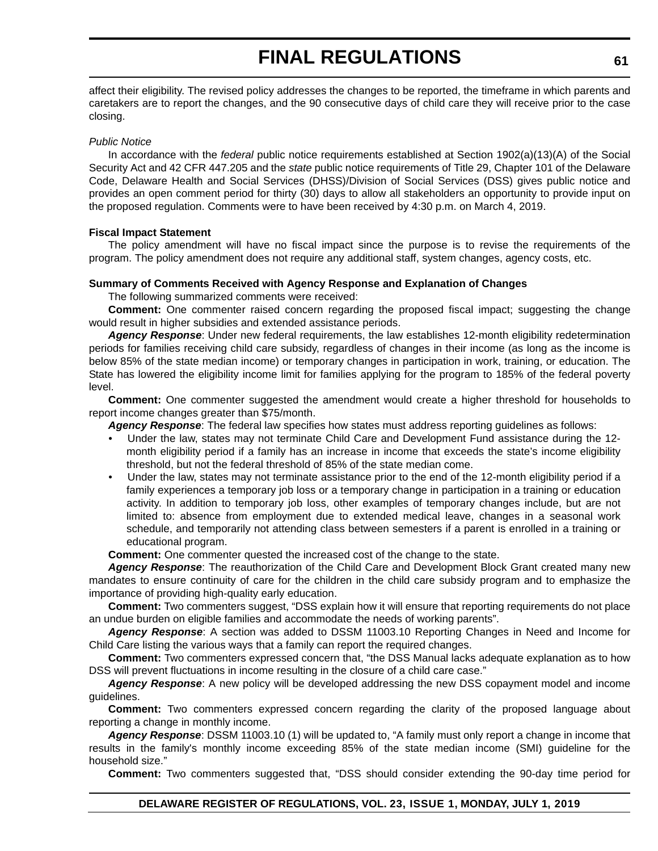affect their eligibility. The revised policy addresses the changes to be reported, the timeframe in which parents and caretakers are to report the changes, and the 90 consecutive days of child care they will receive prior to the case closing.

#### *Public Notice*

In accordance with the *federal* public notice requirements established at Section 1902(a)(13)(A) of the Social Security Act and 42 CFR 447.205 and the *state* public notice requirements of Title 29, Chapter 101 of the Delaware Code, Delaware Health and Social Services (DHSS)/Division of Social Services (DSS) gives public notice and provides an open comment period for thirty (30) days to allow all stakeholders an opportunity to provide input on the proposed regulation. Comments were to have been received by 4:30 p.m. on March 4, 2019.

#### **Fiscal Impact Statement**

The policy amendment will have no fiscal impact since the purpose is to revise the requirements of the program. The policy amendment does not require any additional staff, system changes, agency costs, etc.

#### **Summary of Comments Received with Agency Response and Explanation of Changes**

The following summarized comments were received:

**Comment:** One commenter raised concern regarding the proposed fiscal impact; suggesting the change would result in higher subsidies and extended assistance periods.

*Agency Response*: Under new federal requirements, the law establishes 12-month eligibility redetermination periods for families receiving child care subsidy, regardless of changes in their income (as long as the income is below 85% of the state median income) or temporary changes in participation in work, training, or education. The State has lowered the eligibility income limit for families applying for the program to 185% of the federal poverty level.

**Comment:** One commenter suggested the amendment would create a higher threshold for households to report income changes greater than \$75/month.

*Agency Response*: The federal law specifies how states must address reporting guidelines as follows:

- Under the law, states may not terminate Child Care and Development Fund assistance during the 12 month eligibility period if a family has an increase in income that exceeds the state's income eligibility threshold, but not the federal threshold of 85% of the state median come.
- Under the law, states may not terminate assistance prior to the end of the 12-month eligibility period if a family experiences a temporary job loss or a temporary change in participation in a training or education activity. In addition to temporary job loss, other examples of temporary changes include, but are not limited to: absence from employment due to extended medical leave, changes in a seasonal work schedule, and temporarily not attending class between semesters if a parent is enrolled in a training or educational program.

**Comment:** One commenter quested the increased cost of the change to the state.

*Agency Response*: The reauthorization of the Child Care and Development Block Grant created many new mandates to ensure continuity of care for the children in the child care subsidy program and to emphasize the importance of providing high-quality early education.

**Comment:** Two commenters suggest, "DSS explain how it will ensure that reporting requirements do not place an undue burden on eligible families and accommodate the needs of working parents".

*Agency Response*: A section was added to DSSM 11003.10 Reporting Changes in Need and Income for Child Care listing the various ways that a family can report the required changes.

**Comment:** Two commenters expressed concern that, "the DSS Manual lacks adequate explanation as to how DSS will prevent fluctuations in income resulting in the closure of a child care case."

*Agency Response*: A new policy will be developed addressing the new DSS copayment model and income guidelines.

**Comment:** Two commenters expressed concern regarding the clarity of the proposed language about reporting a change in monthly income.

*Agency Response*: DSSM 11003.10 (1) will be updated to, "A family must only report a change in income that results in the family's monthly income exceeding 85% of the state median income (SMI) guideline for the household size."

**Comment:** Two commenters suggested that, "DSS should consider extending the 90-day time period for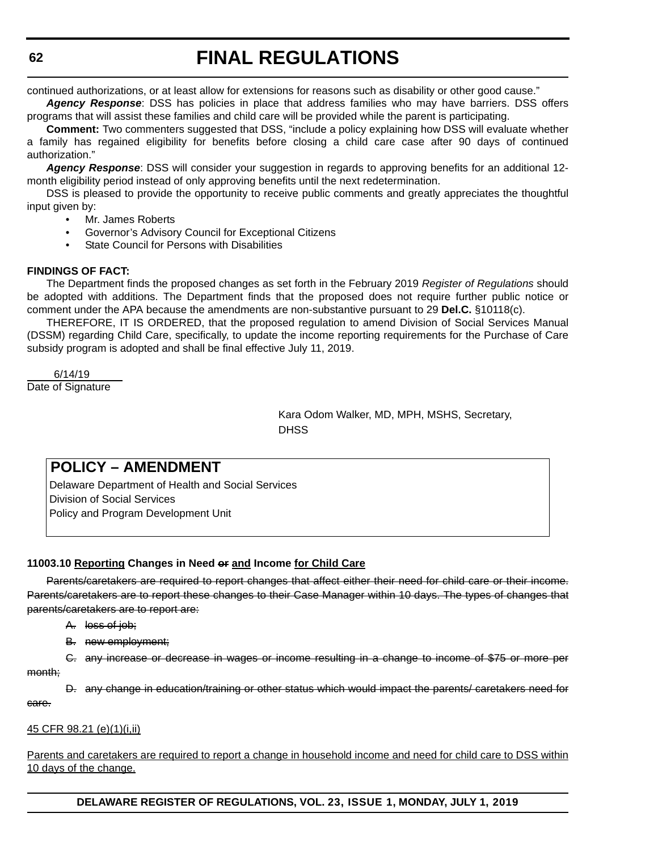continued authorizations, or at least allow for extensions for reasons such as disability or other good cause."

*Agency Response*: DSS has policies in place that address families who may have barriers. DSS offers programs that will assist these families and child care will be provided while the parent is participating.

**Comment:** Two commenters suggested that DSS, "include a policy explaining how DSS will evaluate whether a family has regained eligibility for benefits before closing a child care case after 90 days of continued authorization."

*Agency Response*: DSS will consider your suggestion in regards to approving benefits for an additional 12 month eligibility period instead of only approving benefits until the next redetermination.

DSS is pleased to provide the opportunity to receive public comments and greatly appreciates the thoughtful input given by:

- Mr. James Roberts
- Governor's Advisory Council for Exceptional Citizens
- State Council for Persons with Disabilities

#### **FINDINGS OF FACT:**

The Department finds the proposed changes as set forth in the February 2019 *Register of Regulations* should be adopted with additions. The Department finds that the proposed does not require further public notice or comment under the APA because the amendments are non-substantive pursuant to 29 **Del.C.** §10118(c).

THEREFORE, IT IS ORDERED, that the proposed regulation to amend Division of Social Services Manual (DSSM) regarding Child Care, specifically, to update the income reporting requirements for the Purchase of Care subsidy program is adopted and shall be final effective July 11, 2019.

 6/14/19 Date of Signature

> Kara Odom Walker, MD, MPH, MSHS, Secretary, **DHSS**

# **POLICY – AMENDMENT**

 Delaware Department of Health and Social Services Division of Social Services Policy and Program Development Unit

## **11003.10 Reporting Changes in Need or and Income for Child Care**

Parents/caretakers are required to report changes that affect either their need for child care or their income. Parents/caretakers are to report these changes to their Case Manager within 10 days. The types of changes that parents/caretakers are to report are:

- A. loss of job;
- B. new employment;

C. any increase or decrease in wages or income resulting in a change to income of \$75 or more per month;

D. any change in education/training or other status which would impact the parents/ caretakers need for care.

#### 45 CFR 98.21 (e)(1)(i,ii)

Parents and caretakers are required to report a change in household income and need for child care to DSS within 10 days of the change.

**DELAWARE REGISTER OF REGULATIONS, VOL. 23, ISSUE 1, MONDAY, JULY 1, 2019**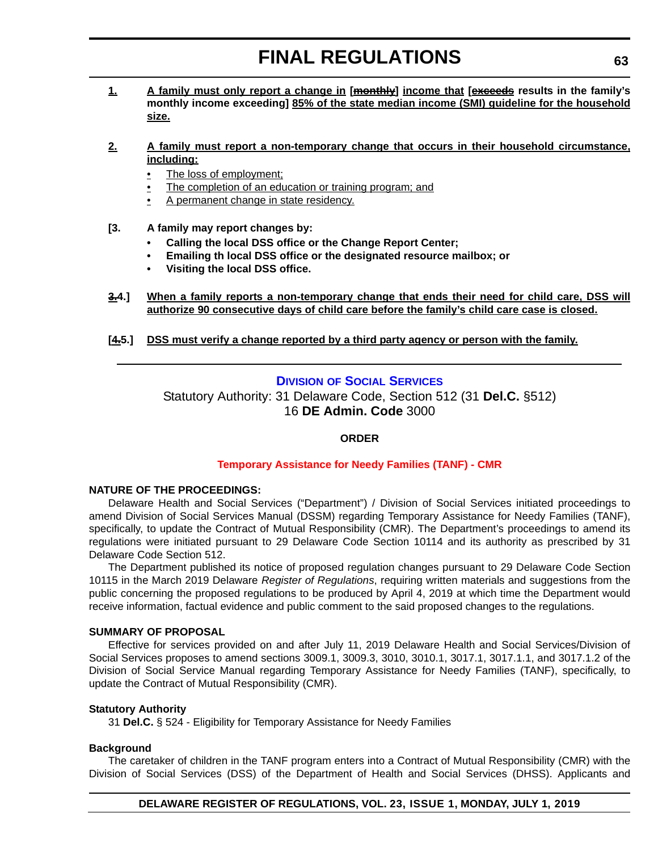**1. A family must only report a change in [monthly] income that [exceeds results in the family's monthly income exceeding] 85% of the state median income (SMI) guideline for the household size.**

### **2. A family must report a non-temporary change that occurs in their household circumstance, including:**

- The loss of employment;
- The completion of an education or training program; and
- A permanent change in state residency.
- **[3. A family may report changes by:**
	- **Calling the local DSS office or the Change Report Center;**
	- **Emailing th local DSS office or the designated resource mailbox; or**
	- **Visiting the local DSS office.**
- **3.4.] When a family reports a non-temporary change that ends their need for child care, DSS will authorize 90 consecutive days of child care before the family's child care case is closed.**
- **[4.5.] DSS must verify a change reported by a third party agency or person with the family.**

# **DIVISION [OF SOCIAL SERVICES](https://www.dhss.delaware.gov/dhss/dss/)**

Statutory Authority: 31 Delaware Code, Section 512 (31 **Del.C.** §512) 16 **DE Admin. Code** 3000

# **ORDER**

## **[Temporary Assistance for Needy Families \(TANF\) - CMR](#page-4-0)**

# **NATURE OF THE PROCEEDINGS:**

Delaware Health and Social Services ("Department") / Division of Social Services initiated proceedings to amend Division of Social Services Manual (DSSM) regarding Temporary Assistance for Needy Families (TANF), specifically, to update the Contract of Mutual Responsibility (CMR). The Department's proceedings to amend its regulations were initiated pursuant to 29 Delaware Code Section 10114 and its authority as prescribed by 31 Delaware Code Section 512.

The Department published its notice of proposed regulation changes pursuant to 29 Delaware Code Section 10115 in the March 2019 Delaware *Register of Regulations*, requiring written materials and suggestions from the public concerning the proposed regulations to be produced by April 4, 2019 at which time the Department would receive information, factual evidence and public comment to the said proposed changes to the regulations.

#### **SUMMARY OF PROPOSAL**

Effective for services provided on and after July 11, 2019 Delaware Health and Social Services/Division of Social Services proposes to amend sections 3009.1, 3009.3, 3010, 3010.1, 3017.1, 3017.1.1, and 3017.1.2 of the Division of Social Service Manual regarding Temporary Assistance for Needy Families (TANF), specifically, to update the Contract of Mutual Responsibility (CMR).

#### **Statutory Authority**

31 **Del.C.** § 524 - Eligibility for Temporary Assistance for Needy Families

# **Background**

The caretaker of children in the TANF program enters into a Contract of Mutual Responsibility (CMR) with the Division of Social Services (DSS) of the Department of Health and Social Services (DHSS). Applicants and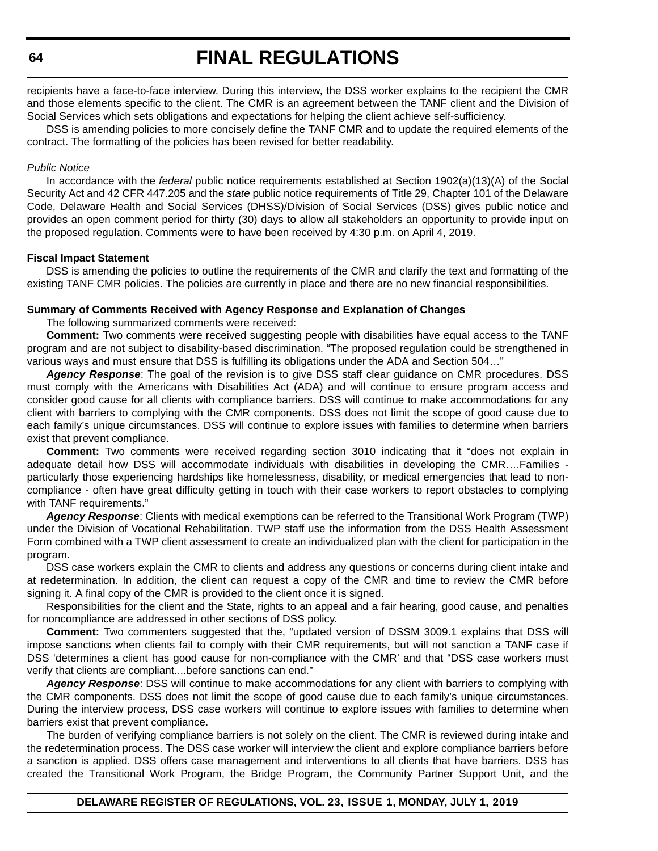recipients have a face-to-face interview. During this interview, the DSS worker explains to the recipient the CMR and those elements specific to the client. The CMR is an agreement between the TANF client and the Division of Social Services which sets obligations and expectations for helping the client achieve self-sufficiency.

DSS is amending policies to more concisely define the TANF CMR and to update the required elements of the contract. The formatting of the policies has been revised for better readability.

#### *Public Notice*

In accordance with the *federal* public notice requirements established at Section 1902(a)(13)(A) of the Social Security Act and 42 CFR 447.205 and the *state* public notice requirements of Title 29, Chapter 101 of the Delaware Code, Delaware Health and Social Services (DHSS)/Division of Social Services (DSS) gives public notice and provides an open comment period for thirty (30) days to allow all stakeholders an opportunity to provide input on the proposed regulation. Comments were to have been received by 4:30 p.m. on April 4, 2019.

#### **Fiscal Impact Statement**

DSS is amending the policies to outline the requirements of the CMR and clarify the text and formatting of the existing TANF CMR policies. The policies are currently in place and there are no new financial responsibilities.

#### **Summary of Comments Received with Agency Response and Explanation of Changes**

The following summarized comments were received:

**Comment:** Two comments were received suggesting people with disabilities have equal access to the TANF program and are not subject to disability-based discrimination. "The proposed regulation could be strengthened in various ways and must ensure that DSS is fulfilling its obligations under the ADA and Section 504…"

*Agency Response*: The goal of the revision is to give DSS staff clear guidance on CMR procedures. DSS must comply with the Americans with Disabilities Act (ADA) and will continue to ensure program access and consider good cause for all clients with compliance barriers. DSS will continue to make accommodations for any client with barriers to complying with the CMR components. DSS does not limit the scope of good cause due to each family's unique circumstances. DSS will continue to explore issues with families to determine when barriers exist that prevent compliance.

**Comment:** Two comments were received regarding section 3010 indicating that it "does not explain in adequate detail how DSS will accommodate individuals with disabilities in developing the CMR….Families particularly those experiencing hardships like homelessness, disability, or medical emergencies that lead to noncompliance - often have great difficulty getting in touch with their case workers to report obstacles to complying with TANF requirements."

*Agency Response*: Clients with medical exemptions can be referred to the Transitional Work Program (TWP) under the Division of Vocational Rehabilitation. TWP staff use the information from the DSS Health Assessment Form combined with a TWP client assessment to create an individualized plan with the client for participation in the program.

DSS case workers explain the CMR to clients and address any questions or concerns during client intake and at redetermination. In addition, the client can request a copy of the CMR and time to review the CMR before signing it. A final copy of the CMR is provided to the client once it is signed.

Responsibilities for the client and the State, rights to an appeal and a fair hearing, good cause, and penalties for noncompliance are addressed in other sections of DSS policy.

**Comment:** Two commenters suggested that the, "updated version of DSSM 3009.1 explains that DSS will impose sanctions when clients fail to comply with their CMR requirements, but will not sanction a TANF case if DSS 'determines a client has good cause for non-compliance with the CMR' and that "DSS case workers must verify that clients are compliant....before sanctions can end."

*Agency Response*: DSS will continue to make accommodations for any client with barriers to complying with the CMR components. DSS does not limit the scope of good cause due to each family's unique circumstances. During the interview process, DSS case workers will continue to explore issues with families to determine when barriers exist that prevent compliance.

The burden of verifying compliance barriers is not solely on the client. The CMR is reviewed during intake and the redetermination process. The DSS case worker will interview the client and explore compliance barriers before a sanction is applied. DSS offers case management and interventions to all clients that have barriers. DSS has created the Transitional Work Program, the Bridge Program, the Community Partner Support Unit, and the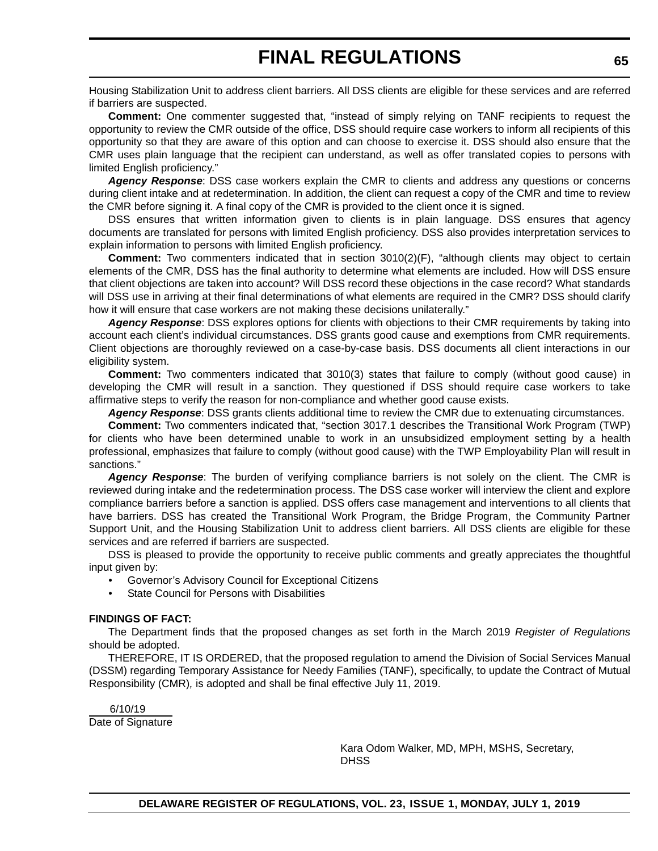Housing Stabilization Unit to address client barriers. All DSS clients are eligible for these services and are referred if barriers are suspected.

**Comment:** One commenter suggested that, "instead of simply relying on TANF recipients to request the opportunity to review the CMR outside of the office, DSS should require case workers to inform all recipients of this opportunity so that they are aware of this option and can choose to exercise it. DSS should also ensure that the CMR uses plain language that the recipient can understand, as well as offer translated copies to persons with limited English proficiency."

*Agency Response*: DSS case workers explain the CMR to clients and address any questions or concerns during client intake and at redetermination. In addition, the client can request a copy of the CMR and time to review the CMR before signing it. A final copy of the CMR is provided to the client once it is signed.

DSS ensures that written information given to clients is in plain language. DSS ensures that agency documents are translated for persons with limited English proficiency. DSS also provides interpretation services to explain information to persons with limited English proficiency.

**Comment:** Two commenters indicated that in section 3010(2)(F), "although clients may object to certain elements of the CMR, DSS has the final authority to determine what elements are included. How will DSS ensure that client objections are taken into account? Will DSS record these objections in the case record? What standards will DSS use in arriving at their final determinations of what elements are required in the CMR? DSS should clarify how it will ensure that case workers are not making these decisions unilaterally."

*Agency Response*: DSS explores options for clients with objections to their CMR requirements by taking into account each client's individual circumstances. DSS grants good cause and exemptions from CMR requirements. Client objections are thoroughly reviewed on a case-by-case basis. DSS documents all client interactions in our eligibility system.

**Comment:** Two commenters indicated that 3010(3) states that failure to comply (without good cause) in developing the CMR will result in a sanction. They questioned if DSS should require case workers to take affirmative steps to verify the reason for non-compliance and whether good cause exists.

*Agency Response*: DSS grants clients additional time to review the CMR due to extenuating circumstances.

**Comment:** Two commenters indicated that, "section 3017.1 describes the Transitional Work Program (TWP) for clients who have been determined unable to work in an unsubsidized employment setting by a health professional, emphasizes that failure to comply (without good cause) with the TWP Employability Plan will result in sanctions."

*Agency Response*: The burden of verifying compliance barriers is not solely on the client. The CMR is reviewed during intake and the redetermination process. The DSS case worker will interview the client and explore compliance barriers before a sanction is applied. DSS offers case management and interventions to all clients that have barriers. DSS has created the Transitional Work Program, the Bridge Program, the Community Partner Support Unit, and the Housing Stabilization Unit to address client barriers. All DSS clients are eligible for these services and are referred if barriers are suspected.

DSS is pleased to provide the opportunity to receive public comments and greatly appreciates the thoughtful input given by:

- Governor's Advisory Council for Exceptional Citizens
- State Council for Persons with Disabilities

#### **FINDINGS OF FACT:**

The Department finds that the proposed changes as set forth in the March 2019 *Register of Regulations* should be adopted.

THEREFORE, IT IS ORDERED, that the proposed regulation to amend the Division of Social Services Manual (DSSM) regarding Temporary Assistance for Needy Families (TANF), specifically, to update the Contract of Mutual Responsibility (CMR)*,* is adopted and shall be final effective July 11, 2019.

 6/10/19 Date of Signature

> Kara Odom Walker, MD, MPH, MSHS, Secretary, **DHSS**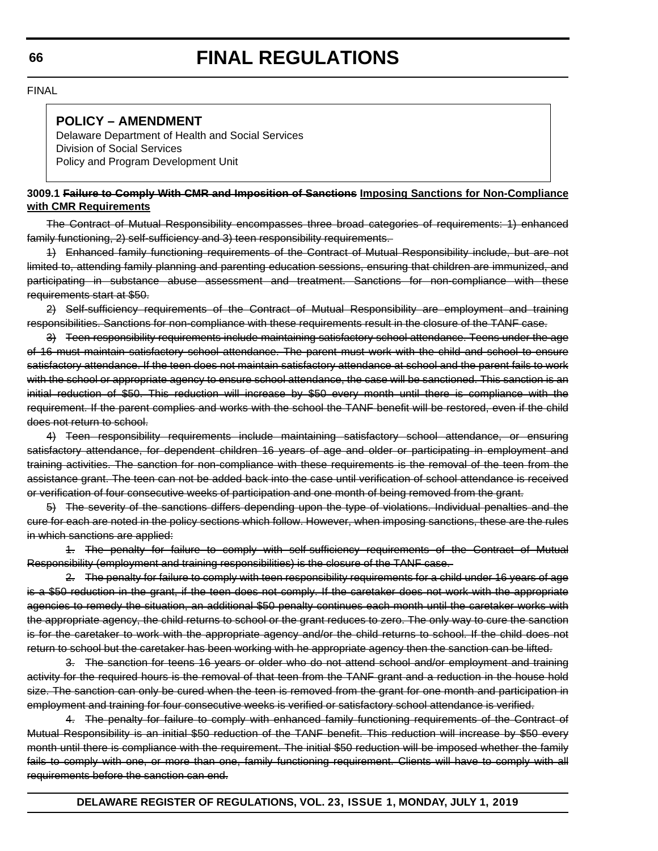FINAL

# **POLICY – AMENDMENT**

Delaware Department of Health and Social Services Division of Social Services Policy and Program Development Unit

## **3009.1 Failure to Comply With CMR and Imposition of Sanctions Imposing Sanctions for Non-Compliance with CMR Requirements**

The Contract of Mutual Responsibility encompasses three broad categories of requirements: 1) enhanced family functioning, 2) self-sufficiency and 3) teen responsibility requirements.

1) Enhanced family functioning requirements of the Contract of Mutual Responsibility include, but are not limited to, attending family planning and parenting education sessions, ensuring that children are immunized, and participating in substance abuse assessment and treatment. Sanctions for non-compliance with these requirements start at \$50.

2) Self-sufficiency requirements of the Contract of Mutual Responsibility are employment and training responsibilities. Sanctions for non-compliance with these requirements result in the closure of the TANF case.

3) Teen responsibility requirements include maintaining satisfactory school attendance. Teens under the age of 16 must maintain satisfactory school attendance. The parent must work with the child and school to ensure satisfactory attendance. If the teen does not maintain satisfactory attendance at school and the parent fails to work with the school or appropriate agency to ensure school attendance, the case will be sanctioned. This sanction is an initial reduction of \$50. This reduction will increase by \$50 every month until there is compliance with the requirement. If the parent complies and works with the school the TANF benefit will be restored, even if the child does not return to school.

4) Teen responsibility requirements include maintaining satisfactory school attendance, or ensuring satisfactory attendance, for dependent children 16 years of age and older or participating in employment and training activities. The sanction for non-compliance with these requirements is the removal of the teen from the assistance grant. The teen can not be added back into the case until verification of school attendance is received or verification of four consecutive weeks of participation and one month of being removed from the grant.

5) The severity of the sanctions differs depending upon the type of violations. Individual penalties and the cure for each are noted in the policy sections which follow. However, when imposing sanctions, these are the rules in which sanctions are applied:

1. The penalty for failure to comply with self-sufficiency requirements of the Contract of Mutual Responsibility (employment and training responsibilities) is the closure of the TANF case.

2. The penalty for failure to comply with teen responsibility requirements for a child under 16 years of age is a \$50 reduction in the grant, if the teen does not comply. If the caretaker does not work with the appropriate agencies to remedy the situation, an additional \$50 penalty continues each month until the caretaker works with the appropriate agency, the child returns to school or the grant reduces to zero. The only way to cure the sanction is for the caretaker to work with the appropriate agency and/or the child returns to school. If the child does not return to school but the caretaker has been working with he appropriate agency then the sanction can be lifted.

3. The sanction for teens 16 years or older who do not attend school and/or employment and training activity for the required hours is the removal of that teen from the TANF grant and a reduction in the house hold size. The sanction can only be cured when the teen is removed from the grant for one month and participation in employment and training for four consecutive weeks is verified or satisfactory school attendance is verified.

4. The penalty for failure to comply with enhanced family functioning requirements of the Contract of Mutual Responsibility is an initial \$50 reduction of the TANF benefit. This reduction will increase by \$50 every month until there is compliance with the requirement. The initial \$50 reduction will be imposed whether the family fails to comply with one, or more than one, family functioning requirement. Clients will have to comply with all requirements before the sanction can end.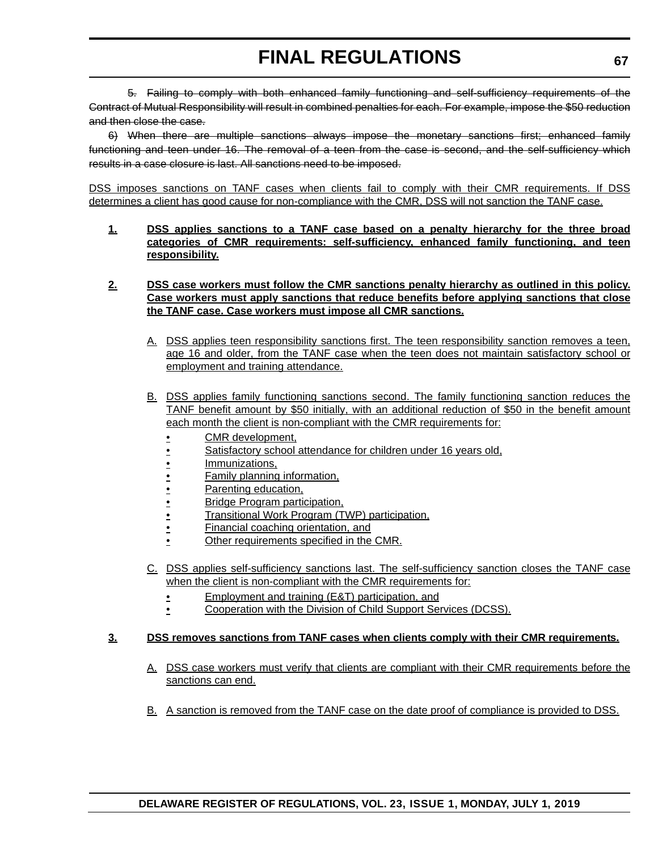5. Failing to comply with both enhanced family functioning and self-sufficiency requirements of the Contract of Mutual Responsibility will result in combined penalties for each. For example, impose the \$50 reduction and then close the case.

6) When there are multiple sanctions always impose the monetary sanctions first; enhanced family functioning and teen under 16. The removal of a teen from the case is second, and the self-sufficiency which results in a case closure is last. All sanctions need to be imposed.

DSS imposes sanctions on TANF cases when clients fail to comply with their CMR requirements. If DSS determines a client has good cause for non-compliance with the CMR, DSS will not sanction the TANF case.

**1. DSS applies sanctions to a TANF case based on a penalty hierarchy for the three broad categories of CMR requirements: self-sufficiency, enhanced family functioning, and teen responsibility.**

### **2. DSS case workers must follow the CMR sanctions penalty hierarchy as outlined in this policy. Case workers must apply sanctions that reduce benefits before applying sanctions that close the TANF case. Case workers must impose all CMR sanctions.**

- A. DSS applies teen responsibility sanctions first. The teen responsibility sanction removes a teen, age 16 and older, from the TANF case when the teen does not maintain satisfactory school or employment and training attendance.
- B. DSS applies family functioning sanctions second. The family functioning sanction reduces the TANF benefit amount by \$50 initially, with an additional reduction of \$50 in the benefit amount each month the client is non-compliant with the CMR requirements for:
	- CMR development,
	- Satisfactory school attendance for children under 16 years old,
	- Immunizations,
	- Family planning information,
	- Parenting education,
	- Bridge Program participation,
	- Transitional Work Program (TWP) participation,
	- Financial coaching orientation, and
	- Other requirements specified in the CMR.
- C. DSS applies self-sufficiency sanctions last. The self-sufficiency sanction closes the TANF case when the client is non-compliant with the CMR requirements for:
	- **Employment and training (E&T) participation, and**
	- Cooperation with the Division of Child Support Services (DCSS).

## **3. DSS removes sanctions from TANF cases when clients comply with their CMR requirements.**

- A. DSS case workers must verify that clients are compliant with their CMR requirements before the sanctions can end.
- B. A sanction is removed from the TANF case on the date proof of compliance is provided to DSS.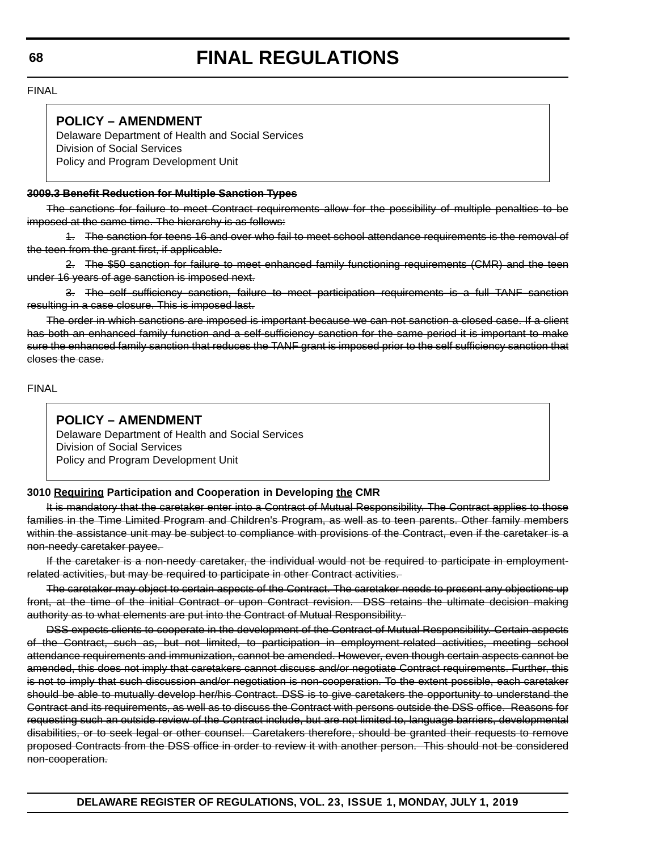FINAL

# **POLICY – AMENDMENT**

Delaware Department of Health and Social Services Division of Social Services Policy and Program Development Unit

# **3009.3 Benefit Reduction for Multiple Sanction Types**

The sanctions for failure to meet Contract requirements allow for the possibility of multiple penalties to be imposed at the same time. The hierarchy is as follows:

1. The sanction for teens 16 and over who fail to meet school attendance requirements is the removal of the teen from the grant first, if applicable.

2. The \$50 sanction for failure to meet enhanced family functioning requirements (CMR) and the teen under 16 years of age sanction is imposed next.

3. The self sufficiency sanction, failure to meet participation requirements is a full TANF sanction resulting in a case closure. This is imposed last.

The order in which sanctions are imposed is important because we can not sanction a closed case. If a client has both an enhanced family function and a self-sufficiency sanction for the same period it is important to make sure the enhanced family sanction that reduces the TANF grant is imposed prior to the self sufficiency sanction that closes the case.

FINAL

# **POLICY – AMENDMENT**

Delaware Department of Health and Social Services Division of Social Services Policy and Program Development Unit

# **3010 Requiring Participation and Cooperation in Developing the CMR**

It is mandatory that the caretaker enter into a Contract of Mutual Responsibility. The Contract applies to those families in the Time Limited Program and Children's Program, as well as to teen parents. Other family members within the assistance unit may be subject to compliance with provisions of the Contract, even if the caretaker is a non-needy caretaker payee.

If the caretaker is a non-needy caretaker, the individual would not be required to participate in employmentrelated activities, but may be required to participate in other Contract activities.

The caretaker may object to certain aspects of the Contract. The caretaker needs to present any objections up front, at the time of the initial Contract or upon Contract revision. DSS retains the ultimate decision making authority as to what elements are put into the Contract of Mutual Responsibility.

DSS expects clients to cooperate in the development of the Contract of Mutual Responsibility. Certain aspects of the Contract, such as, but not limited, to participation in employment-related activities, meeting school attendance requirements and immunization, cannot be amended. However, even though certain aspects cannot be amended, this does not imply that caretakers cannot discuss and/or negotiate Contract requirements. Further, this is not to imply that such discussion and/or negotiation is non-cooperation. To the extent possible, each caretaker should be able to mutually develop her/his Contract. DSS is to give caretakers the opportunity to understand the Contract and its requirements, as well as to discuss the Contract with persons outside the DSS office. Reasons for requesting such an outside review of the Contract include, but are not limited to, language barriers, developmental disabilities, or to seek legal or other counsel. Caretakers therefore, should be granted their requests to remove proposed Contracts from the DSS office in order to review it with another person. This should not be considered non-cooperation.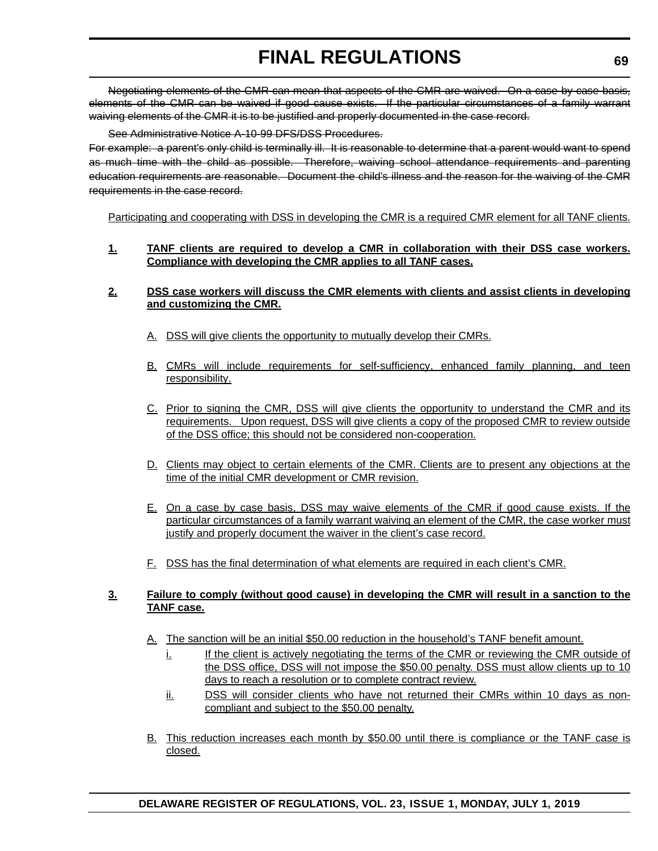Negotiating elements of the CMR can mean that aspects of the CMR are waived. On a case by case basis, elements of the CMR can be waived if good cause exists. If the particular circumstances of a family warrant waiving elements of the CMR it is to be justified and properly documented in the case record.

### See Administrative Notice A-10-99 DFS/DSS Procedures.

For example: a parent's only child is terminally ill. It is reasonable to determine that a parent would want to spend as much time with the child as possible. Therefore, waiving school attendance requirements and parenting education requirements are reasonable. Document the child's illness and the reason for the waiving of the CMR requirements in the case record.

Participating and cooperating with DSS in developing the CMR is a required CMR element for all TANF clients.

### **1. TANF clients are required to develop a CMR in collaboration with their DSS case workers. Compliance with developing the CMR applies to all TANF cases.**

### **2. DSS case workers will discuss the CMR elements with clients and assist clients in developing and customizing the CMR.**

- A. DSS will give clients the opportunity to mutually develop their CMRs.
- B. CMRs will include requirements for self-sufficiency, enhanced family planning, and teen responsibility.
- C. Prior to signing the CMR, DSS will give clients the opportunity to understand the CMR and its requirements. Upon request, DSS will give clients a copy of the proposed CMR to review outside of the DSS office; this should not be considered non-cooperation.
- D. Clients may object to certain elements of the CMR. Clients are to present any objections at the time of the initial CMR development or CMR revision.
- E. On a case by case basis, DSS may waive elements of the CMR if good cause exists. If the particular circumstances of a family warrant waiving an element of the CMR, the case worker must justify and properly document the waiver in the client's case record.
- F. DSS has the final determination of what elements are required in each client's CMR.

## **3. Failure to comply (without good cause) in developing the CMR will result in a sanction to the TANF case.**

- A. The sanction will be an initial \$50.00 reduction in the household's TANF benefit amount.
	- i. If the client is actively negotiating the terms of the CMR or reviewing the CMR outside of the DSS office, DSS will not impose the \$50.00 penalty. DSS must allow clients up to 10 days to reach a resolution or to complete contract review.
	- ii. DSS will consider clients who have not returned their CMRs within 10 days as noncompliant and subject to the \$50.00 penalty.
- B. This reduction increases each month by \$50.00 until there is compliance or the TANF case is closed.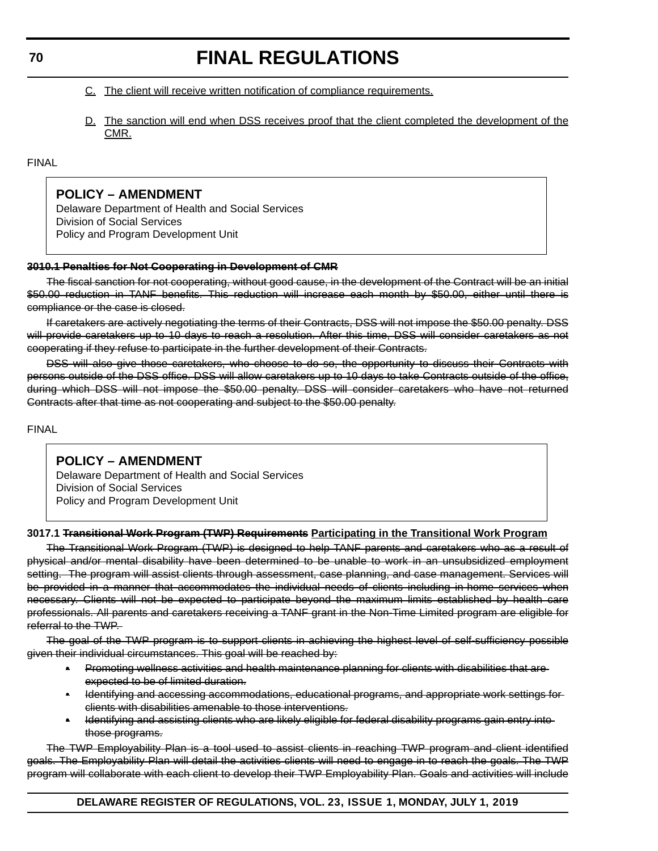- C. The client will receive written notification of compliance requirements.
- D. The sanction will end when DSS receives proof that the client completed the development of the CMR.

#### FINAL

# **POLICY – AMENDMENT**

Delaware Department of Health and Social Services Division of Social Services Policy and Program Development Unit

#### **3010.1 Penalties for Not Cooperating in Development of CMR**

The fiscal sanction for not cooperating, without good cause, in the development of the Contract will be an initial \$50.00 reduction in TANF benefits. This reduction will increase each month by \$50.00, either until there is compliance or the case is closed.

If caretakers are actively negotiating the terms of their Contracts, DSS will not impose the \$50.00 penalty. DSS will provide caretakers up to 10 days to reach a resolution. After this time, DSS will consider caretakers as not cooperating if they refuse to participate in the further development of their Contracts.

DSS will also give those caretakers, who choose to do so, the opportunity to discuss their Contracts with persons outside of the DSS office. DSS will allow caretakers up to 10 days to take Contracts outside of the office, during which DSS will not impose the \$50.00 penalty. DSS will consider caretakers who have not returned Contracts after that time as not cooperating and subject to the \$50.00 penalty.

FINAL

# **POLICY – AMENDMENT**

Delaware Department of Health and Social Services Division of Social Services Policy and Program Development Unit

#### **3017.1 Transitional Work Program (TWP) Requirements Participating in the Transitional Work Program**

The Transitional Work Program (TWP) is designed to help TANF parents and caretakers who as a result of physical and/or mental disability have been determined to be unable to work in an unsubsidized employment setting. The program will assist clients through assessment, case planning, and case management. Services will be provided in a manner that accommodates the individual needs of clients including in-home services when necessary. Clients will not be expected to participate beyond the maximum limits established by health care professionals. All parents and caretakers receiving a TANF grant in the Non-Time Limited program are eligible for referral to the TWP.

The goal of the TWP program is to support clients in achieving the highest level of self-sufficiency possible given their individual circumstances. This goal will be reached by:

- Promoting wellness activities and health maintenance planning for clients with disabilities that are expected to be of limited duration.
- Identifying and accessing accommodations, educational programs, and appropriate work settings for clients with disabilities amenable to those interventions.
- Identifying and assisting clients who are likely eligible for federal disability programs gain entry into those programs.

The TWP Employability Plan is a tool used to assist clients in reaching TWP program and client identified goals. The Employability Plan will detail the activities clients will need to engage in to reach the goals. The TWP program will collaborate with each client to develop their TWP Employability Plan. Goals and activities will include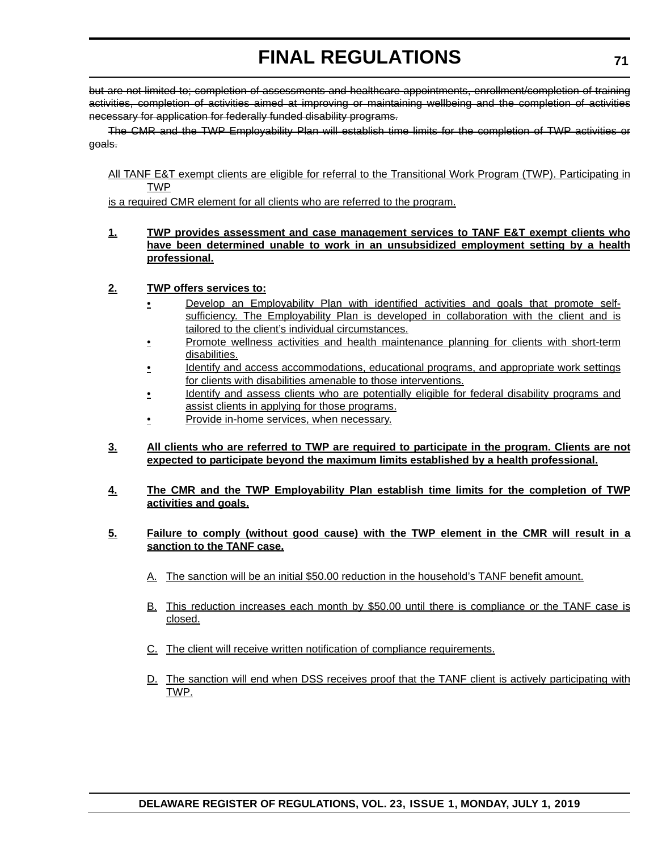but are not limited to; completion of assessments and healthcare appointments, enrollment/completion of training activities, completion of activities aimed at improving or maintaining wellbeing and the completion of activities necessary for application for federally funded disability programs.

The CMR and the TWP Employability Plan will establish time limits for the completion of TWP activities or goals.

All TANF E&T exempt clients are eligible for referral to the Transitional Work Program (TWP). Participating in TWP

is a required CMR element for all clients who are referred to the program.

- **1. TWP provides assessment and case management services to TANF E&T exempt clients who have been determined unable to work in an unsubsidized employment setting by a health professional.**
- **2. TWP offers services to:**
	- Develop an Employability Plan with identified activities and goals that promote selfsufficiency. The Employability Plan is developed in collaboration with the client and is tailored to the client's individual circumstances.
	- **Promote wellness activities and health maintenance planning for clients with short-term** disabilities.
	- Identify and access accommodations, educational programs, and appropriate work settings for clients with disabilities amenable to those interventions.
	- Identify and assess clients who are potentially eligible for federal disability programs and assist clients in applying for those programs.
	- Provide in-home services, when necessary.
- **3. All clients who are referred to TWP are required to participate in the program. Clients are not expected to participate beyond the maximum limits established by a health professional.**
- **4. The CMR and the TWP Employability Plan establish time limits for the completion of TWP activities and goals.**
- **5. Failure to comply (without good cause) with the TWP element in the CMR will result in a sanction to the TANF case.**
	- A. The sanction will be an initial \$50.00 reduction in the household's TANF benefit amount.
	- B. This reduction increases each month by \$50.00 until there is compliance or the TANF case is closed.
	- C. The client will receive written notification of compliance requirements.
	- D. The sanction will end when DSS receives proof that the TANF client is actively participating with TWP.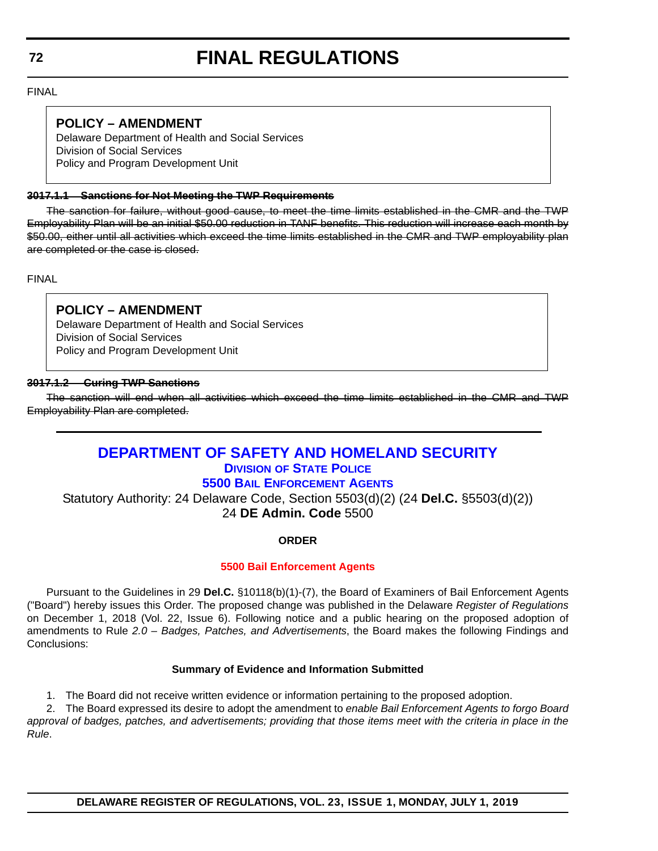FINAL

# **POLICY – AMENDMENT**

Delaware Department of Health and Social Services Division of Social Services Policy and Program Development Unit

### **3017.1.1 Sanctions for Not Meeting the TWP Requirements**

The sanction for failure, without good cause, to meet the time limits established in the CMR and the TWP Employability Plan will be an initial \$50.00 reduction in TANF benefits. This reduction will increase each month by \$50.00, either until all activities which exceed the time limits established in the CMR and TWP employability plan are completed or the case is closed.

FINAL

# **POLICY – AMENDMENT**

Delaware Department of Health and Social Services Division of Social Services Policy and Program Development Unit

#### **3017.1.2 Curing TWP Sanctions**

The sanction will end when all activities which exceed the time limits established in the CMR and TWP Employability Plan are completed.

# **[DEPARTMENT OF SAFETY AND HOMELAND SECURITY](https://dshs.delaware.gov/) DIVISION [OF STATE POLICE](https://dsp.delaware.gov/) [5500 BAIL ENFORCEMENT AGENTS](https://dpr.delaware.gov/)**

Statutory Authority: 24 Delaware Code, Section 5503(d)(2) (24 **Del.C.** §5503(d)(2)) 24 **DE Admin. Code** 5500

## **ORDER**

## **[5500 Bail Enforcement Agents](#page-4-0)**

Pursuant to the Guidelines in 29 **Del.C.** §10118(b)(1)-(7), the Board of Examiners of Bail Enforcement Agents ("Board") hereby issues this Order. The proposed change was published in the Delaware *Register of Regulations* on December 1, 2018 (Vol. 22, Issue 6). Following notice and a public hearing on the proposed adoption of amendments to Rule *2.0 – Badges, Patches, and Advertisements*, the Board makes the following Findings and Conclusions:

## **Summary of Evidence and Information Submitted**

1. The Board did not receive written evidence or information pertaining to the proposed adoption.

2. The Board expressed its desire to adopt the amendment to *enable Bail Enforcement Agents to forgo Board approval of badges, patches, and advertisements; providing that those items meet with the criteria in place in the Rule*.

## **DELAWARE REGISTER OF REGULATIONS, VOL. 23, ISSUE 1, MONDAY, JULY 1, 2019**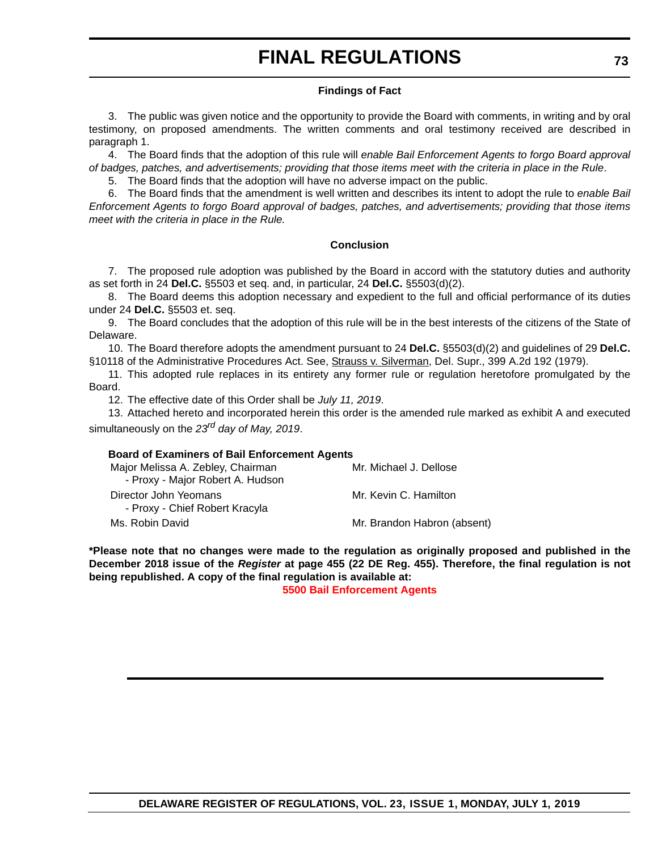# **FINAL REGULATIONS**

#### **Findings of Fact**

3. The public was given notice and the opportunity to provide the Board with comments, in writing and by oral testimony, on proposed amendments. The written comments and oral testimony received are described in paragraph 1.

4. The Board finds that the adoption of this rule will *enable Bail Enforcement Agents to forgo Board approval of badges, patches, and advertisements; providing that those items meet with the criteria in place in the Rule*.

5. The Board finds that the adoption will have no adverse impact on the public.

6. The Board finds that the amendment is well written and describes its intent to adopt the rule to *enable Bail Enforcement Agents to forgo Board approval of badges, patches, and advertisements; providing that those items meet with the criteria in place in the Rule.*

#### **Conclusion**

7. The proposed rule adoption was published by the Board in accord with the statutory duties and authority as set forth in 24 **Del.C.** §5503 et seq. and, in particular, 24 **Del.C.** §5503(d)(2).

8. The Board deems this adoption necessary and expedient to the full and official performance of its duties under 24 **Del.C.** §5503 et. seq.

9. The Board concludes that the adoption of this rule will be in the best interests of the citizens of the State of Delaware.

10. The Board therefore adopts the amendment pursuant to 24 **Del.C.** §5503(d)(2) and guidelines of 29 **Del.C.** §10118 of the Administrative Procedures Act. See, Strauss v. Silverman, Del. Supr., 399 A.2d 192 (1979).

11. This adopted rule replaces in its entirety any former rule or regulation heretofore promulgated by the Board.

12. The effective date of this Order shall be *July 11, 2019*.

13. Attached hereto and incorporated herein this order is the amended rule marked as exhibit A and executed simultaneously on the *23rd day of May, 2019*.

#### **Board of Examiners of Bail Enforcement Agents**

| Major Melissa A. Zebley, Chairman<br>- Proxy - Major Robert A. Hudson | Mr. Michael J. Dellose      |
|-----------------------------------------------------------------------|-----------------------------|
| Director John Yeomans<br>- Proxy - Chief Robert Kracyla               | Mr. Kevin C. Hamilton       |
| Ms. Robin David                                                       | Mr. Brandon Habron (absent) |

**\*Please note that no changes were made to the regulation as originally proposed and published in the December 2018 issue of the** *Register* **at page 455 (22 DE Reg. 455). Therefore, the final regulation is not being republished. A copy of the final regulation is available at:**

**[5500 Bail Enforcement Agents](http://regulations.delaware.gov/register/july2019/final/23 DE Reg 72 07-01-19.htm)**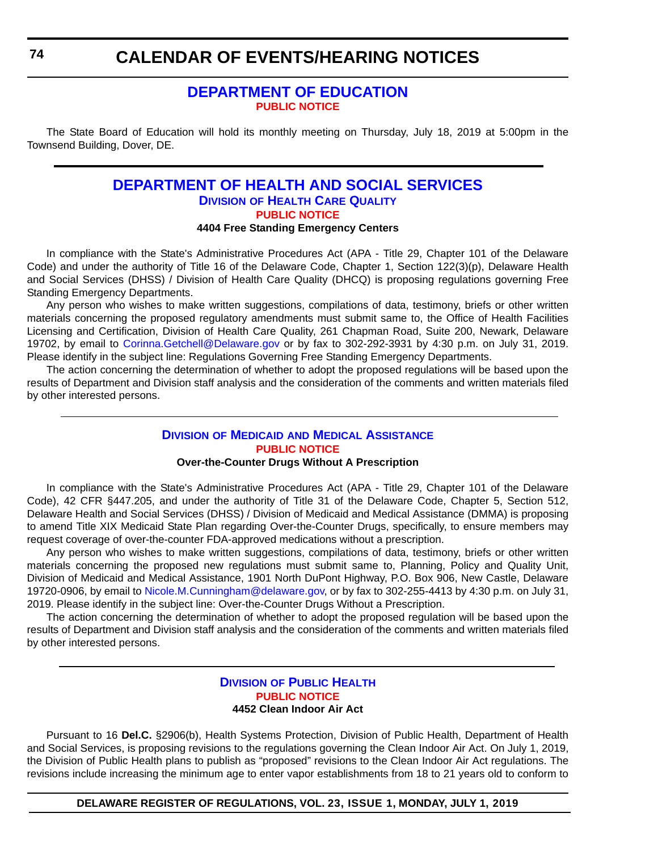### **CALENDAR OF EVENTS/HEARING NOTICES**

### **[DEPARTMENT OF EDUCATION](https://www.doe.k12.de.us/) [PUBLIC NOTICE](#page-4-0)**

The State Board of Education will hold its monthly meeting on Thursday, July 18, 2019 at 5:00pm in the Townsend Building, Dover, DE.

#### **[DEPARTMENT OF HEALTH AND SOCIAL SERVICES](https://www.dhss.delaware.gov/dhss/index.html) DIVISION [OF HEALTH CARE QUALITY](https://www.dhss.delaware.gov/dhss/dltcrp/) [PUBLIC NOTICE](#page-4-0) 4404 Free Standing Emergency Centers**

In compliance with the State's Administrative Procedures Act (APA - Title 29, Chapter 101 of the Delaware Code) and under the authority of Title 16 of the Delaware Code, Chapter 1, Section 122(3)(p), Delaware Health and Social Services (DHSS) / Division of Health Care Quality (DHCQ) is proposing regulations governing Free Standing Emergency Departments.

Any person who wishes to make written suggestions, compilations of data, testimony, briefs or other written materials concerning the proposed regulatory amendments must submit same to, the Office of Health Facilities Licensing and Certification, Division of Health Care Quality, 261 Chapman Road, Suite 200, Newark, Delaware 19702, by email to [Corinna.Getchell@Delaware.gov](mailto:Corinna.Getchell@Delaware.gov) or by fax to 302-292-3931 by 4:30 p.m. on July 31, 2019. Please identify in the subject line: Regulations Governing Free Standing Emergency Departments.

The action concerning the determination of whether to adopt the proposed regulations will be based upon the results of Department and Division staff analysis and the consideration of the comments and written materials filed by other interested persons.

#### **DIVISION OF MEDICAID [AND MEDICAL ASSISTANCE](https://www.dhss.delaware.gov/dhss/dmma/) [PUBLIC NOTICE](#page-4-0)**

#### **Over-the-Counter Drugs Without A Prescription**

In compliance with the State's Administrative Procedures Act (APA - Title 29, Chapter 101 of the Delaware Code), 42 CFR §447.205, and under the authority of Title 31 of the Delaware Code, Chapter 5, Section 512, Delaware Health and Social Services (DHSS) / Division of Medicaid and Medical Assistance (DMMA) is proposing to amend Title XIX Medicaid State Plan regarding Over-the-Counter Drugs, specifically, to ensure members may request coverage of over-the-counter FDA-approved medications without a prescription.

Any person who wishes to make written suggestions, compilations of data, testimony, briefs or other written materials concerning the proposed new regulations must submit same to, Planning, Policy and Quality Unit, Division of Medicaid and Medical Assistance, 1901 North DuPont Highway, P.O. Box 906, New Castle, Delaware 19720-0906, by email to [Nicole.M.Cunningham@delaware.gov,](mailto:Nicole.M.Cunningham@delaware.gov) or by fax to 302-255-4413 by 4:30 p.m. on July 31, 2019. Please identify in the subject line: Over-the-Counter Drugs Without a Prescription.

The action concerning the determination of whether to adopt the proposed regulation will be based upon the results of Department and Division staff analysis and the consideration of the comments and written materials filed by other interested persons.

#### **DIVISION [OF PUBLIC HEALTH](https://www.dhss.delaware.gov/dhss/dph/index.html) [PUBLIC NOTICE](#page-4-0) 4452 Clean Indoor Air Act**

Pursuant to 16 **Del.C.** §2906(b), Health Systems Protection, Division of Public Health, Department of Health and Social Services, is proposing revisions to the regulations governing the Clean Indoor Air Act. On July 1, 2019, the Division of Public Health plans to publish as "proposed" revisions to the Clean Indoor Air Act regulations. The revisions include increasing the minimum age to enter vapor establishments from 18 to 21 years old to conform to

**DELAWARE REGISTER OF REGULATIONS, VOL. 23, ISSUE 1, MONDAY, JULY 1, 2019**

**74**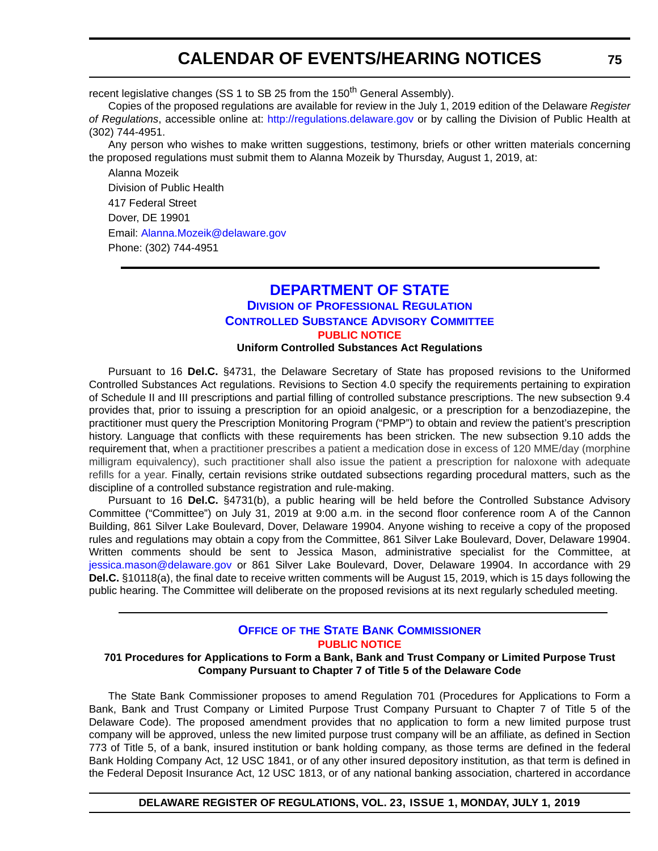## **CALENDAR OF EVENTS/HEARING NOTICES**

recent legislative changes (SS 1 to SB 25 from the 150<sup>th</sup> General Assembly).

Copies of the proposed regulations are available for review in the July 1, 2019 edition of the Delaware *Register of Regulations*, accessible online at: <http://regulations.delaware.gov> or by calling the Division of Public Health at (302) 744-4951.

Any person who wishes to make written suggestions, testimony, briefs or other written materials concerning the proposed regulations must submit them to Alanna Mozeik by Thursday, August 1, 2019, at:

Alanna Mozeik Division of Public Health 417 Federal Street Dover, DE 19901 Email: [Alanna.Mozeik@delaware.gov](mailto:Alanna.Mozeik@delaware.gov) Phone: (302) 744-4951

### **[DEPARTMENT OF STATE](https://sos.delaware.gov/) DIVISION [OF PROFESSIONAL REGULATION](https://dpr.delaware.gov/) [CONTROLLED SUBSTANCE ADVISORY COMMITTEE](https://dpr.delaware.gov/boards/controlledsubstances/) [PUBLIC NOTICE](#page-4-0)**

**Uniform Controlled Substances Act Regulations**

Pursuant to 16 **Del.C.** §4731, the Delaware Secretary of State has proposed revisions to the Uniformed Controlled Substances Act regulations. Revisions to Section 4.0 specify the requirements pertaining to expiration of Schedule II and III prescriptions and partial filling of controlled substance prescriptions. The new subsection 9.4 provides that, prior to issuing a prescription for an opioid analgesic, or a prescription for a benzodiazepine, the practitioner must query the Prescription Monitoring Program ("PMP") to obtain and review the patient's prescription history. Language that conflicts with these requirements has been stricken. The new subsection 9.10 adds the requirement that, when a practitioner prescribes a patient a medication dose in excess of 120 MME/day (morphine milligram equivalency), such practitioner shall also issue the patient a prescription for naloxone with adequate refills for a year. Finally, certain revisions strike outdated subsections regarding procedural matters, such as the discipline of a controlled substance registration and rule-making.

Pursuant to 16 **Del.C.** §4731(b), a public hearing will be held before the Controlled Substance Advisory Committee ("Committee") on July 31, 2019 at 9:00 a.m. in the second floor conference room A of the Cannon Building, 861 Silver Lake Boulevard, Dover, Delaware 19904. Anyone wishing to receive a copy of the proposed rules and regulations may obtain a copy from the Committee, 861 Silver Lake Boulevard, Dover, Delaware 19904. Written comments should be sent to Jessica Mason, administrative specialist for the Committee, at [jessica.mason@delaware.gov](mailto:jessica.mason@delaware.gov) or 861 Silver Lake Boulevard, Dover, Delaware 19904. In accordance with 29 **Del.C.** §10118(a), the final date to receive written comments will be August 15, 2019, which is 15 days following the public hearing. The Committee will deliberate on the proposed revisions at its next regularly scheduled meeting.

#### **OFFICE OF [THE STATE BANK COMMISSIONER](https://banking.delaware.gov/) [PUBLIC NOTICE](#page-4-0)**

#### **701 Procedures for Applications to Form a Bank, Bank and Trust Company or Limited Purpose Trust Company Pursuant to Chapter 7 of Title 5 of the Delaware Code**

The State Bank Commissioner proposes to amend Regulation 701 (Procedures for Applications to Form a Bank, Bank and Trust Company or Limited Purpose Trust Company Pursuant to Chapter 7 of Title 5 of the Delaware Code). The proposed amendment provides that no application to form a new limited purpose trust company will be approved, unless the new limited purpose trust company will be an affiliate, as defined in Section 773 of Title 5, of a bank, insured institution or bank holding company, as those terms are defined in the federal Bank Holding Company Act, 12 USC 1841, or of any other insured depository institution, as that term is defined in the Federal Deposit Insurance Act, 12 USC 1813, or of any national banking association, chartered in accordance

#### **DELAWARE REGISTER OF REGULATIONS, VOL. 23, ISSUE 1, MONDAY, JULY 1, 2019**